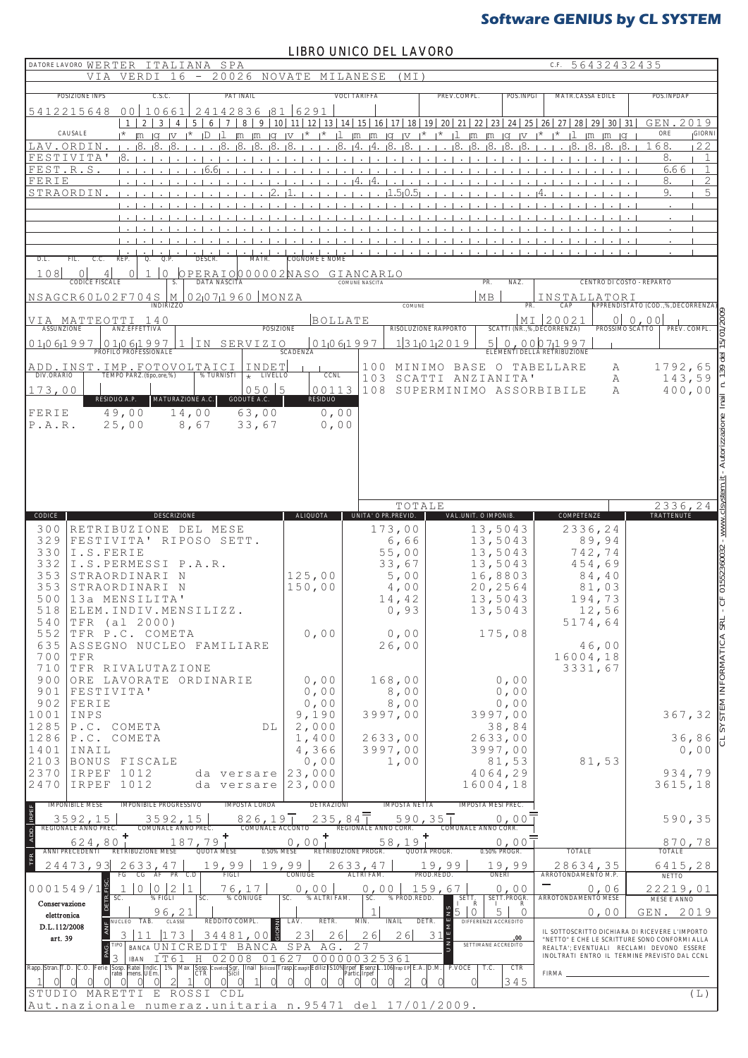### LIBRO UNICO DEL LAVORO

| - 20026 NOVATE<br>6<br>V T<br>VERDI                                                                                                                                                                                                                                                                                                                                                                                                      |                                       |                                                                                                                     |                                                                                                             | C.F. 56432432435                                                                                                       |                                     |
|------------------------------------------------------------------------------------------------------------------------------------------------------------------------------------------------------------------------------------------------------------------------------------------------------------------------------------------------------------------------------------------------------------------------------------------|---------------------------------------|---------------------------------------------------------------------------------------------------------------------|-------------------------------------------------------------------------------------------------------------|------------------------------------------------------------------------------------------------------------------------|-------------------------------------|
|                                                                                                                                                                                                                                                                                                                                                                                                                                          |                                       | MILANESE<br>(MT                                                                                                     |                                                                                                             |                                                                                                                        |                                     |
| <b>POSIZIONE INPS</b><br>C.S.C.<br><b>PAT INAIL</b><br>0 <sup>0</sup><br>10661<br>24142836 81<br>5412215648                                                                                                                                                                                                                                                                                                                              | 6291                                  | <b>VOCI TARIFFA</b>                                                                                                 | PREV.COMPL.<br>POS.INPGI                                                                                    | <b>MATR.CASSA EDILE</b>                                                                                                | POS. INPDAP                         |
| $\overline{2}$<br>3<br>$\tau$<br>8<br>9 <sup>1</sup><br>$5\overline{ }$<br>6<br>$\overline{1}$<br>$\overline{4}$                                                                                                                                                                                                                                                                                                                         |                                       |                                                                                                                     | 10   11   12   13   14   15   16   17   18   19   20   21   22   23   24   25   26   27   28   29   30   31 |                                                                                                                        | GEN.<br>2019                        |
| CAUSALE<br>$\mathbf{1}$<br>$ Q $ $ V $<br>⊣*<br>ID<br>$\mathbb{R}$ $\mathbb{R}$ $\mathbb{R}$ $\mathbb{R}$ $\mathbb{R}$ $\mathbb{R}$ $\mathbb{R}$ $\mathbb{R}$ $\mathbb{R}$ $\mathbb{R}$ $\mathbb{R}$ $\mathbb{R}$ $\mathbb{R}$ $\mathbb{R}$ $\mathbb{R}$ $\mathbb{R}$ $\mathbb{R}$ $\mathbb{R}$ $\mathbb{R}$ $\mathbb{R}$ $\mathbb{R}$ $\mathbb{R}$ $\mathbb{R}$ $\mathbb{R}$ $\mathbb{$<br>ıЯ<br>LAV.ORDIN<br>18.<br>18                 | $\mathsf{I}^{\star}$<br>$\Box$<br>ı8. | $\lfloor m \rfloor m \rfloor q \lfloor v \rfloor^* \rfloor^* \lfloor l \rfloor m \rfloor m$<br>ι8<br>18<br>14<br>۱4 | $ G $ $ V $ $\star$<br>18<br>-18.<br>18                                                                     | $\uparrow$ $\uparrow$ $\downarrow$ $\uparrow$ $\uparrow$ $\uparrow$ $\uparrow$ $\uparrow$<br>ι8.<br>-18.<br>-18.<br>ι8 | ORE<br><b>GIORNI</b><br>168.<br>22  |
| FESTIVITA'                                                                                                                                                                                                                                                                                                                                                                                                                               |                                       |                                                                                                                     |                                                                                                             |                                                                                                                        | 8.<br>$\mathbf{1}$                  |
| FEST.R.S<br>16.61                                                                                                                                                                                                                                                                                                                                                                                                                        |                                       |                                                                                                                     |                                                                                                             |                                                                                                                        | $\mathbf{1}$<br>6.66                |
| FERIE<br>STRAORDIN                                                                                                                                                                                                                                                                                                                                                                                                                       |                                       | ۱4<br>.5ı0                                                                                                          |                                                                                                             |                                                                                                                        | $\overline{2}$<br>8.<br>9.<br>5     |
|                                                                                                                                                                                                                                                                                                                                                                                                                                          |                                       |                                                                                                                     |                                                                                                             |                                                                                                                        |                                     |
|                                                                                                                                                                                                                                                                                                                                                                                                                                          |                                       |                                                                                                                     |                                                                                                             |                                                                                                                        |                                     |
|                                                                                                                                                                                                                                                                                                                                                                                                                                          |                                       |                                                                                                                     |                                                                                                             |                                                                                                                        |                                     |
| D.L.<br>FIL.<br>C.C.<br>REP.<br>Q.P.<br><b>DESCR</b>                                                                                                                                                                                                                                                                                                                                                                                     |                                       |                                                                                                                     |                                                                                                             |                                                                                                                        |                                     |
| 108<br>OPERAIO000002NASO GIANCARLO<br>$\mathbf 0$<br>$\Omega$<br>4<br>0<br><b>CODICE FISCALE</b><br><b>DATA NASCITA</b>                                                                                                                                                                                                                                                                                                                  |                                       | <b>COMUNE NASCITA</b>                                                                                               | PR.<br>NAZ.                                                                                                 | CENTRO DI COSTO - REPARTO                                                                                              |                                     |
| $02071960$ MONZA<br>NSAGCR60L02F704SM                                                                                                                                                                                                                                                                                                                                                                                                    |                                       |                                                                                                                     | MB                                                                                                          | INSTALLATORI                                                                                                           |                                     |
|                                                                                                                                                                                                                                                                                                                                                                                                                                          |                                       | <b>COMUNE</b>                                                                                                       | PR.                                                                                                         | CAP                                                                                                                    | APPRENDISTATO (COD.,%,DECORRENZA    |
| VIA MATTEOTTI 140<br>ANZ.EFFETTIVA<br><b>ASSUNZIONE</b>                                                                                                                                                                                                                                                                                                                                                                                  | <b>BOLLATE</b><br><b>POSIZIONE</b>    | RISOLUZIONE RAPPORTO                                                                                                |                                                                                                             | MI 20021<br>SCATTI (NR.,%,DECORRENZA)<br>PROSSIMO SCÁTTO                                                               | 0 0,00<br>PREV. COMPL.              |
| $\underbrace{01}061997$ PROFILO PROFESSIONALE<br>0 1 0 6 1 9 9 7<br>SERVIZIO<br>I N                                                                                                                                                                                                                                                                                                                                                      | 01061997                              | 1 31(01)2019                                                                                                        | 5 <sup>1</sup>                                                                                              | 0,00071997                                                                                                             |                                     |
| INDET                                                                                                                                                                                                                                                                                                                                                                                                                                    | <b>SCADENZA</b>                       | 100                                                                                                                 | MINIMO BASE O TABELLARE                                                                                     | ELEMENTI DELLA RETRIBUZIONE<br>А                                                                                       | 1792,65                             |
| ADD.INST.IMP.FOTOVOLTAICI<br>DIV.ORARIO   TEMPO PARZ.(tipo,ore,%)   % TURNISTI<br>% TURNISTI<br>$\star$ LIVELLO                                                                                                                                                                                                                                                                                                                          | <b>CCNL</b>                           | 103                                                                                                                 | SCATTI ANZIANITA'                                                                                           | Α                                                                                                                      | 143,59                              |
| $050$ 5<br>173,00<br>RESIDUO A.P.<br>MATURAZIONE A.C.<br>GODUTE A.C.                                                                                                                                                                                                                                                                                                                                                                     | 00113<br><b>RESIDUO</b>               | 108                                                                                                                 | SUPERMINIMO ASSORBIBILE                                                                                     | A                                                                                                                      | 400,00                              |
| 49,00<br>14,00<br>63,00<br>FERIE                                                                                                                                                                                                                                                                                                                                                                                                         | 0,00                                  |                                                                                                                     |                                                                                                             |                                                                                                                        |                                     |
| 25,00<br>33,67<br>P.A.R.<br>8,67                                                                                                                                                                                                                                                                                                                                                                                                         | 0,00                                  |                                                                                                                     |                                                                                                             |                                                                                                                        |                                     |
|                                                                                                                                                                                                                                                                                                                                                                                                                                          |                                       |                                                                                                                     |                                                                                                             |                                                                                                                        |                                     |
|                                                                                                                                                                                                                                                                                                                                                                                                                                          |                                       |                                                                                                                     |                                                                                                             |                                                                                                                        | Autorizzazione                      |
|                                                                                                                                                                                                                                                                                                                                                                                                                                          |                                       |                                                                                                                     |                                                                                                             |                                                                                                                        |                                     |
|                                                                                                                                                                                                                                                                                                                                                                                                                                          |                                       | TOTALE                                                                                                              |                                                                                                             |                                                                                                                        | 2336,24                             |
| CODICE<br><b>DESCRIZIONE</b>                                                                                                                                                                                                                                                                                                                                                                                                             | <b>ALIQUOTA</b>                       | UNITA' O PR.PREVID.                                                                                                 | VAL. UNIT. O IMPONIB.                                                                                       | <b>COMPETENZE</b>                                                                                                      | <b>TRATTENUTE</b>                   |
| 300<br>RETRIBUZIONE DEL MESE<br>329<br>FESTIVITA' RIPOSO SETT.                                                                                                                                                                                                                                                                                                                                                                           |                                       | 173,00<br>6,66                                                                                                      | 13,5043<br>13,5043                                                                                          | 2336,24<br>89,94                                                                                                       |                                     |
| 330<br>I.S.FERIE                                                                                                                                                                                                                                                                                                                                                                                                                         |                                       | 55,00                                                                                                               | 13,5043                                                                                                     | 742,74                                                                                                                 |                                     |
| 332<br>I.S.PERMESSI P.A.R.                                                                                                                                                                                                                                                                                                                                                                                                               |                                       |                                                                                                                     |                                                                                                             |                                                                                                                        |                                     |
|                                                                                                                                                                                                                                                                                                                                                                                                                                          |                                       | 33,67                                                                                                               | 13,5043                                                                                                     | 454,69                                                                                                                 |                                     |
| STRAORDINARI<br>N<br>STRAORDINARI N                                                                                                                                                                                                                                                                                                                                                                                                      | 125,00<br>150,00                      | 5,00<br>4,00                                                                                                        | 16,8803<br>20,2564                                                                                          | 84,40<br>81,03                                                                                                         |                                     |
| 13a MENSILITA'                                                                                                                                                                                                                                                                                                                                                                                                                           |                                       | 14,42                                                                                                               | 13,5043                                                                                                     | 194,73                                                                                                                 |                                     |
| ELEM.INDIV.MENSILIZZ.                                                                                                                                                                                                                                                                                                                                                                                                                    |                                       | 0,93                                                                                                                | 13,5043                                                                                                     | 12,56                                                                                                                  |                                     |
| TFR (al 2000)<br>TFR P.C. COMETA                                                                                                                                                                                                                                                                                                                                                                                                         | 0,00                                  | 0,00                                                                                                                | 175,08                                                                                                      | 5174,64                                                                                                                |                                     |
| 353<br>353<br>500<br>518<br>540<br>552<br>635<br>ASSEGNO NUCLEO FAMILIARE                                                                                                                                                                                                                                                                                                                                                                |                                       | 26,00                                                                                                               |                                                                                                             | 46,00                                                                                                                  | $-$ CF 01552360032 - www.clsys      |
| 700<br>TFR<br>710<br>TFR RIVALUTAZIONE                                                                                                                                                                                                                                                                                                                                                                                                   |                                       |                                                                                                                     |                                                                                                             | 16004,18<br>3331,67                                                                                                    |                                     |
| ORE LAVORATE ORDINARIE                                                                                                                                                                                                                                                                                                                                                                                                                   | 0,00                                  | 168,00                                                                                                              | 0,00                                                                                                        |                                                                                                                        |                                     |
| FESTIVITA'                                                                                                                                                                                                                                                                                                                                                                                                                               | 0,00                                  | 8,00                                                                                                                | 0,00                                                                                                        |                                                                                                                        |                                     |
| FERIE<br>INPS                                                                                                                                                                                                                                                                                                                                                                                                                            | 0,00<br>9,190                         | $8$ , $0$ $0$<br>3997,00                                                                                            | 0,00<br>3997,00                                                                                             |                                                                                                                        | 367,32                              |
| P.C. COMETA<br>DL                                                                                                                                                                                                                                                                                                                                                                                                                        | 2,000                                 |                                                                                                                     | 38,84                                                                                                       |                                                                                                                        |                                     |
| P.C. COMETA<br>INAIL                                                                                                                                                                                                                                                                                                                                                                                                                     | 1,400<br>4,366                        | 2633,00<br>3997,00                                                                                                  | 2633,00<br>3997,00                                                                                          |                                                                                                                        | 36,86<br>0,00                       |
| BONUS FISCALE                                                                                                                                                                                                                                                                                                                                                                                                                            | 0,00                                  | 1,00                                                                                                                | 81,53                                                                                                       | 81,53                                                                                                                  |                                     |
| IRPEF 1012<br>da versare<br>IRPEF 1012<br>da versare                                                                                                                                                                                                                                                                                                                                                                                     | 23,000<br> 23,000                     |                                                                                                                     | 4064,29<br>16004,18                                                                                         |                                                                                                                        | 934,79<br>3615,18                   |
| <b>IMPONIBILE PROGRESSIVO</b><br><b>IMPOSTA LORDA</b>                                                                                                                                                                                                                                                                                                                                                                                    | <b>DETRAZIONI</b>                     | <b>IMPOSTA NETTA</b>                                                                                                | <b>IMPOSTA MESI PREC.</b>                                                                                   |                                                                                                                        |                                     |
| 3592,15<br>826, 19<br>3592,15                                                                                                                                                                                                                                                                                                                                                                                                            | 235,84                                | $590, 35$ <sup>T</sup>                                                                                              | 0.00                                                                                                        |                                                                                                                        | 590,35                              |
| <b>IMPONIBILE MESE</b><br>COMUNALE ANNO PREC.<br><b>COMUNALE ACCONTO</b>                                                                                                                                                                                                                                                                                                                                                                 |                                       | REGIONALE ANNO CORR.                                                                                                | COMUNALE ANNO CORR.                                                                                         |                                                                                                                        |                                     |
| 187,79<br>624,80<br><b>QUOTA MESE</b><br><b>RETRIBUZIONE MESE</b>                                                                                                                                                                                                                                                                                                                                                                        | 0,00<br>0.50% MESE                    | 58,19<br><b>RETRIBUZIONE PROGR.</b><br>QUOTA PROGR.                                                                 | 0,00<br>0.50% PROGR.                                                                                        | <b>TOTALE</b>                                                                                                          | $870,78$<br>TOTALE                  |
| 2633,47<br>19,99                                                                                                                                                                                                                                                                                                                                                                                                                         | 19,99                                 | 2633,47                                                                                                             | ,99                                                                                                         | 28634,35                                                                                                               | 6415,28                             |
| FIGLI<br>FG<br>$PR$ $C.D$<br>CG<br>AF<br>$1 \vert 0$<br>$\mathbf{1}$<br>76,17                                                                                                                                                                                                                                                                                                                                                            | CONIUGE                               | <b>ALTRI FAM.</b><br>PROD.REDD.<br>0,00<br>159,67                                                                   | $19,99$<br>ONERI<br>0,00                                                                                    | ARROTONDAMENTO M.P.<br>0,06                                                                                            | <b>NETTO</b><br>22219,01            |
| $0 \mid 2$<br>SC.<br>% FIGLI<br>% CONIUGE<br>SC.                                                                                                                                                                                                                                                                                                                                                                                         | 0,00<br>% ALTRI FAM.<br>SC.           | SC. % PROD.REDD.                                                                                                    | SETT.PROGR.<br>SETT.<br>IR<br>$\mathbf{I}$                                                                  | ARROTONDAMENTO MESE                                                                                                    | <b>MESE E ANNO</b>                  |
| 96,21<br>REDDITO COMPL.<br>TAB.<br><b>E</b> NUCLEO<br><b>CLASSE</b>                                                                                                                                                                                                                                                                                                                                                                      | RETR.<br>LAV.                         | DETR.<br>MIN.<br><b>INAIL</b>                                                                                       | $\circ$<br>5<br>$\mathbf{0}$<br>DIFFERENZE ACCREDITO                                                        | 0,00                                                                                                                   | STEM INFORMATICA SR<br>2019<br>GEN. |
| ₹<br>73<br>34481,0<br>$\Omega$<br>art. 39                                                                                                                                                                                                                                                                                                                                                                                                | 23<br>26                              | 26<br>26                                                                                                            | 31<br>,00                                                                                                   | IL SOTTOSCRITTO DICHIARA DI RICEVERE L'IMPORTO<br>"NETTO" E CHE LE SCRITTURE SONO CONFORMI ALLA                        |                                     |
| <b>BANCA UNICREDIT</b><br>BANCA                                                                                                                                                                                                                                                                                                                                                                                                          | AG<br>SPA                             | 27                                                                                                                  | SETTIMANE ACCREDITO                                                                                         | REALTA'; EVENTUALI RECLAMI DEVONO ESSERE<br>INOLTRATI ENTRO IL TERMINE PREVISTO DAL CCNL                               |                                     |
| 02008<br>3<br>IT61<br>Н<br><b>IBAN</b>                                                                                                                                                                                                                                                                                                                                                                                                   | 01627                                 | 000000325361                                                                                                        | CTR<br>T.C.                                                                                                 | <b>FIRMA</b>                                                                                                           |                                     |
| 900<br>901<br>902<br>1001<br>1285<br>1286<br>1401<br>2103<br>2370<br>2470<br>REGIONALE ANNO PREC.<br>ANNI PRECEDENTI<br>24473,93<br>$\begin{array}{c c c}\n0 & 0 & 0 & 1 & 5 & 4 & 9 & / & 1 \\ \hline\n\end{array}$ Conservazione<br>elettronica<br>D.L.112/2008<br>Ferie Sosp. Ratei Indic. 1% Max<br>ratei mens. UEm.<br>Sosp. Covelco Sgr. Inail Silicosi<br>CTR Sicil<br>Rapp. Stran. T.D.<br>∩<br>MARETTI<br>E ROSSI CDL<br>STUDIO |                                       | Trasp Casagit Ediliz IS10% Trpef Esenz L. 106 Irap EP E.A. D.M. P.VOCE<br>Partic Irpef                              | 345                                                                                                         |                                                                                                                        | $(\;{\rm L}\;)$                     |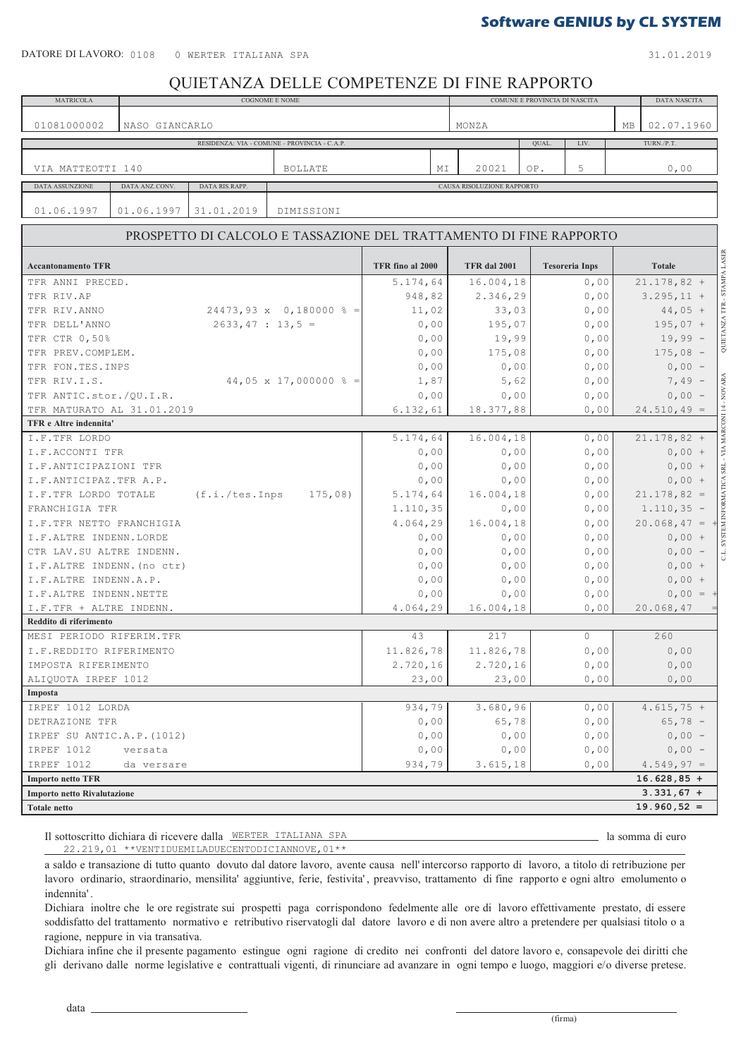31.01.2019

### QUIETANZA DELLE COMPETENZE DI FINE RAPPORTO

| <b>MATRICOLA</b>            |                |                      | COGNOME E NOME                                                     |                      | COMUNE E PROVINCIA DI NASCITA<br>DATA NASCITA      |                      |                       |           |                                                  |  |
|-----------------------------|----------------|----------------------|--------------------------------------------------------------------|----------------------|----------------------------------------------------|----------------------|-----------------------|-----------|--------------------------------------------------|--|
|                             |                |                      |                                                                    |                      |                                                    |                      |                       |           |                                                  |  |
| 01081000002                 | NASO GIANCARLO |                      |                                                                    |                      | MONZA                                              |                      |                       | <b>MB</b> | 02.07.1960                                       |  |
|                             |                |                      | RESIDENZA: VIA - COMUNE - PROVINCIA - C.A.P.                       |                      |                                                    | QUAL.                | LIV.                  |           | TURN./P.T.                                       |  |
|                             |                |                      |                                                                    |                      |                                                    |                      |                       |           |                                                  |  |
| VIA MATTEOTTI 140           |                |                      | <b>BOLLATE</b>                                                     | MΙ                   | 20021                                              | OP.                  | 5                     |           | 0,00                                             |  |
| DATA ASSUNZIONE             | DATA ANZ.CONV. | DATA RIS.RAPP.       |                                                                    |                      | CAUSA RISOLUZIONE RAPPORTO                         |                      |                       |           |                                                  |  |
|                             |                |                      |                                                                    |                      |                                                    |                      |                       |           |                                                  |  |
| 01.06.1997                  | 01.06.1997     | 31.01.2019           | DIMISSIONI                                                         |                      |                                                    |                      |                       |           |                                                  |  |
|                             |                |                      | PROSPETTO DI CALCOLO E TASSAZIONE DEL TRATTAMENTO DI FINE RAPPORTO |                      |                                                    |                      |                       |           |                                                  |  |
|                             |                |                      |                                                                    |                      |                                                    |                      |                       |           |                                                  |  |
| <b>Accantonamento TFR</b>   |                |                      |                                                                    | TFR fino al 2000     | <b>TFR</b> dal 2001                                |                      | <b>Tesoreria Inps</b> |           | <b>Totale</b>                                    |  |
| TFR ANNI PRECED.            |                |                      |                                                                    | 5.174,64             | 16.004,18                                          |                      | 0,00                  |           | $21.178,82 +$                                    |  |
| TFR RIV.AP                  |                |                      |                                                                    | 948,82               | 2.346,29                                           |                      | 0,00                  |           | $3.295, 11 +$                                    |  |
| TFR RIV. ANNO               |                |                      | $24473,93 \times 0,180000 \text{ s} =$                             | 11,02                | 33,03                                              |                      | 0,00                  |           | QUIETANZA TFR - STAMPA LASER<br>$44,05 +$        |  |
| TFR DELL'ANNO               |                | $2633, 47 : 13, 5 =$ |                                                                    | 0,00                 | 195,07                                             |                      | 0,00                  |           | $195,07 +$                                       |  |
| TFR CTR 0,50%               |                |                      |                                                                    | 0,00                 | 19,99                                              |                      | 0,00                  |           | $19,99 -$                                        |  |
| TFR PREV.COMPLEM.           |                |                      |                                                                    | 0,00                 | 175,08                                             |                      | 0,00                  |           | $175,08 -$                                       |  |
| TFR FON.TES.INPS            |                |                      |                                                                    | 0,00                 | 0,00                                               |                      | 0,00                  |           | $0,00 -$                                         |  |
| TFR RIV.I.S.                |                |                      | 44,05 x 17,000000 $\frac{1}{6}$ =                                  | 1,87                 | 5,62                                               |                      | 0,00                  |           | $7,49 -$                                         |  |
| TFR ANTIC.stor./QU.I.R.     |                |                      |                                                                    | 0,00                 | 0,00                                               |                      | 0,00                  |           | $0,00 -$                                         |  |
| TFR MATURATO AL 31.01.2019  |                |                      |                                                                    | 6.132, 61            | 18.377,88                                          |                      | 0,00                  |           | $24.510, 49 =$                                   |  |
| TFR e Altre indennita'      |                |                      |                                                                    |                      |                                                    |                      |                       |           | SYSTEM INFORMATICA SRL - VIA MARCONI 14 - NOVARA |  |
| I.F.TFR LORDO               |                |                      |                                                                    | 5.174,64             | 16.004,18                                          |                      | 0,00                  |           | $21.178,82 +$                                    |  |
| I.F.ACCONTI TFR             |                |                      |                                                                    | 0,00                 | 0,00                                               |                      | 0,00                  |           | $0,00 +$                                         |  |
| I.F.ANTICIPAZIONI TFR       |                |                      |                                                                    | 0,00                 | 0,00                                               |                      | 0,00                  |           | $0,00 +$                                         |  |
| I.F.ANTICIPAZ.TFR A.P.      |                |                      |                                                                    | 0,00                 | 0,00                                               |                      | 0,00                  |           | $0,00 +$                                         |  |
| I.F.TFR LORDO TOTALE        |                | $(f.i./tes.$ Inps    | 175,08                                                             | 5.174,64             | $21.178,82 =$                                      |                      |                       |           |                                                  |  |
| FRANCHIGIA TFR              |                |                      |                                                                    | 1.110, 35            | 16.004,18<br>0,00<br>0,00<br>$1.110, 35 -$<br>0,00 |                      |                       |           |                                                  |  |
| I.F.TFR NETTO FRANCHIGIA    |                |                      |                                                                    | 4.064, 29            | 16.004,18                                          | 0,00                 |                       |           | $20.068, 47 =$                                   |  |
| I.F.ALTRE INDENN.LORDE      |                |                      |                                                                    | 0,00                 | 0,00<br>0,00                                       |                      |                       | $0,00 +$  |                                                  |  |
| CTR LAV.SU ALTRE INDENN.    |                |                      |                                                                    | 0,00                 | 0,00                                               | $0,00 -$             |                       |           |                                                  |  |
| I.F.ALTRE INDENN. (no ctr)  |                |                      |                                                                    | 0,00                 |                                                    | 0,00<br>0,00<br>0,00 |                       |           | $0,00 +$                                         |  |
| I.F.ALTRE INDENN.A.P.       |                |                      |                                                                    | $0$ , $00$           | 0,00                                               |                      | 0,00                  |           | $0,00 +$                                         |  |
| I.F.ALTRE INDENN.NETTE      |                |                      |                                                                    | 0,00                 | 0,00                                               |                      | 0,00                  |           | $0,00 = +$                                       |  |
| I.F.TFR + ALTRE INDENN.     |                |                      |                                                                    | 4.064, 29            | 16.004,18                                          |                      | 0,00                  |           | 20.068, 47                                       |  |
| Reddito di riferimento      |                |                      |                                                                    |                      |                                                    |                      |                       |           |                                                  |  |
| MESI PERIODO RIFERIM.TFR    |                |                      |                                                                    | 43                   | 217                                                |                      | 0                     |           | 260                                              |  |
| I.F.REDDITO RIFERIMENTO     |                |                      |                                                                    | 11.826,78            | 11.826,78                                          |                      | 0,00                  |           | 0,00                                             |  |
| IMPOSTA RIFERIMENTO         |                |                      |                                                                    | 2.720,16             | 2.720, 16                                          |                      | 0,00                  |           | $0$ , $00$                                       |  |
| ALIQUOTA IRPEF 1012         |                |                      |                                                                    | 23,00                | 23,00                                              |                      | 0,00                  |           | $0$ , $00$                                       |  |
| Imposta                     |                |                      |                                                                    |                      |                                                    |                      |                       |           |                                                  |  |
| IRPEF 1012 LORDA            |                |                      |                                                                    | 934,79               | 3.680,96                                           |                      | 0,00                  |           | $4.615,75 +$                                     |  |
| DETRAZIONE TFR              |                |                      |                                                                    | 0,00                 | 65,78                                              |                      | 0,00                  |           | $65,78 -$                                        |  |
| IRPEF SU ANTIC.A.P. (1012)  |                |                      |                                                                    | 0,00<br>0,00<br>0,00 |                                                    |                      |                       | $0,00 -$  |                                                  |  |
| IRPEF 1012                  | versata        |                      |                                                                    | $0$ , $00$           | 0,00                                               |                      | 0,00                  |           | $0,00 -$                                         |  |
| IRPEF 1012                  | da versare     |                      |                                                                    | 934,79               | 3.615, 18                                          |                      | 0,00                  |           | $4.549,97 =$                                     |  |
| <b>Importo netto TFR</b>    |                |                      |                                                                    |                      |                                                    | $16.628,85 +$        |                       |           |                                                  |  |
| Importo netto Rivalutazione |                |                      |                                                                    |                      |                                                    |                      |                       |           | $3.331,67 +$                                     |  |
| <b>Totale netto</b>         |                |                      |                                                                    |                      |                                                    |                      |                       |           | $19.960,52 =$                                    |  |
|                             |                |                      |                                                                    |                      |                                                    |                      |                       |           |                                                  |  |

Il sottoscritto dichiara di ricevere dalla WERTER ITALIANA SPA anno 1999 alla somma di euro  $22.219.01$  \*\*VENTIDUEMILADUECENTODICIANNOVE.01\*\*

\_ la somma di euro

a saldo e transazione di tutto quanto dovuto dal datore lavoro, avente causa nell' intercorso rapporto di lavoro, a titolo di retribuzione per lavoro ordinario, straordinario, mensilita' aggiuntive, ferie, festivita', preavviso, trattamento di fine rapporto e ogni altro emolumento o indennita' .

Dichiara inoltre che le ore registrate sui prospetti paga corrispondono fedelmente alle ore di lavoro effettivamente prestato, di essere soddisfatto del trattamento normativo e retributivo riservatogli dal datore lavoro e di non avere altro a pretendere per qualsiasi titolo o a ragione, neppure in via transativa.

Dichiara infine che il presente pagamento estingue ogni ragione di credito nei confronti del datore lavoro e, consapevole dei diritti che gli derivano dalle norme legislative e contrattuali vigenti, di rinunciare ad avanzare in ogni tempo e luogo, maggiori e/o diverse pretese.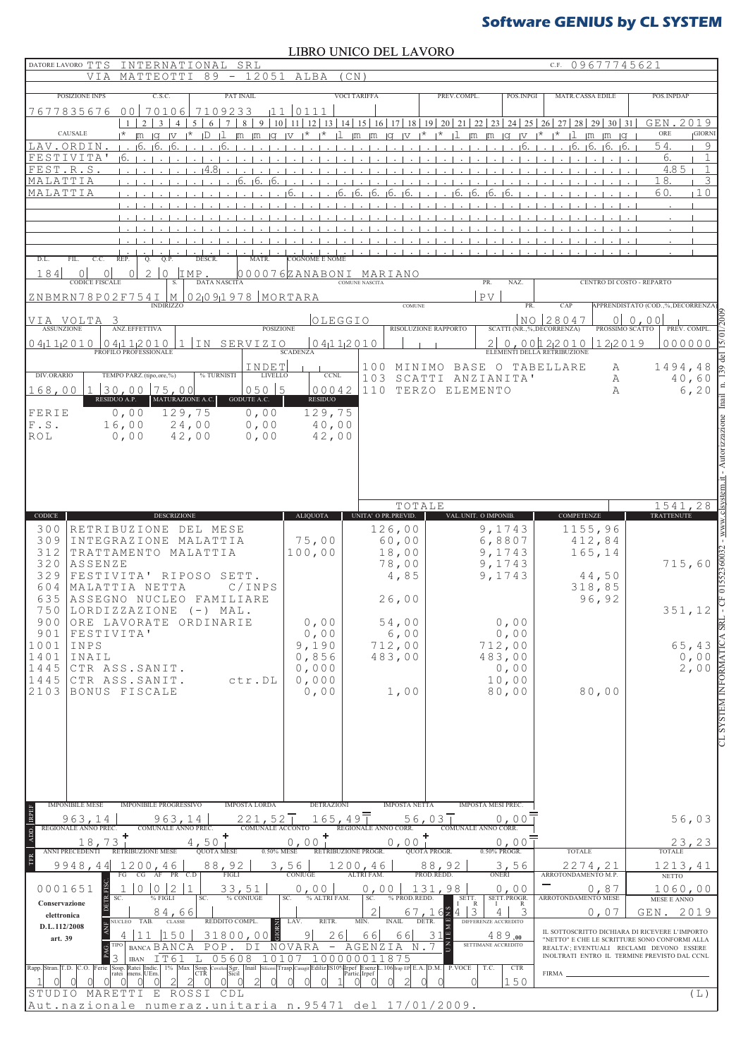LIBRO UNICO DEL LAVORO

| DATORE LAVORO TTS<br>INTERNATIONAL SRL                                                                                                                                 |                                                                                                                                                                      |                                                                                 | C.F. 09677745621                                                                                                                                                                                                                                                                                           |                                                                |
|------------------------------------------------------------------------------------------------------------------------------------------------------------------------|----------------------------------------------------------------------------------------------------------------------------------------------------------------------|---------------------------------------------------------------------------------|------------------------------------------------------------------------------------------------------------------------------------------------------------------------------------------------------------------------------------------------------------------------------------------------------------|----------------------------------------------------------------|
| $89 - 12051$<br><b>VTA</b><br>MATTEOTTI                                                                                                                                | ALBA<br>(CN)                                                                                                                                                         |                                                                                 |                                                                                                                                                                                                                                                                                                            |                                                                |
| POSIZIONE INPS<br>C.S.C.<br>PAT INAIL                                                                                                                                  | <b>VOCI TARIFFA</b>                                                                                                                                                  | PREV.COMPL.<br>POS. INPGI                                                       | <b>MATR.CASSA EDILE</b>                                                                                                                                                                                                                                                                                    | POS. INPDAP                                                    |
| 00<br>7677835676<br>70106<br>7109233<br>111<br>10 <sup>1</sup><br>$\mathfrak{D}$<br>5 <sup>1</sup><br>6<br>$\tau$<br>$8 \mid 9$                                        | 0111<br>$11 \mid 12 \mid 13 \mid 14 \mid 15 \mid 16 \mid 17 \mid 18 \mid 19 \mid 20 \mid 21 \mid 22 \mid 23 \mid 24 \mid 25 \mid 26 \mid$                            |                                                                                 | $27$ $28$ $29$ $30$ $31$                                                                                                                                                                                                                                                                                   | GEN.<br>2019                                                   |
| CAUSALE<br>$\mathsf{I}^\star$  m  q  v   $\mathsf{I}^\star$<br>ID<br>$m$ $m$<br>$\blacksquare$                                                                         | $ \alpha $ $ \mathbf{v} $ $ \mathbf{x} $ $ \mathbf{x} $<br>$\lfloor m \rfloor m \rfloor q \lfloor v \rfloor^* \rfloor^* \lfloor \frac{1}{2} \rfloor$<br>$\mathbf{1}$ |                                                                                 | $\mathbb{R}$ im $\mathbb{R}$ in $\mathbb{R}$ is $\mathbb{R}$ if $\mathbb{R}$ if $\mathbb{R}$ if $\mathbb{R}$ if $\mathbb{R}$ if $\mathbb{R}$ if $\mathbb{R}$ if $\mathbb{R}$ if $\mathbb{R}$ if $\mathbb{R}$ if $\mathbb{R}$ if $\mathbb{R}$ if $\mathbb{R}$ if $\mathbb{R}$ if $\mathbb{R}$ if $\mathbb{$ | ORE<br><b>GIORN</b>                                            |
| LAV.ORDIN<br>16.<br>-16.<br>16<br>FESTIVITA'<br>т.                                                                                                                     |                                                                                                                                                                      | 16.                                                                             | 16.16.16.16.                                                                                                                                                                                                                                                                                               | 54.<br>9<br>6.<br>$\mathbf{1}$                                 |
| FEST.R.S<br>i 4.8                                                                                                                                                      |                                                                                                                                                                      |                                                                                 |                                                                                                                                                                                                                                                                                                            | 4.85<br>1                                                      |
| MALATTIA<br>16.<br>-16.<br>16<br>MALATTIA                                                                                                                              |                                                                                                                                                                      |                                                                                 |                                                                                                                                                                                                                                                                                                            | 18.<br>3<br>10<br>60.                                          |
|                                                                                                                                                                        |                                                                                                                                                                      |                                                                                 |                                                                                                                                                                                                                                                                                                            |                                                                |
|                                                                                                                                                                        |                                                                                                                                                                      |                                                                                 |                                                                                                                                                                                                                                                                                                            |                                                                |
|                                                                                                                                                                        |                                                                                                                                                                      |                                                                                 |                                                                                                                                                                                                                                                                                                            |                                                                |
| D.L.<br>FIL.<br>C.C.<br>REP.<br>Q.P.<br>DESCR.<br>0.                                                                                                                   |                                                                                                                                                                      |                                                                                 |                                                                                                                                                                                                                                                                                                            |                                                                |
| 184<br>2<br>$\bigcirc$<br>IMP.<br>$\underbrace{0 0 }_{\text{CODE FISCALE}}$<br>$\Omega$<br><b>DATA NASCITA</b>                                                         | 0000076ZANABONI MARIANO<br><b>COMUNE NASCITA</b>                                                                                                                     | PR.<br>NAZ.                                                                     | CENTRO DI COSTO - REPARTO                                                                                                                                                                                                                                                                                  |                                                                |
| $02091978$ MORTARA<br>ZNBMRN78P02F754I<br>$\frac{1}{1}$ M                                                                                                              |                                                                                                                                                                      | PV                                                                              |                                                                                                                                                                                                                                                                                                            |                                                                |
|                                                                                                                                                                        | <b>COMUNE</b>                                                                                                                                                        | PR.                                                                             | CAP                                                                                                                                                                                                                                                                                                        | APPRENDISTATO (COD.,%,DECORRENZ/                               |
| VIA VOLTA<br>3<br><b>ASSUNZIONE</b><br><b>POSIZIONE</b><br>ANZ.EFFETTIVA                                                                                               | OLEGGIO<br>RISOLUZIONE RAPPORTO                                                                                                                                      | SCATTI (NR.,%, DECORRENZA)                                                      | NO 28047<br>PROSSIMO SCATTO                                                                                                                                                                                                                                                                                | $0 \ 0,00$<br>PREV. COMPL.                                     |
| $\underbrace{0 41 12 0 10}_{PROFLO PROFESSIONALE}$<br>IN SERVIZIO<br>04112010                                                                                          | 04112010<br><b>SCADENZA</b>                                                                                                                                          | 2 <sup>1</sup><br>ELEMENTI DELLA RETRIBUZIONE                                   | 0,00 12 2010<br>122019                                                                                                                                                                                                                                                                                     | 000000                                                         |
| INDET                                                                                                                                                                  | 100                                                                                                                                                                  | MINIMO BASE O TABELLARE                                                         | A                                                                                                                                                                                                                                                                                                          | 1494,48                                                        |
| TEMPO PARZ.(tipo,ore,%)<br>DIV.ORARIO<br>% TURNISTI<br><b>LIVELLO</b><br>$30,00$ 75,00<br>$050$ 5                                                                      | <b>CCNL</b><br>103                                                                                                                                                   | SCATTI ANZIANITA'                                                               | А                                                                                                                                                                                                                                                                                                          | 40,60                                                          |
| 168,00 1<br>RESIDUO A.P.<br>MATURAZIONE A.C.<br><b>GODUTE A.C.</b>                                                                                                     | 00042<br>110<br>RESIDUO                                                                                                                                              | TERZO ELEMENTO                                                                  | $\mathbb{A}$                                                                                                                                                                                                                                                                                               | 6, 20                                                          |
| 0,00<br>129,75<br>0,00<br>FERIE<br>0,00<br>$F.S.$<br>16,00<br>24,00                                                                                                    | 129,75<br>40,00                                                                                                                                                      |                                                                                 |                                                                                                                                                                                                                                                                                                            |                                                                |
| 0,00<br>ROL<br>0,00<br>42,00                                                                                                                                           | 42,00                                                                                                                                                                |                                                                                 |                                                                                                                                                                                                                                                                                                            |                                                                |
|                                                                                                                                                                        |                                                                                                                                                                      |                                                                                 |                                                                                                                                                                                                                                                                                                            | Autorizzazione                                                 |
|                                                                                                                                                                        |                                                                                                                                                                      |                                                                                 |                                                                                                                                                                                                                                                                                                            |                                                                |
|                                                                                                                                                                        |                                                                                                                                                                      |                                                                                 |                                                                                                                                                                                                                                                                                                            |                                                                |
| CODICE<br><b>DESCRIZIONE</b>                                                                                                                                           | TOTALE<br><b>ALIQUOTA</b><br>UNITA' O PR. PREVID.                                                                                                                    | VAL. UNIT. O IMPONIB.                                                           | <b>COMPETENZE</b>                                                                                                                                                                                                                                                                                          | 1541,28<br>TRATTENUTE                                          |
| 300<br>RETRIBUZIONE DEL MESE                                                                                                                                           | 126,00                                                                                                                                                               | 9,1743                                                                          | 1155,96                                                                                                                                                                                                                                                                                                    |                                                                |
| 309<br>INTEGRAZIONE MALATTIA<br>312<br>TRATTAMENTO MALATTIA                                                                                                            | 75,00<br>60,00<br>100,00<br>18,00                                                                                                                                    | 6,8807<br>9,1743                                                                | 412,84<br>165,14                                                                                                                                                                                                                                                                                           |                                                                |
| 320<br>ASSENZE                                                                                                                                                         | 78,00                                                                                                                                                                | 9,1743                                                                          |                                                                                                                                                                                                                                                                                                            | 715,60                                                         |
| 329<br>FESTIVITA' RIPOSO<br>SETT.<br>604<br>MALATTIA NETTA<br>C/INPS                                                                                                   | 4,85                                                                                                                                                                 | 9,1743                                                                          | 44,50<br>318,85                                                                                                                                                                                                                                                                                            |                                                                |
| 635<br>ASSEGNO NUCLEO FAMILIARE                                                                                                                                        | 26,00                                                                                                                                                                |                                                                                 | 96,92                                                                                                                                                                                                                                                                                                      |                                                                |
| 750<br>LORDIZZAZIONE (-) MAL.<br>900<br>ORE LAVORATE ORDINARIE                                                                                                         | 0,00<br>54,00                                                                                                                                                        | $0$ , $0$ $0$                                                                   |                                                                                                                                                                                                                                                                                                            | 351,12                                                         |
| 901<br>FESTIVITA'                                                                                                                                                      | 0,00<br>6,00                                                                                                                                                         | 0,00                                                                            |                                                                                                                                                                                                                                                                                                            | $\overline{A}$ SR                                              |
| 1001<br>INPS<br>1401<br>INAIL                                                                                                                                          | 9,190<br>712,00<br>483,00<br>0,856                                                                                                                                   | 712,00<br>483,00                                                                |                                                                                                                                                                                                                                                                                                            | 65,43                                                          |
| 1445<br>CTR ASS. SANIT.                                                                                                                                                | 0,000                                                                                                                                                                | 0,00                                                                            |                                                                                                                                                                                                                                                                                                            | $\begin{smallmatrix} 0 & 0 & 0 \\ 2 & 0 & 0 \end{smallmatrix}$ |
| 1445<br>CTR ASS. SANIT.<br>ctr.DL<br>2103<br>BONUS FISCALE                                                                                                             | 0,000                                                                                                                                                                | 10,00                                                                           | 80,00                                                                                                                                                                                                                                                                                                      | LYMNOJNI MELSAS                                                |
|                                                                                                                                                                        | 0,00<br>1,00                                                                                                                                                         | 80,00                                                                           |                                                                                                                                                                                                                                                                                                            |                                                                |
|                                                                                                                                                                        |                                                                                                                                                                      |                                                                                 |                                                                                                                                                                                                                                                                                                            |                                                                |
|                                                                                                                                                                        |                                                                                                                                                                      |                                                                                 |                                                                                                                                                                                                                                                                                                            |                                                                |
|                                                                                                                                                                        |                                                                                                                                                                      |                                                                                 |                                                                                                                                                                                                                                                                                                            |                                                                |
|                                                                                                                                                                        |                                                                                                                                                                      |                                                                                 |                                                                                                                                                                                                                                                                                                            |                                                                |
|                                                                                                                                                                        |                                                                                                                                                                      |                                                                                 |                                                                                                                                                                                                                                                                                                            |                                                                |
| <b>IMPOSTA LORDA</b><br><b>IMPONIBILE MESE</b><br><b>IMPONIBILE PROGRESSIVO</b>                                                                                        | <b>DETRAZIONI</b><br><b>IMPOSTA NETTA</b>                                                                                                                            | <b>IMPOSTA MESI PREC.</b>                                                       |                                                                                                                                                                                                                                                                                                            |                                                                |
| 221,52  <br>963,14<br>963,14<br>REGIONALE ANNO PREC.<br>COMUNALE ACCONTO<br>COMUNALE ANNO PREC.<br>٠                                                                   | $165,49$ T<br>56,03<br>REGIONALE ANNO CORR.                                                                                                                          | 0.00<br><b>COMUNALE ANNO CORR.</b>                                              |                                                                                                                                                                                                                                                                                                            | 56,03                                                          |
| 4,50<br>0.50% MESE<br><b>ANNI PRECEDENTI</b><br>RETRIBUZIONE MESE<br><b>QUOTA MESE</b>                                                                                 | 0,00<br>0,00<br>RETRIBUZIONE PROGR.                                                                                                                                  | 0,00<br>0.50% PROGR.<br><b>QUOTA PROGR.</b>                                     | <b>TOTALE</b>                                                                                                                                                                                                                                                                                              | 23,23<br><b>TOTALE</b>                                         |
| 88,92<br>9948,44<br>1200,46                                                                                                                                            | 3,56<br>1200,46                                                                                                                                                      | 88,92<br>3,56                                                                   | $2274$ , $21$<br>ARROTONDAMENTO M.P.                                                                                                                                                                                                                                                                       | 1213,41                                                        |
| FG<br>$CG$ $AF$<br>PR C.D<br>FIGLI<br>$1 \vert 0$<br>$\mathbf{1}$                                                                                                      | ALTRI FAM.<br><b>CONIUGE</b>                                                                                                                                         | ONERI<br>PROD.REDD.                                                             |                                                                                                                                                                                                                                                                                                            | <b>NETTO</b>                                                   |
| $0 \mid 2$<br>0001651<br>33,51<br>$%$ FIGLI<br>SC.<br>% CONIUGE<br>Conservazione                                                                                       | 0,00<br>0,00<br>% ALTRI FAM.<br>SC.<br>% PROD.REDD.<br>SC.                                                                                                           | 131,98<br>0,00<br>SETT.PROGR.<br>sett.<br><sup>I</sup> R<br>4 3<br>$\mathbf{I}$ | 0,87<br>ARROTONDAMENTO MESE                                                                                                                                                                                                                                                                                | 1060,00<br>MESE E ANNO                                         |
| 84,66<br>elettronica<br>REDDITO COMPL.<br>TAB.<br><b>CLASSE</b>                                                                                                        | RETR.<br>LAV.<br><b>MIN</b>                                                                                                                                          | 3<br>4<br>DIFFERENZE ACCREDITO                                                  | 0,07                                                                                                                                                                                                                                                                                                       | GEN. 2019                                                      |
| D.L.112/2008<br>es.<br>150<br>31800,00<br>art. 39                                                                                                                      | 9<br>26<br>66<br>66                                                                                                                                                  | 31<br>489.00                                                                    | IL SOTTOSCRITTO DICHIARA DI RICEVERE L'IMPORTO<br>"NETTO" E CHE LE SCRITTURE SONO CONFORMI ALLA                                                                                                                                                                                                            |                                                                |
| POP.<br>BANCA BANCA<br>DΙ                                                                                                                                              | NOVARA<br>AGENZIA<br>$\overline{\phantom{m}}$<br>$N$ .                                                                                                               | SETTIMANE ACCREDITO                                                             | REALTA'; EVENTUALI RECLAMI DEVONO ESSERE<br>INOLTRATI ENTRO IL TERMINE PREVISTO DAL CCNL                                                                                                                                                                                                                   |                                                                |
| 05608<br>IT61<br>101<br>L<br><b>IBAN</b><br>Sosp. Ratei Indic.<br>ratei mens. UEm.<br>$1\%$ Max<br>Sosp. Covelco Sgr. Inail<br>CTR Sicil<br>Rapp. Stran. T.D.<br>Ferie | 10000<br>1875<br>Λ<br>0 <sub>0</sub><br>IS10% Irpef Esenz L.106 Irap EP E.A. D.M. P.VOCE<br>Partic Irpef                                                             | <b>CTR</b><br>T.C.                                                              | FIRMA.                                                                                                                                                                                                                                                                                                     |                                                                |
| $\mathcal{D}$<br>()<br>$\left( \right)$<br>$\left( \right)$                                                                                                            |                                                                                                                                                                      | 150                                                                             |                                                                                                                                                                                                                                                                                                            |                                                                |
| MARETTI E ROSSI CDL<br>STUDIO<br>Aut.nazionale numeraz.unitaria n.95471 del 17/01/2009.                                                                                |                                                                                                                                                                      |                                                                                 |                                                                                                                                                                                                                                                                                                            | (L)                                                            |
|                                                                                                                                                                        |                                                                                                                                                                      |                                                                                 |                                                                                                                                                                                                                                                                                                            |                                                                |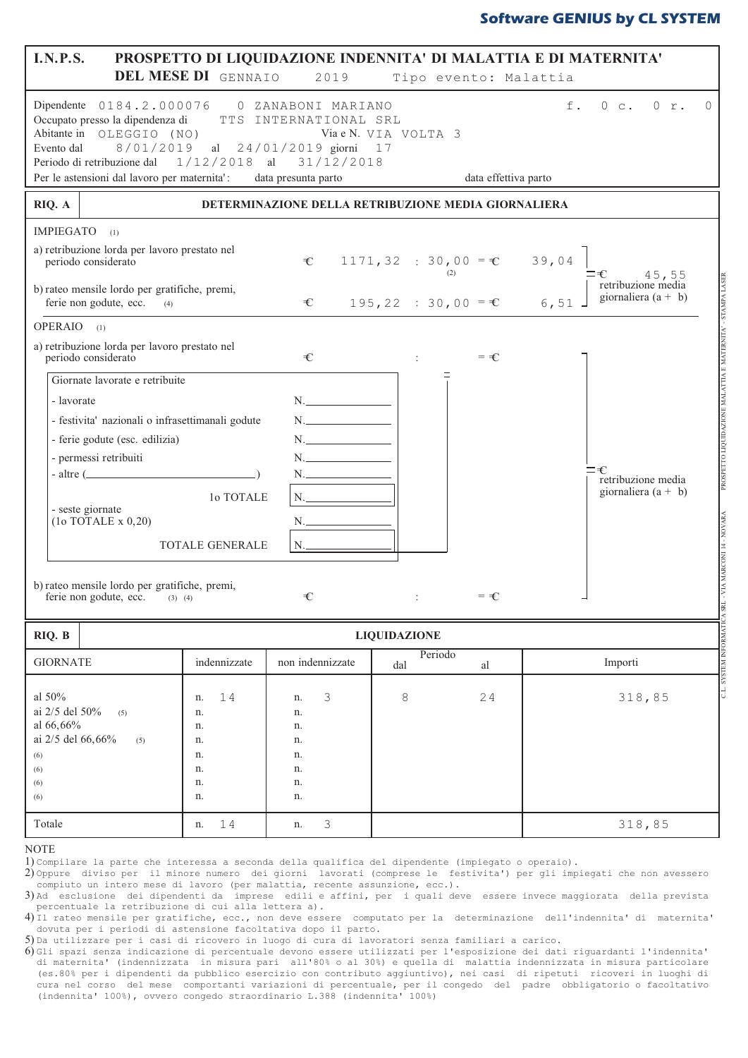| <b>I.N.P.S.</b><br>PROSPETTO DI LIQUIDAZIONE INDENNITA' DI MALATTIA E DI MATERNITA'<br>DEL MESE DI GENNAIO<br>2019<br>Tipo evento: Malattia                                                                                                                                                                                                                                               |                                                                                                                                                                                                                                                                                                                                                                                                                                                         |                                                                                                            |                     |                                              |                                                                                                                                                      |  |  |  |  |  |  |  |  |
|-------------------------------------------------------------------------------------------------------------------------------------------------------------------------------------------------------------------------------------------------------------------------------------------------------------------------------------------------------------------------------------------|---------------------------------------------------------------------------------------------------------------------------------------------------------------------------------------------------------------------------------------------------------------------------------------------------------------------------------------------------------------------------------------------------------------------------------------------------------|------------------------------------------------------------------------------------------------------------|---------------------|----------------------------------------------|------------------------------------------------------------------------------------------------------------------------------------------------------|--|--|--|--|--|--|--|--|
| Evento dal                                                                                                                                                                                                                                                                                                                                                                                | Dipendente 0184.2.000076<br>$f$ .<br>0 c. 0 r.<br>$\bigcap$<br>0 ZANABONI MARIANO<br>Occupato presso la dipendenza di<br>TTS INTERNATIONAL SRL<br>Abitante in OLEGGIO (NO)<br>Via e N. VIA VOLTA 3<br>8/01/2019<br>al 24/01/2019 giorni 17<br>Periodo di retribuzione dal 1/12/2018 al 31/12/2018<br>Per le astensioni dal lavoro per maternita':<br>data presunta parto<br>data effettiva parto<br>DETERMINAZIONE DELLA RETRIBUZIONE MEDIA GIORNALIERA |                                                                                                            |                     |                                              |                                                                                                                                                      |  |  |  |  |  |  |  |  |
| RIQ. A                                                                                                                                                                                                                                                                                                                                                                                    |                                                                                                                                                                                                                                                                                                                                                                                                                                                         |                                                                                                            |                     |                                              |                                                                                                                                                      |  |  |  |  |  |  |  |  |
| <b>IMPIEGATO</b><br>(1)<br>a) retribuzione lorda per lavoro prestato nel<br>periodo considerato                                                                                                                                                                                                                                                                                           |                                                                                                                                                                                                                                                                                                                                                                                                                                                         | €                                                                                                          |                     | 1171, 32 : 30, 00 = $\epsilon$ 39, 04<br>(2) | ≕€<br>€ $45, 55$<br>retribuzione media                                                                                                               |  |  |  |  |  |  |  |  |
| b) rateo mensile lordo per gratifiche, premi,<br>ferie non godute, ecc.<br>(4)                                                                                                                                                                                                                                                                                                            |                                                                                                                                                                                                                                                                                                                                                                                                                                                         | $\mathcal{L}$                                                                                              |                     | $195, 22 : 30, 00 = \mathbb{C}$ 6,51         | giornaliera (a + b)                                                                                                                                  |  |  |  |  |  |  |  |  |
| OPERAIO (1)<br>a) retribuzione lorda per lavoro prestato nel<br>periodo considerato<br>Giornate lavorate e retribuite<br>- lavorate<br>- festivita' nazionali o infrasettimanali godute<br>- ferie godute (esc. edilizia)<br>- permessi retribuiti<br>$-$ altre $($<br>- seste giornate<br>(10 TOTALE x 0, 20)<br>b) rateo mensile lordo per gratifiche, premi,<br>ferie non godute, ecc. | 10 TOTALE<br>TOTALE GENERALE<br>$(3)$ $(4)$                                                                                                                                                                                                                                                                                                                                                                                                             | $\in$<br>$N_{\rm c}$<br>N.<br>$N$ .<br>$N_{\rm c}$<br>N.__<br>$N_{\cdot}$<br>N._______<br>$N_{\cdot}$<br>€ |                     | $=$ $\infty$<br>$=$ $\infty$                 | BESVT VAINVLS - .V.LINNELVVN E VILLVTVIN ENOIZVCIINOTT OLLEASONA<br>=€<br>retribuzione media<br>giornaliera (a + b)<br><b>ARAON - 11 INOORAN AIV</b> |  |  |  |  |  |  |  |  |
| RIQ. B                                                                                                                                                                                                                                                                                                                                                                                    |                                                                                                                                                                                                                                                                                                                                                                                                                                                         |                                                                                                            | <b>LIQUIDAZIONE</b> |                                              |                                                                                                                                                      |  |  |  |  |  |  |  |  |
| <b>GIORNATE</b>                                                                                                                                                                                                                                                                                                                                                                           | indennizzate                                                                                                                                                                                                                                                                                                                                                                                                                                            | non indennizzate                                                                                           | dal                 | Periodo<br>al                                | C.L. SYSTEM INFORMATICA SI<br>Importi                                                                                                                |  |  |  |  |  |  |  |  |
| al 50%<br>ai 2/5 del 50%<br>(5)<br>al 66,66%<br>ai 2/5 del 66,66%<br>(5)<br>(6)<br>(6)<br>(6)<br>(6)                                                                                                                                                                                                                                                                                      | 14<br>n.<br>n.<br>n.<br>n.<br>n.<br>n.<br>n.<br>n.                                                                                                                                                                                                                                                                                                                                                                                                      | 3<br>n.<br>n.<br>n.<br>n.<br>n.<br>n.<br>n.<br>n.                                                          | 8                   | 24                                           | 318,85                                                                                                                                               |  |  |  |  |  |  |  |  |
| Totale                                                                                                                                                                                                                                                                                                                                                                                    | 14<br>n.                                                                                                                                                                                                                                                                                                                                                                                                                                                | 3<br>n.                                                                                                    |                     |                                              | 318,85                                                                                                                                               |  |  |  |  |  |  |  |  |

2) Oppure diviso per il minore numero dei giorni lavorati (comprese le festivita') per gli impiegati che non avesserc compiuto un intero mese di lavoro (per malattia, recente assunzione, ecc.).

5) Da utilizzare per i casi di ricovero in luogo di cura di lavoratori senza familiari a carico.

 $6)$ Gli spazi senza indicazione di percentuale devono essere utilizzati per l'esposizione dei dati riguardanti l'indennita' di maternita' (indennizzata in misura pari all'80% o al 30%) e quella di malattia indennizzata in misura particolare (es.80% per i dipendenti da pubblico esercizio con contributo aggiuntivo), nei casi di ripetuti ricoveri in luoghi di cura nel corso, del mese, comportanti variazioni di percentuale, per il congedo, del padre, obbligatorio o facoltativo (indennita' 100%), ovvero congedo straordinario L.388 (indennita' 100%)

**NOTE** 

<sup>1)</sup> Compilare la parte che interessa a seconda della qualifica del dipendente (impiegato o operaio).

 $3)$  Ad esclusione dei dipendenti da imprese edili e affini, per i quali deve essere invece maggiorata della prevista percentuale la retribuzione di cui alla lettera a).

 $4)$ Il rateo mensile per gratifiche, ecc., non deve essere computato per la determinazione dell'indennita' di maternita' dovuta per i periodi di astensione facoltativa dopo il parto.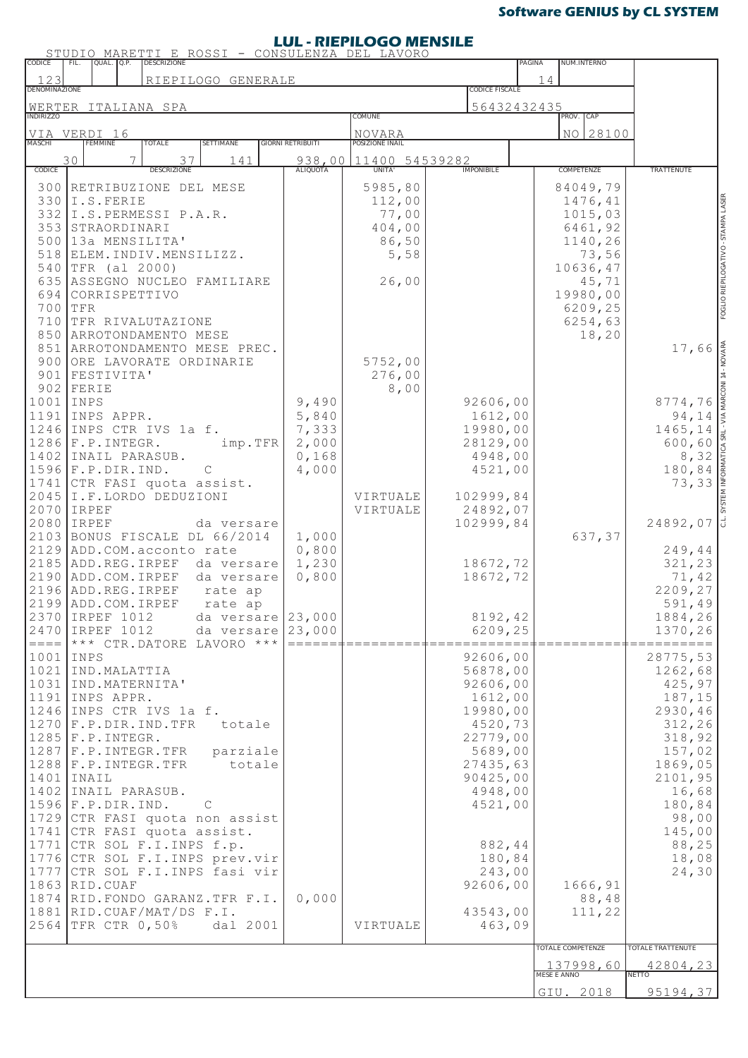### **LUL - RIEPILOGO MENSILE**

| CODICE                                                                                                                                                                       | STUDIO<br>QUAL                                                           |   | <u>'TI E<br/>descrizione</u>                                                                                                                                                                                                                     |                                                                                                                                                                                                                                                      |                                                                   | ROSSI - CONSULENZA DEL LAVORO                                  |                                                                                                                                                                                                         | PAGINA      | NUM.INTERNO                                                                                               |                                                                                                                                                                                              |
|------------------------------------------------------------------------------------------------------------------------------------------------------------------------------|--------------------------------------------------------------------------|---|--------------------------------------------------------------------------------------------------------------------------------------------------------------------------------------------------------------------------------------------------|------------------------------------------------------------------------------------------------------------------------------------------------------------------------------------------------------------------------------------------------------|-------------------------------------------------------------------|----------------------------------------------------------------|---------------------------------------------------------------------------------------------------------------------------------------------------------------------------------------------------------|-------------|-----------------------------------------------------------------------------------------------------------|----------------------------------------------------------------------------------------------------------------------------------------------------------------------------------------------|
| 123<br><b>DENOMINAZIONE</b>                                                                                                                                                  |                                                                          |   |                                                                                                                                                                                                                                                  | RIEPILOGO GENERALE                                                                                                                                                                                                                                   | <b>CODICE FISCALE</b>                                             | 14                                                             |                                                                                                                                                                                                         |             |                                                                                                           |                                                                                                                                                                                              |
|                                                                                                                                                                              |                                                                          |   | WERTER ITALIANA SPA                                                                                                                                                                                                                              |                                                                                                                                                                                                                                                      |                                                                   |                                                                |                                                                                                                                                                                                         | 56432432435 |                                                                                                           |                                                                                                                                                                                              |
| INDIRIZZO                                                                                                                                                                    |                                                                          |   |                                                                                                                                                                                                                                                  |                                                                                                                                                                                                                                                      |                                                                   | COMUNE                                                         |                                                                                                                                                                                                         |             | CAP<br>PROV.<br>NO 28100                                                                                  |                                                                                                                                                                                              |
| VIA VERDI 16<br><b>MASCHI</b>                                                                                                                                                | <b>FEMMINE</b>                                                           |   | TOTALE                                                                                                                                                                                                                                           | SETTIMANE                                                                                                                                                                                                                                            | <b>GIORNI RETRIBUITI</b>                                          | NOVARA<br>POSIZIONE INAIL                                      |                                                                                                                                                                                                         |             |                                                                                                           |                                                                                                                                                                                              |
| CODICE                                                                                                                                                                       | 30                                                                       | 7 | 37<br><b>DESCRIZIONE</b>                                                                                                                                                                                                                         | 141                                                                                                                                                                                                                                                  | 938,00<br>ALIQUOTA                                                | 11400 54539282<br>UNITA'                                       | <b>IMPONIBILE</b>                                                                                                                                                                                       |             | COMPETENZE                                                                                                | <b>TRATTENUTE</b>                                                                                                                                                                            |
| 300<br>332<br>500<br>518<br>540<br>635<br>700 TFR                                                                                                                            | 330 I.S. FERIE<br>353 STRAORDINARI<br>TFR (al 2000)<br>694 CORRISPETTIVO |   | RETRIBUZIONE DEL MESE<br>I.S.PERMESSI P.A.R.<br>13a MENSILITA'<br>ELEM.INDIV.MENSILIZZ.                                                                                                                                                          | ASSEGNO NUCLEO FAMILIARE                                                                                                                                                                                                                             |                                                                   | 5985,80<br>112,00<br>77,00<br>404,00<br>86,50<br>5,58<br>26,00 |                                                                                                                                                                                                         |             | 84049,79<br>1476,41<br>1015,03<br>6461,92<br>1140,26<br>73,56<br>10636,47<br>45,71<br>19980,00<br>6209,25 | FOGLIO RIEPILOGATIVO - STAMPA LASER                                                                                                                                                          |
| 900                                                                                                                                                                          | 901   FESTIVITA'<br>$902$ FERIE                                          |   | 710 TFR RIVALUTAZIONE<br>850 ARROTONDAMENTO MESE<br>ORE LAVORATE ORDINARIE                                                                                                                                                                       | 851 ARROTONDAMENTO MESE PREC.                                                                                                                                                                                                                        |                                                                   | 5752,00<br>276,00<br>8,00                                      |                                                                                                                                                                                                         |             | 6254,63<br>18,20                                                                                          | 17,66                                                                                                                                                                                        |
| $1001$ INPS<br>1191 INPS APPR.<br>1246<br>$1286$ $F.P. INTEGR.$<br>$1596$ $F.P.DIR.ID.$<br>2045<br>2070 IRPEF<br>2080 IRPEF                                                  |                                                                          |   | INPS CTR IVS 1a f.<br>1402 INAIL PARASUB.<br>1741 CTR FASI quota assist.<br>I.F.LORDO DEDUZIONI                                                                                                                                                  | imp.TFR<br>$\mathcal{C}$<br>da versare                                                                                                                                                                                                               | 9,490<br>5,840<br>7,333<br>2,000<br>0,168<br>4,000                | VIRTUALE<br>VIRTUALE                                           | 92606,00<br>1612,00<br>19980,00<br>28129,00<br>4948,00<br>4521,00<br>102999,84<br>24892,07<br>102999,84                                                                                                 |             |                                                                                                           | SYSTEM INFORMATICA SRL - VIA MARCONI 14 - NOVARA<br>8774,76<br>94,14<br>1465,14<br>600,60<br>8,32<br>180,84<br>73,33<br>l J<br>24892,07                                                      |
| 2129<br>2196 ADD.REG.IRPEF<br>2199 ADD.COM.IRPEF<br>2470 IRPEF 1012                                                                                                          | 2370 IRPEF 1012                                                          |   | ADD.COM.acconto rate<br>2185 ADD.REG.IRPEF<br>2190 ADD.COM.IRPEF                                                                                                                                                                                 | 2103 BONUS FISCALE DL 66/2014<br>da versare<br>da versare<br>rate ap<br>rate ap<br>da versare                                                                                                                                                        | 1,000<br>0,800<br>1,230<br>0,800<br>da versare $23,000$<br>23,000 |                                                                | 18672,72<br>18672,72<br>8192,42<br>6209,25                                                                                                                                                              |             | 637,37                                                                                                    | 249,44<br>321,23<br>71,42<br>2209,27<br>591,49<br>1884,26<br>1370,26                                                                                                                         |
| $1001$ INPS<br>1021 IND. MALATTIA<br>1031<br>1191 INPS APPR.<br>$1285$ $F.P. INTEGR.$<br>$1401$ INAIL<br>$1596$ $F.P.DIR.ID.$<br>1777<br>1863 RID.CUAF<br>2564 TFR CTR 0,50% |                                                                          |   | IND.MATERNITA'<br>1246 INPS CTR IVS 1a f.<br>$1270$ $F.P.DIR.IND.TFR$<br>1287   F.P. INTEGR. TFR<br>$1288$ $F.P. INTEGR. TFR$<br>1402 INAIL PARASUB.<br>1741 CTR FASI quota assist.<br>1771 CTR SOL F.I. INPS f.p.<br>1881 RID. CUAF/MAT/DS F.I. | $\equiv$ ==== $\mid$ *** CTR. DATORE LAVORO ***<br>totale<br>parziale<br>totale<br>$\mathcal{C}$<br>1729 CTR FASI quota non assist<br>1776 CTR SOL F.I. INPS prev. vir<br>CTR SOL F.I. INPS fasi vir<br>1874 RID. FONDO GARANZ. TFR F.I.<br>dal 2001 | $=$<br>0,000                                                      | VIRTUALE                                                       | 92606,00<br>56878,00<br>92606,00<br>1612,00<br>19980,00<br>4520,73<br>22779,00<br>5689,00<br>27435,63<br>90425,00<br>4948,00<br>4521,00<br>882,44<br>180,84<br>243,00<br>92606,00<br>43543,00<br>463,09 |             | 1666,91<br>88,48<br>111,22<br>TOTALE COMPETENZE                                                           | 28775,53<br>1262,68<br>425,97<br>187,15<br>2930,46<br>312,26<br>318,92<br>157,02<br>1869,05<br>2101,95<br>16,68<br>180,84<br>98,00<br>145,00<br>88,25<br>18,08<br>24,30<br>TOTALE TRATTENUTE |
|                                                                                                                                                                              |                                                                          |   |                                                                                                                                                                                                                                                  |                                                                                                                                                                                                                                                      |                                                                   |                                                                |                                                                                                                                                                                                         |             | 137998,60<br>MESE E ANNO                                                                                  | 42804,23<br><b>NETTO</b>                                                                                                                                                                     |
|                                                                                                                                                                              |                                                                          |   |                                                                                                                                                                                                                                                  |                                                                                                                                                                                                                                                      |                                                                   |                                                                |                                                                                                                                                                                                         |             | GIU. 2018                                                                                                 | 95194,37                                                                                                                                                                                     |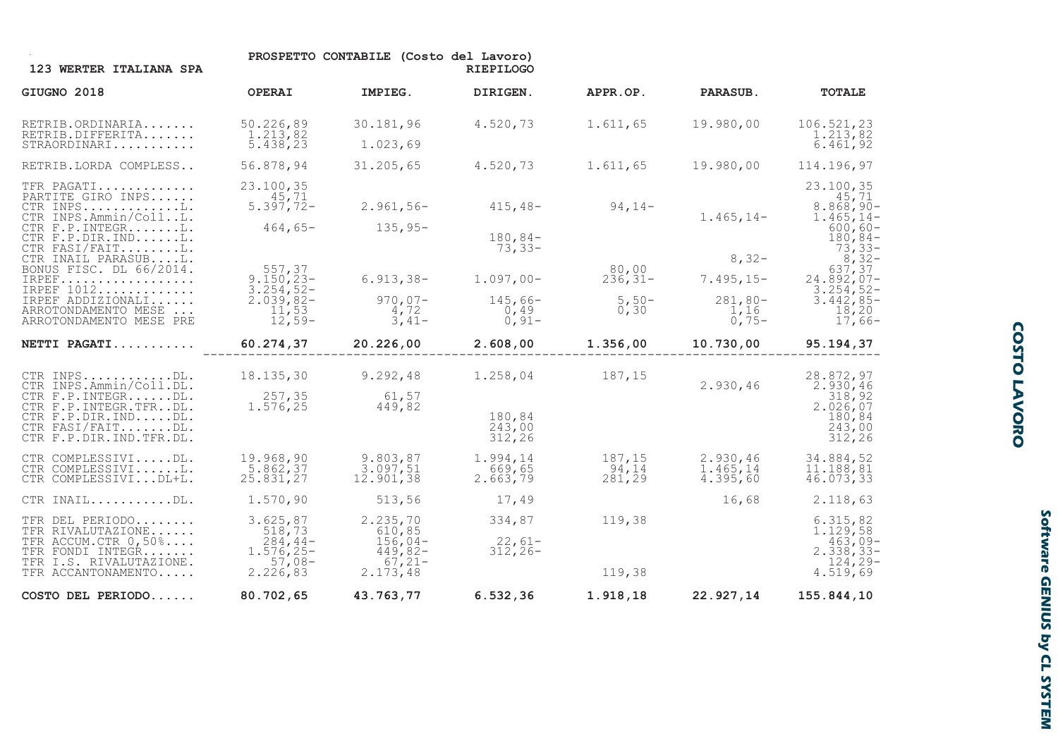| 123 WERTER ITALIANA SPA                                                                                                                                     |                                                                                           | PROSPETTO CONTABILE (Costo del Lavoro)                                | <b>RIEPILOGO</b>                            |                                          |                                                         |                                                                                                                                   |
|-------------------------------------------------------------------------------------------------------------------------------------------------------------|-------------------------------------------------------------------------------------------|-----------------------------------------------------------------------|---------------------------------------------|------------------------------------------|---------------------------------------------------------|-----------------------------------------------------------------------------------------------------------------------------------|
| GIUGNO 2018                                                                                                                                                 | <b>OPERAI</b>                                                                             | IMPIEG.                                                               | DIRIGEN.                                    | APPR.OP.                                 | <b>PARASUB.</b>                                         | <b>TOTALE</b>                                                                                                                     |
| RETRIB.ORDINARIA<br>RETRIB.DIFFERITA<br>STRAORDINARI                                                                                                        | 50.226,89<br>1.213,82<br>$\overline{5.438,23}$                                            | 30.181,96<br>1.023,69                                                 | 4.520,73                                    | 1.611,65                                 | 19.980,00                                               | 106.521,23<br>1.213,82<br>6.461,92                                                                                                |
| RETRIB.LORDA COMPLESS                                                                                                                                       | 56.878,94                                                                                 | 31.205,65                                                             | 4.520,73                                    | 1.611,65                                 | 19.980,00                                               | 114.196,97                                                                                                                        |
| TFR PAGATI<br>PARTITE GIRO INPS<br>CTR INPS $L.$<br>CTR INPS.Ammin/CollL.<br>CTR F.P. INTEGRL.<br>CTR F.P.DIR.INDL.<br>CTR FASI/FAITL.                      | 23.100,35<br>45,71<br>$5.397,72-$                                                         | $2.961,56-$<br>$464,65 - 135,95 -$                                    | $415,48-94,14-$<br>$180,84-$<br>$73,33-$    |                                          | $1.465, 14-$                                            | 23.100,35<br>45,71<br>$8.868,90-$<br>$1.465, 14-$<br>$600, 60-$<br>$180, 84-$                                                     |
| CTR INAIL PARASUBL.<br>BONUS FISC. DL 66/2014.<br>IRPEF<br>IRPEF 1012<br>IRPEF ADDIZIONALI<br>ARROTONDAMENTO MESE<br>ARROTONDAMENTO MESE PRE                | 557,37<br>$9.150, 23 -$<br>$\frac{3.254}{2.039}$ , 82-<br>$\frac{11}{12}$ , 53<br>12, 59- | $6.913, 38-$<br>$970,07-$<br>4,72<br>$3,41-$                          | $1.097,00-$<br>$145,66-$<br>0,49<br>$0,91-$ | 80,00<br>$236, 31 -$<br>$5,50-$<br>0, 30 | $8,32-$<br>$7.495, 15-$<br>$281,80-$<br>1,16<br>$0,75-$ | $\frac{73}{8}, \frac{33}{32}$<br>$\frac{8}{32}, \frac{32}{37}$<br>$24.892,07-$<br>$3.254, 52 -$<br>3.442,85-<br>18,20<br>$17,66-$ |
| NETTI PAGATI                                                                                                                                                | 60.274,37                                                                                 | 20.226,00                                                             | 2.608,00                                    | 1.356,00                                 | 10.730,00                                               | 95.194,37                                                                                                                         |
| CTR INPSDL.<br>CTR INPS.Ammin/Coll.DL.<br>CTR F.P. INTEGRDL.<br>CTR F.P. INTEGR.TFRDL.<br>CTR F.P.DIR.INDDL.<br>CTR FASI/FAITDL.<br>CTR F.P.DIR.IND.TFR.DL. | 18.135,30<br>257,35<br>1.576, 25                                                          | 9.292,48<br>61,57<br>449,82                                           | 1.258,04<br>180,84<br>243,00<br>312,26      | 187,15                                   | 2.930, 46                                               | 28.872,97<br>2.930,46<br>318,92<br>$2.\overline{0}26,07$<br>180,84<br>243,00<br>312,26                                            |
| CTR COMPLESSIVIDL.<br>CTR COMPLESSIVIL.<br>CTR COMPLESSIVIDL+L.                                                                                             | 19.968,90<br>5.862,37<br>25.831, 27                                                       | 9.803,87<br>3.097,51<br>12.901,38                                     | 1.994,14<br>669,65<br>2.663,79              | 187,15<br>94,14<br>281, 29               | 2.930, 46<br>1.465,14<br>4.395,60                       | 34.884,52<br>11.188,81<br>46.073,33                                                                                               |
| CTR INAILDL.                                                                                                                                                | 1.570, 90                                                                                 | 513,56                                                                | 17,49                                       |                                          | 16,68                                                   | 2.118,63                                                                                                                          |
| TFR DEL PERIODO<br>TFR RIVALUTAZIONE<br>TFR ACCUM.CTR 0,50%<br>TFR FONDI INTEGR<br>TFR I.S. RIVALUTAZIONE.<br>TFR ACCANTONAMENTO                            | 3.625,87<br>518,73<br>$284,44-$<br>1.576,25-<br>$57,08-2.226,83$                          | 2.235, 70<br>610,85<br>$156,04-$<br>$449,82-$<br>$67,21-$<br>2.173,48 | 334,87<br>$22,61-$<br>$312, 26 -$           | 119,38<br>119,38                         |                                                         | 6.315,82<br>1.129,58<br>$\begin{array}{c} 463,09- \\ 2.338,33-\end{array}$<br>$124, 29-$<br>4.519,69                              |
| COSTO DEL PERIODO                                                                                                                                           | 80.702,65                                                                                 | 43.763,77                                                             | 6.532, 36                                   | 1.918,18                                 | 22.927,14                                               | 155.844,10                                                                                                                        |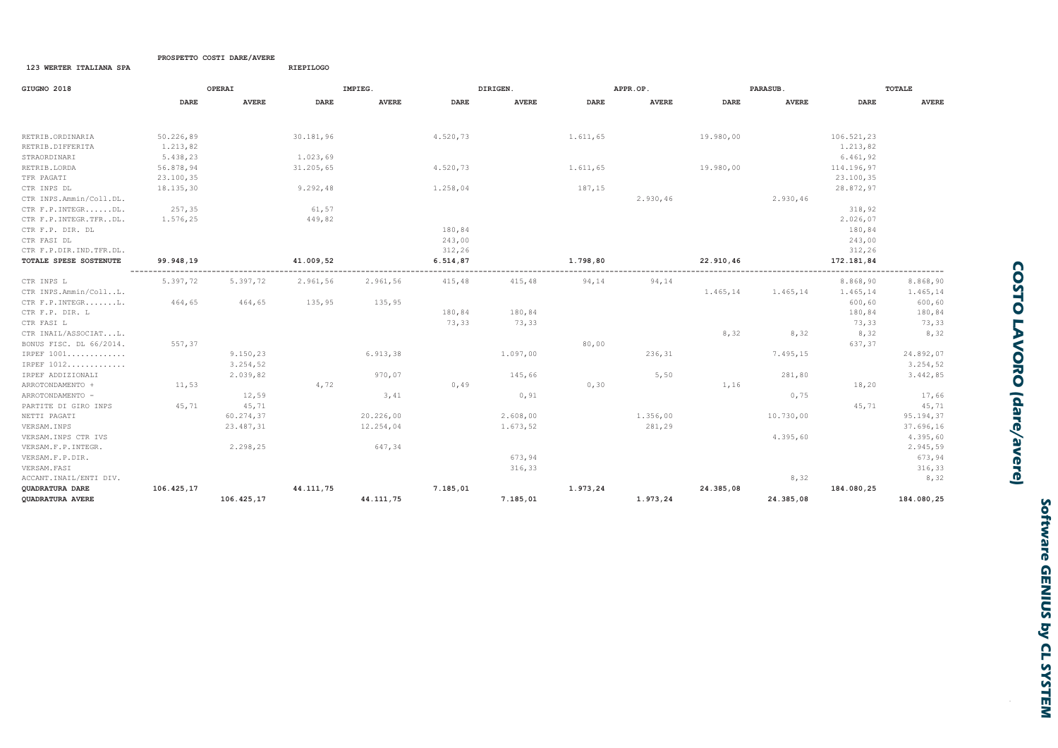| GIUGNO 2018             |            | OPERAI       |           | IMPIEG.      |             | DIRIGEN.     |             | APPR.OP.     |           | <b>PARASUB</b> |             | TOTALE       |
|-------------------------|------------|--------------|-----------|--------------|-------------|--------------|-------------|--------------|-----------|----------------|-------------|--------------|
|                         | DARE       | <b>AVERE</b> | DARE      | <b>AVERE</b> | <b>DARE</b> | <b>AVERE</b> | <b>DARE</b> | <b>AVERE</b> | DARE      | <b>AVERE</b>   | <b>DARE</b> | <b>AVERE</b> |
| RETRIB.ORDINARIA        | 50.226,89  |              | 30.181,96 |              | 4.520,73    |              | 1.611,65    |              | 19.980,00 |                | 106.521,23  |              |
| RETRIB.DIFFERITA        | 1.213,82   |              |           |              |             |              |             |              |           |                | 1.213,82    |              |
| STRAORDINARI            | 5.438,23   |              | 1.023,69  |              |             |              |             |              |           |                | 6.461,92    |              |
| RETRIB.LORDA            | 56.878,94  |              | 31.205,65 |              | 4.520,73    |              | 1.611,65    |              | 19.980,00 |                | 114.196,97  |              |
| TFR PAGATI              | 23.100,35  |              |           |              |             |              |             |              |           |                | 23.100,35   |              |
| CTR INPS DL             | 18.135,30  |              | 9.292,48  |              | 1.258,04    |              | 187,15      |              |           |                | 28.872,97   |              |
| CTR INPS.Ammin/Coll.DL. |            |              |           |              |             |              |             | 2.930,46     |           | 2.930,46       |             |              |
| CTR F.P. INTEGRDL.      | 257,35     |              | 61,57     |              |             |              |             |              |           |                | 318,92      |              |
| CTR F.P. INTEGR.TFRDL.  | 1.576,25   |              | 449,82    |              |             |              |             |              |           |                | 2.026,07    |              |
| CTR F.P. DIR. DL        |            |              |           |              | 180,84      |              |             |              |           |                | 180,84      |              |
| CTR FASI DL             |            |              |           |              | 243,00      |              |             |              |           |                | 243,00      |              |
| CTR F.P.DIR.IND.TFR.DL. |            |              |           |              | 312,26      |              |             |              |           |                | 312,26      |              |
| TOTALE SPESE SOSTENUTE  | 99.948,19  |              | 41.009,52 |              | 6.514,87    |              | 1.798,80    |              | 22.910,46 |                | 172.181,84  |              |
|                         |            |              |           |              |             |              |             |              |           |                |             |              |
| CTR INPS L              | 5.397,72   | 5.397,72     | 2.961,56  | 2.961,56     | 415,48      | 415,48       | 94,14       | 94,14        |           |                | 8.868,90    | 8.868,90     |
| CTR INPS.Ammin/CollL.   |            |              |           |              |             |              |             |              | 1.465,14  | 1.465,14       | 1.465,14    | 1.465,14     |
| CTR F.P. INTEGRL.       | 464,65     | 464,65       | 135,95    | 135,95       |             |              |             |              |           |                | 600,60      | 600, 60      |
| CTR F.P. DIR. L         |            |              |           |              | 180,84      | 180,84       |             |              |           |                | 180,84      | 180,84       |
| CTR FASI L              |            |              |           |              | 73,33       | 73,33        |             |              |           |                | 73,33       | 73,33        |
| CTR INAIL/ASSOCIATL.    |            |              |           |              |             |              |             |              | 8,32      | 8,32           | 8,32        | 8,32         |
| BONUS FISC. DL 66/2014. | 557,37     |              |           |              |             |              | 80,00       |              |           |                | 637,37      |              |
| IRPEF 1001              |            | 9.150,23     |           | 6.913,38     |             | 1.097,00     |             | 236,31       |           | 7.495,15       |             | 24.892,07    |
| IRPEF 1012              |            | 3.254, 52    |           |              |             |              |             |              |           |                |             | 3.254, 52    |
| IRPEF ADDIZIONALI       |            | 2.039,82     |           | 970,07       |             | 145,66       |             | 5,50         |           | 281,80         |             | 3.442,85     |
| ARROTONDAMENTO +        | 11,53      |              | 4,72      |              | 0,49        |              | 0, 30       |              | 1,16      |                | 18,20       |              |
| ARROTONDAMENTO -        |            | 12,59        |           | 3,41         |             | 0, 91        |             |              |           | 0,75           |             | 17,66        |
| PARTITE DI GIRO INPS    | 45,71      | 45,71        |           |              |             |              |             |              |           |                | 45,71       | 45,71        |
| NETTI PAGATI            |            | 60.274,37    |           | 20.226,00    |             | 2.608,00     |             | 1.356,00     |           | 10.730,00      |             | 95.194,37    |
| VERSAM. INPS            |            | 23.487,31    |           | 12.254,04    |             | 1.673,52     |             | 281,29       |           |                |             | 37.696,16    |
| VERSAM. INPS CTR IVS    |            |              |           |              |             |              |             |              |           | 4.395,60       |             | 4.395,60     |
| VERSAM. F. P. INTEGR.   |            | 2.298,25     |           | 647,34       |             |              |             |              |           |                |             | 2.945,59     |
| VERSAM.F.P.DIR.         |            |              |           |              |             | 673,94       |             |              |           |                |             | 673,94       |
| VERSAM. FASI            |            |              |           |              |             | 316,33       |             |              |           |                |             | 316,33       |
| ACCANT. INAIL/ENTI DIV. |            |              |           |              |             |              |             |              |           | 8,32           |             | 8,32         |
| QUADRATURA DARE         | 106.425,17 |              | 44.111,75 |              | 7.185,01    |              | 1.973,24    |              | 24.385,08 |                | 184.080,25  |              |
| QUADRATURA AVERE        |            | 106.425,17   |           | 44.111,75    |             | 7.185,01     |             | 1.973,24     |           | 24.385,08      |             | 184.080,25   |

PROSPETTO COSTI DARE/AVERE

123 WERTER ITALIANA SPA

RIEPILOGO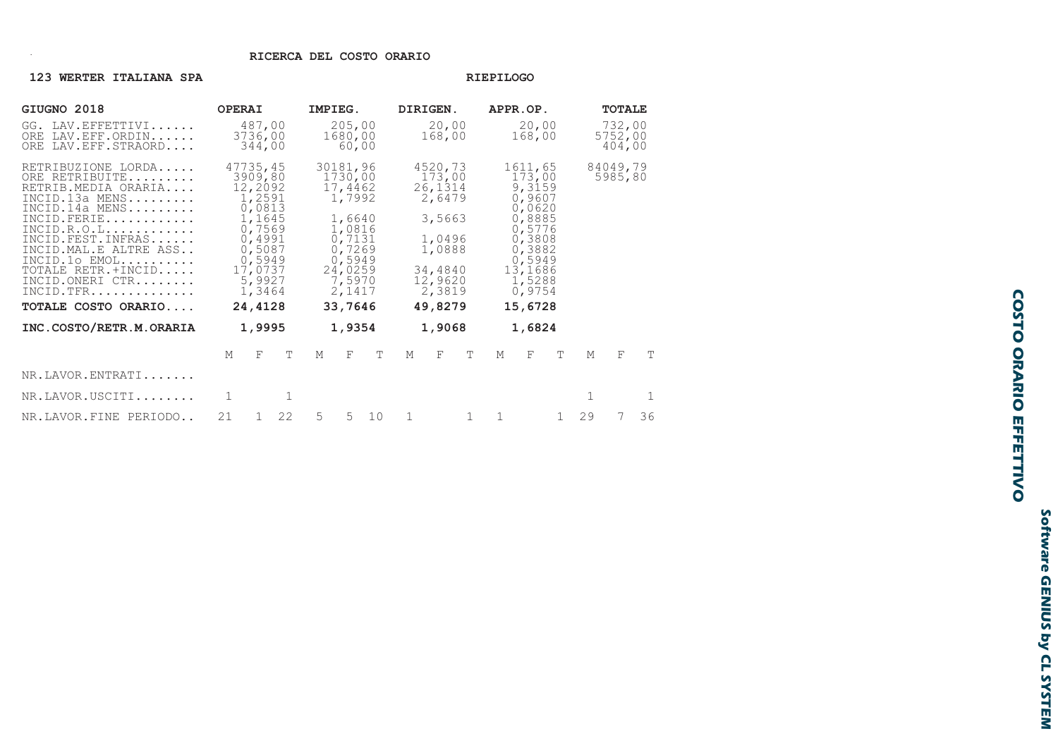### RICERCA DEL COSTO ORARIO

### 123 WERTER ITALIANA SPA

### RIEPILOGO

| GIUGNO 2018                                                                                                                                                                                                                                                                          | <b>OPERAI</b>                                                                                                                                  |        | IMPIEG.                                                                                                                              |   |                            | DIRIGEN.                                                                                             |                 |        | APPR.OP.                                                                                                                                               |                 |        | <b>TOTALE</b> |                             |   |    |
|--------------------------------------------------------------------------------------------------------------------------------------------------------------------------------------------------------------------------------------------------------------------------------------|------------------------------------------------------------------------------------------------------------------------------------------------|--------|--------------------------------------------------------------------------------------------------------------------------------------|---|----------------------------|------------------------------------------------------------------------------------------------------|-----------------|--------|--------------------------------------------------------------------------------------------------------------------------------------------------------|-----------------|--------|---------------|-----------------------------|---|----|
| LAV.EFFETTIVI<br>GG.<br>ORE LAV.EFF.ORDIN<br>ORE LAV. EFF. STRAORD                                                                                                                                                                                                                   | 487,00<br>3736,00<br>344,00                                                                                                                    |        |                                                                                                                                      |   | 205,00<br>1680,00<br>60,00 |                                                                                                      | 20,00<br>168,00 |        |                                                                                                                                                        | 20,00<br>168,00 |        |               | 732,00<br>5752,00<br>404,00 |   |    |
| RETRIBUZIONE LORDA<br>ORE RETRIBUITE<br>RETRIB.MEDIA ORARIA<br>$INCID.13a$ MENS<br>INCID.14a MENS<br>INCID. FERIE<br>INCID.R.O.L.<br>INCID. FEST. INFRAS<br>INCID. MAL. E ALTRE ASS<br>$INCID.10 EMOL.$<br>TOTALE RETR.+INCID<br>INCID.ONERI CTR<br>INCID.TFR<br>TOTALE COSTO ORARIO | 47735,45<br>3909,80<br>12,2092<br>1,2591<br>0,0813<br>1,1645<br>0,7569<br>0,4991<br>0,5087<br>0,5949<br>17,0737<br>5,9927<br>1,3464<br>24,4128 |        | 30181,96<br>1730,00<br>17,4462<br>1,7992<br>1,6640<br>1,0816<br>0,7131<br>0,7269<br>0,5949<br>24,0259<br>7,5970<br>2,1417<br>33,7646 |   |                            | 4520,73<br>173,00<br>26,1314<br>2,6479<br>3,5663<br>1,0496<br>1,0888<br>34,4840<br>12,9620<br>2,3819 |                 |        | 1611,65<br>173,00<br>9,3159<br>0,9607<br>0,0620<br>0,8885<br>0,5776<br>0,3808<br>0,3882<br>0,5949<br>13,1686<br>1,5288<br>0,9754<br>49,8279<br>15,6728 |                 |        |               | 84049,79<br>5985,80         |   |    |
| INC.COSTO/RETR.M.ORARIA                                                                                                                                                                                                                                                              |                                                                                                                                                | 1,9995 |                                                                                                                                      |   | 1,9354                     |                                                                                                      |                 | 1,9068 |                                                                                                                                                        |                 | 1,6824 |               |                             |   |    |
|                                                                                                                                                                                                                                                                                      | M                                                                                                                                              | F      | $\mathbb{T}$                                                                                                                         | M | F                          | Т                                                                                                    | M               | F      | T                                                                                                                                                      | M               | F      | T             | M                           | F | T  |
| NR.LAVOR.ENTRATI                                                                                                                                                                                                                                                                     |                                                                                                                                                |        |                                                                                                                                      |   |                            |                                                                                                      |                 |        |                                                                                                                                                        |                 |        |               |                             |   |    |
| NR.LAVOR.USCITI                                                                                                                                                                                                                                                                      |                                                                                                                                                |        |                                                                                                                                      |   |                            |                                                                                                      |                 |        |                                                                                                                                                        |                 |        |               |                             |   | 1  |
| NR.LAVOR.FINE PERIODO                                                                                                                                                                                                                                                                | 21                                                                                                                                             | 1      | 22                                                                                                                                   | 5 | 5                          | 10                                                                                                   | 1               |        |                                                                                                                                                        | 1               |        | 1             | 29                          |   | 36 |

# **COSTO ORARIO EFFETTIVO**

Software GENIUS by CL SYSTEM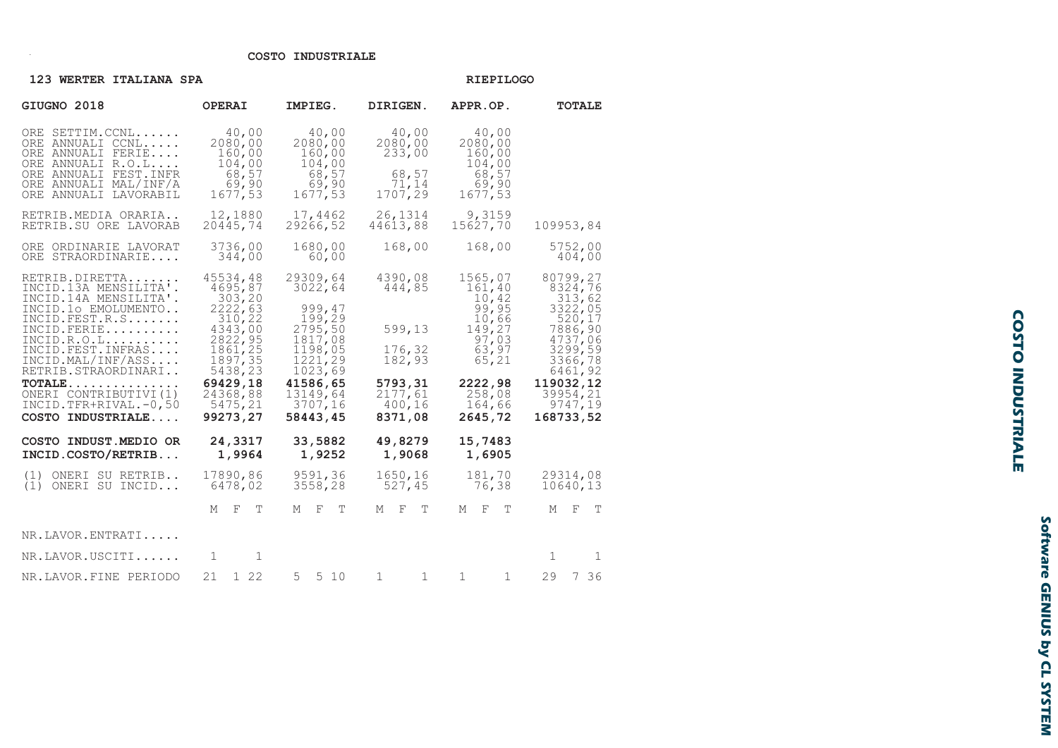### COSTO INDUSTRIALE

| 123 WERTER ITALIANA SPA                                                                                                                                                                                                                                                                                           |                                                                                                                                                             | <b>RIEPILOGO</b>                                                                                                                              |                                                                                             |                                                                                                                                                 |                                                                                                                                                            |  |  |
|-------------------------------------------------------------------------------------------------------------------------------------------------------------------------------------------------------------------------------------------------------------------------------------------------------------------|-------------------------------------------------------------------------------------------------------------------------------------------------------------|-----------------------------------------------------------------------------------------------------------------------------------------------|---------------------------------------------------------------------------------------------|-------------------------------------------------------------------------------------------------------------------------------------------------|------------------------------------------------------------------------------------------------------------------------------------------------------------|--|--|
| GIUGNO 2018                                                                                                                                                                                                                                                                                                       | <b>OPERAI</b>                                                                                                                                               | IMPIEG.                                                                                                                                       | DIRIGEN.                                                                                    | APPR.OP.                                                                                                                                        | <b>TOTALE</b>                                                                                                                                              |  |  |
| ORE SETTIM.CCNL<br>ORE ANNUALI CCNL<br>ORE ANNUALI FERIE<br>ORE ANNUALI R.O.L<br>ORE ANNUALI FEST. INFR<br>ORE ANNUALI MAL/INF/A<br>ORE ANNUALI LAVORABIL                                                                                                                                                         | 40,00<br>2080,00<br>160,00<br>104,00<br>68,57<br>69,90<br>1677,53                                                                                           | 40,00<br>2080,00<br>160,00<br>104,00<br>68,57<br>69,90<br>1677,53                                                                             | 40,00<br>2080,00<br>233,00<br>68,57<br>71,14<br>1707,29                                     | 40,00<br>2080,00<br>160,00<br>104,00<br>68,57<br>69,90<br>1677,53                                                                               |                                                                                                                                                            |  |  |
| RETRIB.MEDIA ORARIA<br>RETRIB.SU ORE LAVORAB                                                                                                                                                                                                                                                                      | 12,1880<br>20445,74                                                                                                                                         | 17,4462<br>29266,52                                                                                                                           | 26,1314<br>44613,88                                                                         | 9,3159<br>15627,70                                                                                                                              | 109953,84                                                                                                                                                  |  |  |
| ORE ORDINARIE LAVORAT<br>ORE STRAORDINARIE                                                                                                                                                                                                                                                                        | 3736,00<br>344,00                                                                                                                                           | 1680,00<br>60,00                                                                                                                              | 168,00                                                                                      | 168,00                                                                                                                                          | 5752,00<br>404,00                                                                                                                                          |  |  |
| RETRIB.DIRETTA<br>INCID.13A MENSILITA'.<br>INCID.14A MENSILITA'.<br>INCID.10 EMOLUMENTO<br>INCID. FEST.R.S<br>INCID. FERIE<br>$INCID.R.O.L. \ldots \ldots$<br>INCID. FEST. INFRAS<br>INCID.MAL/INF/ASS<br>RETRIB.STRAORDINARI<br>$TOTALE$<br>ONERI CONTRIBUTIVI (1)<br>INCID.TFR+RIVAL.-0,50<br>COSTO INDUSTRIALE | 45534,48<br>4695,87<br>303, 20<br>2222,63<br>310,22<br>4343,00<br>2822, 95<br>1861,25<br>1897, 35<br>5438,23<br>69429,18<br>24368,88<br>5475,21<br>99273,27 | 29309,64<br>3022,64<br>999,47<br>199,29<br>2795,50<br>1817,08<br>1198,05<br>1221,29<br>1023,69<br>41586,65<br>13149,64<br>3707,16<br>58443,45 | 4390,08<br>444,85<br>599,13<br>176,32<br>182,93<br>5793,31<br>2177,61<br>400, 16<br>8371,08 | 1565,07<br>161,40<br>$\frac{10}{99}$ , $\frac{42}{95}$<br>10,66<br>149,27<br>97,03<br>63,97<br>65, 21<br>2222,98<br>258,08<br>164,66<br>2645,72 | 80799,27<br>8324,76<br>313,62<br>3322,05<br>520,17<br>7886,90<br>4737,06<br>3299,59<br>3366,78<br>6461,92<br>119032,12<br>39954,21<br>9747,19<br>168733,52 |  |  |
| COSTO INDUST. MEDIO OR<br>INCID.COSTO/RETRIB                                                                                                                                                                                                                                                                      | 24,3317<br>1,9964                                                                                                                                           | 33,5882<br>1,9252                                                                                                                             | 49,8279<br>1,9068                                                                           | 15,7483<br>1,6905                                                                                                                               |                                                                                                                                                            |  |  |
| ONERI SU RETRIB<br>(1)<br>(1)<br>ONERI SU INCID                                                                                                                                                                                                                                                                   | 17890,86<br>6478,02                                                                                                                                         | 9591,36<br>3558,28                                                                                                                            | 1650,16<br>527,45                                                                           | 181,70<br>76,38                                                                                                                                 | 29314,08<br>10640,13                                                                                                                                       |  |  |
|                                                                                                                                                                                                                                                                                                                   | F<br>$\mathbb T$<br>М                                                                                                                                       | F<br>T<br>М                                                                                                                                   | $\mathbb{F}$<br>$\mathbb T$<br>М                                                            | $-$ F<br>T<br>М                                                                                                                                 | $-F$<br>T<br>М                                                                                                                                             |  |  |
| NR.LAVOR.ENTRATI                                                                                                                                                                                                                                                                                                  |                                                                                                                                                             |                                                                                                                                               |                                                                                             |                                                                                                                                                 |                                                                                                                                                            |  |  |
| NR.LAVOR.USCITI                                                                                                                                                                                                                                                                                                   | -1<br>1                                                                                                                                                     |                                                                                                                                               |                                                                                             |                                                                                                                                                 | 1<br>$\mathbf{1}$                                                                                                                                          |  |  |
| NR.LAVOR.FINE PERIODO                                                                                                                                                                                                                                                                                             | 21 1 22                                                                                                                                                     | 5<br>5 10                                                                                                                                     | $\mathbf{L}$                                                                                |                                                                                                                                                 | 29 7 36                                                                                                                                                    |  |  |

**COSTO INDUSTRIALE**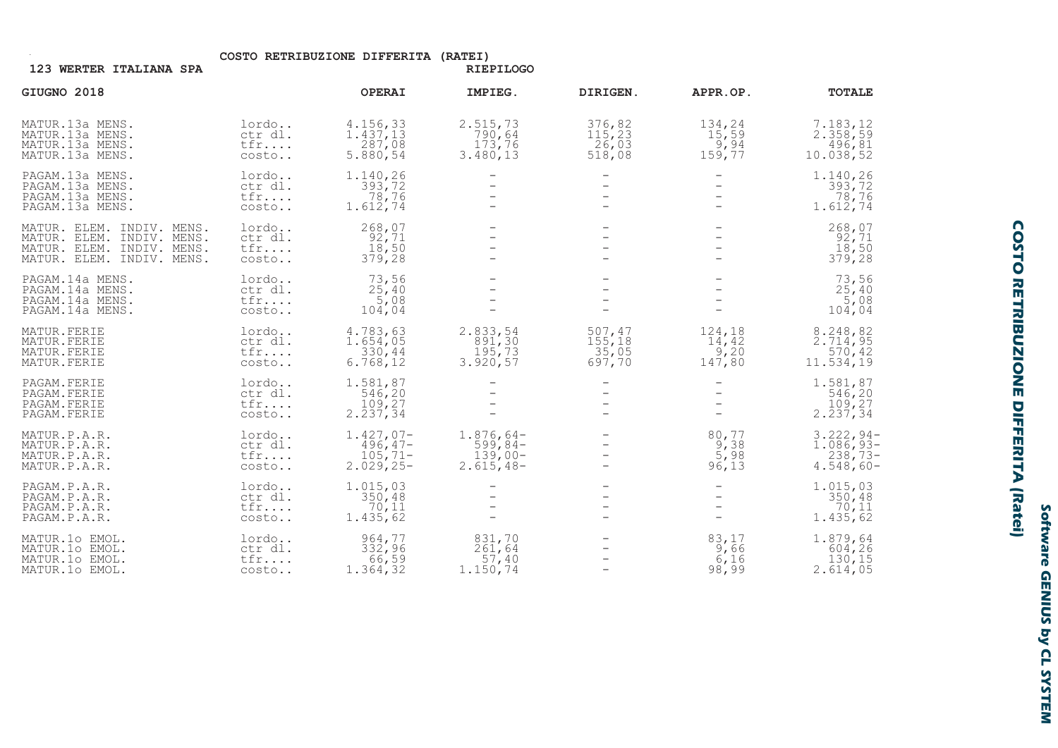COSTO RETRIBUZIONE DIFFERITA (RATEI)

RIEPILOGO

| GIUGNO 2018                                                                                                      |                                     | <b>OPERAI</b>                                             | IMPIEG.                                              | DIRIGEN.                            | APPR.OP.                              | <b>TOTALE</b>                                           |
|------------------------------------------------------------------------------------------------------------------|-------------------------------------|-----------------------------------------------------------|------------------------------------------------------|-------------------------------------|---------------------------------------|---------------------------------------------------------|
| MATUR.13a MENS.<br>MATUR.13a MENS.<br>MATUR.13a MENS.<br>MATUR.13a MENS.                                         | lordo<br>ctr dl.<br>tfr<br>costo    | 4.156,33<br>1.437, 13<br>287,08<br>5.880,54               | 2.515,73<br>790,64<br>173,76<br>3.480, 13            | 376,82<br>115,23<br>26,03<br>518,08 | 134,24<br>15,59<br>9,94<br>159,77     | 7.183,12<br>2.358,59<br>496,81<br>10.038,52             |
| PAGAM.13a MENS.<br>PAGAM.13a MENS.<br>PAGAM.13a MENS.<br>PAGAM.13a MENS.                                         | lordo<br>ctr dl.<br>tfr<br>costo    | 1.140,26<br>393,72<br>78,76<br>1.612,74                   |                                                      |                                     |                                       | 1.140,26<br>393,72<br>78,76<br>1.612,74                 |
| MATUR. ELEM. INDIV. MENS.<br>MATUR. ELEM. INDIV. MENS.<br>MATUR. ELEM. INDIV. MENS.<br>MATUR. ELEM. INDIV. MENS. | lordo<br>ctr dl.<br>tfr<br>costo    | 268,07<br>92,71<br>18,50<br>379,28                        |                                                      |                                     |                                       | 268,07<br>92,71<br>18,50<br>379,28                      |
| PAGAM.14a MENS.<br>PAGAM.14a MENS.<br>PAGAM.14a MENS.<br>PAGAM.14a MENS.                                         | lordo<br>ctr dl.<br>tfr<br>costo    | 73,56<br>25,40<br>5,08<br>104,04                          |                                                      |                                     |                                       | 73,56<br>25,40<br>5,08<br>104,04                        |
| MATUR.FERIE<br>MATUR.FERIE<br>MATUR.FERIE<br>MATUR.FERIE                                                         | lordo<br>ctr dl.<br>tfr<br>costo    | 4.783,63<br>1.654,05<br>330,44<br>6.768, 12               | 2.833,54<br>891,30<br>195,73<br>3.920, 57            | 507,47<br>155,18<br>35,05<br>697,70 | 124,18<br>14,42<br>9,20<br>147,80     | 8.248,82<br>2.714,95<br>570, 42<br>11.534,19            |
| PAGAM. FERIE<br>PAGAM. FERIE<br>PAGAM. FERIE<br>PAGAM. FERIE                                                     | lordo<br>ctr dl.<br>tfr<br>costo    | 1.581,87<br>546,20<br>109,27<br>2.237, 34                 |                                                      |                                     |                                       | 1.581,87<br>546,20<br>2.237, 34                         |
| MATUR.P.A.R.<br>MATUR.P.A.R.<br>MATUR.P.A.R.<br>MATUR.P.A.R.                                                     | lordo<br>ctr dl.<br>tfr<br>costo    | $1.427,07-$<br>$496, 47-$<br>$105, 71 -$<br>$2.029, 25 -$ | $1.876,64-$<br>$599,84-$<br>$139,00-$<br>$2.615,48-$ |                                     | 80,77<br>$\frac{9}{5}$ , 38<br>96, 13 | $3.222, 94-$<br>$1.086,93-$<br>$238,73-$<br>$4.548,60-$ |
| PAGAM.P.A.R.<br>PAGAM.P.A.R.<br>PAGAM.P.A.R.<br>PAGAM.P.A.R.                                                     | lordo<br>ctr dl.<br>tfr<br>costo    | 1.015,03<br>350, 48<br>70,11<br>1.435,62                  |                                                      |                                     |                                       | 1.015,03<br>350, 48<br>70, 11<br>1.435,62               |
| MATUR.10 EMOL.<br>MATUR.10 EMOL.<br>MATUR.10 EMOL.<br>MATUR.10 EMOL.                                             | lordo<br>ctr dl.<br>$t$ fr<br>costo | 964,77<br>332,96<br>66,59<br>1.364, 32                    | 831,70<br>261,64<br>57,40<br>1.150,74                |                                     | 83,17<br>9,66<br>6,16<br>98,99        | 1.879,64<br>604,26<br>130,15<br>2.614,05                |

# **COSTO RETRIBUZIONE DIFFERITA (Ratei)**

Software GENIUS by CL SYSTEM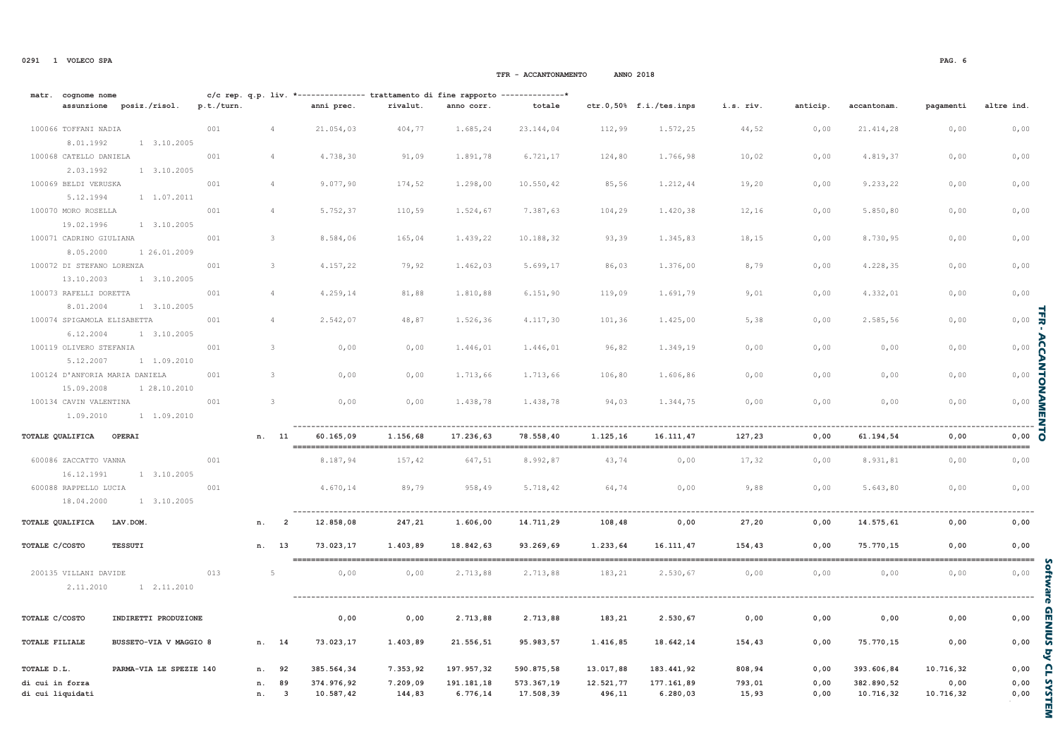matr. cognome nome

di cui liguidati

### ctr.0,50% f.i./tes.inps assunzione posiz./risol. p.t./turn. anni prec. rivalut. anno corr. totale i.s. riv. anticip. accantonam pagamenti altre ind 100066 TOFFANT NADIA  $001$  $\overline{4}$ 21.054.03 404.77 1.685,24 23.144.04 112.99 1.572.25 44.52  $0,00$ 21.414.28  $0.00$  $0,00$ 8 01 1992 1 3.10.2005 100068 CATELLO DANIELA 001 4.738,30 91,09 1.891,78 6.721,17 124,80 1.766,98 10,02  $0,00$ 4.819,37  $0,00$  $0,00$  $\Delta$ 2.03.1992 1 3.10.2005 100069 BELDI VERUSKA  $001$  $\overline{4}$ 9.077,90 174,52 1,298,00 10.550,42 85,56 1.212,44 19,20  $0,00$ 9.233,22  $0,00$  $0,00$  $1, 1, 07, 2011$ 5 12 1994 100070 MORO ROSELLA  $001$  $\overline{A}$ 5.752,37 110,59 1.524,67 7.387,63 104,29 1.420,38 12,16  $0,00$ 5.850,80  $0,00$  $0,00$ 19.02.1996 1 3.10.2005 100071 CADRINO GIULIANA  $001$ 3 8.584,06  $165,04$ 1.439,22 10.188,32 93,39 1.345,83 18.15  $0,00$ 8.730,95  $0,00$  $0,00$ 8.05.2000 1 26 01 2009 100072 DI STEFANO LORENZA  $001$  $\mathcal{R}$ 4.157,22 79,92 1.462,03 5.699,17 86,03 1,376,00 8,79  $0,00$ 4.228.35  $0,00$  $0,00$ 13 10 2003  $1 \t3 \t10 \t2005$ 100073 RAFELLI DORETTA  $0,00$  $001$  $\overline{4}$ 4.259,14 81,88 1.810,88  $6.151,90$ 119,09 1.691.79 9,01  $0,00$ 4.332.01  $0.00$ 8 01 2004  $1 \times 10 \times 2005$  $0$  ,  $00$ 100074 SPIGAMOLA ELISABETTA  $001$ 2.542,07 4.117,30 2 585.56  $0,00$  $\Delta$ 48,87 1,526,36 101,36  $1, 425, 00$ 5.38  $0.00$ 6.12.2004  $1, 3, 10, 2005$ 100119 OLIVERO STEFANIA  $001$  $\overline{\mathcal{E}}$  $0,00$ 1.446,01 1.446,01 1.349,19  $0.00$  $0,00$  $0,00$  $0.00$ 96.82  $0.00$  $0.00$ 5.12.2007  $1, 1.09.2010$ 100124 D'ANFORTA MARTA DANIELA  $0,00$  $0,00$  $001$  $\mathcal{R}$  $0,00$  $0.00$ 1 713.66 1 713.66 106.80 1 606.86  $0.00$  $0.00$  $0.00$ 15.09.2008 1 28.10.2010  $0$  ,  $00$ 100134 CAVIN VALENTINA  $001$  $\mathcal{R}$  $0,00$  $0.00$ 1,438,78 1.438.78 94,03 1.344.75  $0.00$  $0.00$  $0.00$  $0.00$ 1.09.2010 1 1.09.2010 TOTALE OUALIFICA OPERAI n. 11 60.165.09 1.156.68 17.236.63 78.558.40 1.125.16 16.111.47 127.23  $0.00$ 61.194.54  $0.00$  $0.00$ \_\_\_\_\_\_\_\_\_\_\_\_ \_\_\_\_\_\_\_\_\_\_\_\_\_\_\_\_ -----\_\_\_\_\_\_\_\_\_\_\_\_\_\_\_ \_\_\_\_\_\_\_\_\_\_\_\_\_\_\_ ----------\_\_\_\_\_\_\_\_\_\_\_\_\_\_\_\_\_\_ --------\_\_\_\_\_\_\_\_\_\_\_\_\_\_\_ --------\_\_\_\_\_\_\_\_\_ 600086 ZACCATTO VANNA 001 8.187.94 157,42 647.51 8.992.87 43,74  $0.00$ 8.931.81  $0.00$  $0.00$  $0.00$ 17,32 16.12.1991  $1, 3, 10, 2005$ 600088 RAPPELLO LUCIA  $001$ 4.670,14 89,79 958,49 5.718,42 64,74  $0,00$  $9,88$  $0,00$ 5.643,80  $0,00$  $0,00$ 18 04 2000  $1 \t3 \t10 \t2005$ TOTALE OUALIFICA **TAV DOM** 12.858.08  $247.21$ 14.711.29  $0.00$  $0.00$  $n$ .  $\overline{\phantom{a}}$ 1.606.00 108,48 27.20  $0.00$ 14.575.61  $0.00$ TOTALE C/COSTO **TESSUTI** n. 13 73.023.17 1.403.89 18.842.63 93.269.69 1.233.64 16.111.47 154.43  $0.00$ 75.770.15  $0.00$  $0.00$ ------------200135 VILLANI DAVIDE 013 - 5  $0.00$  $0.00$ 2.713.88 2.713.88 183,21 2.530,67  $0.00$  $0.00$  $0.00$  $0.00$  $0.00$ 2 11 2010  $1, 2.11.2010$ \_\_\_\_\_\_\_\_\_\_\_\_\_\_\_\_\_\_\_\_\_\_\_\_\_\_\_\_\_\_\_\_\_ TOTALE C/COSTO INDIRETTI PRODUZIONE  $0,00$ 2.713,88 2.713,88 183,21 2.530,67  $0,00$  $0,00$  $0,00$  $0,00$  $0,00$  $0,00$ **TOTALE FILIALE BUSCETO-VIA V MACCIO 8** 73 023 17 1 403 89 95 983.57 1 416 85 18 642 14 154.43 75 770 15  $0.00$  $n \t 14$ 21 556.51  $0.00$  $0.00$ TOTALE D L PARMA-VIA LE SPEZIE 140 197 957 32 590 875 58 13 017 88 183 441 92 393 606 84 10 716 32 385 564 34 7 353.92 808.94  $0.00$  $0.00$  $n \cdot 92$ di cui in forza n. 89 374.976,92 7.209,09 191.181,18 573.367,19 12.521,77 177.161,89 793,01  $0,00$ 382.890,52  $0.00$  $0,00$

TFR - ACCANTONAMENTO

c/c rep. q.p. liv. \*-------------- trattamento di fine rapporto --------------\*

 $\overline{\mathbf{3}}$ 

 $n$ .

10.587.42

144.83

6.776.14

17.508.39

496.11

6.280.03

15.93

 $0.00$ 

10.716.32

10.716.32

**ANNO 2018** 

 $0.00$ 

ュ

Acc

**ANTON** 

NN

Ę

**O**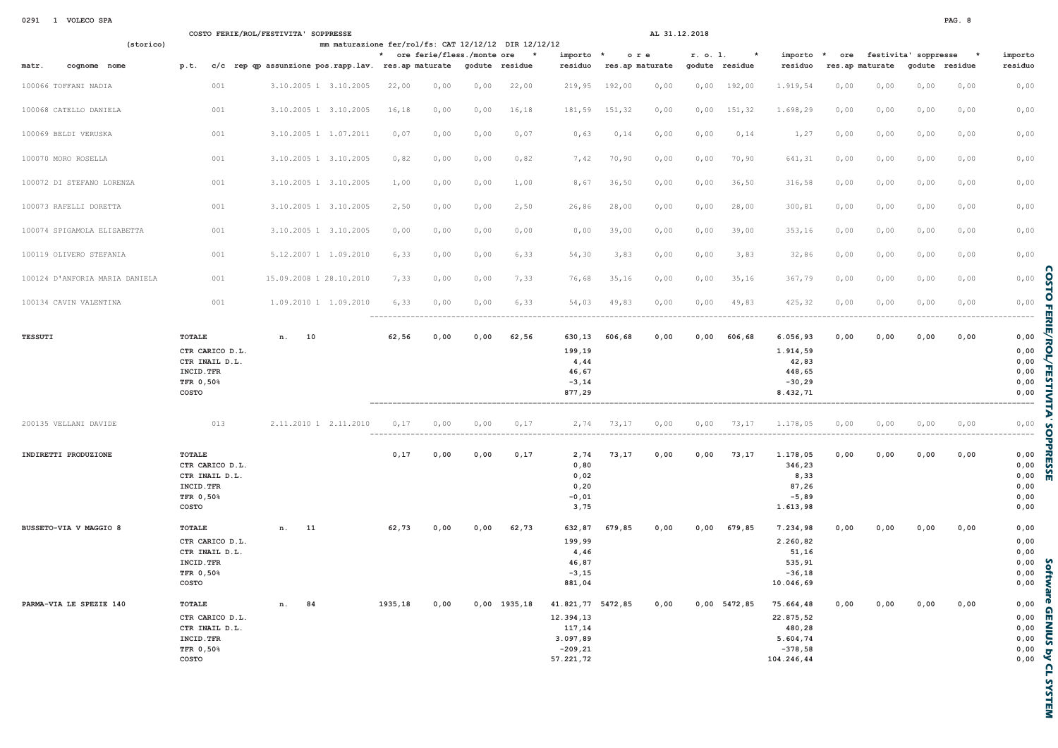| 0291 | VOLECO SPA |  |
|------|------------|--|

|                                |                                                                                 | COSTO FERIE/ROL/FESTIVITA' SOPPRESSE                | AL 31.12.2018                                        |      |                |                                                                                 |                 |      |            |                |                                                                         |                 |      |                      |                |                                              |
|--------------------------------|---------------------------------------------------------------------------------|-----------------------------------------------------|------------------------------------------------------|------|----------------|---------------------------------------------------------------------------------|-----------------|------|------------|----------------|-------------------------------------------------------------------------|-----------------|------|----------------------|----------------|----------------------------------------------|
| (storico)                      |                                                                                 |                                                     | mm maturazione fer/rol/fs: CAT 12/12/12 DIR 12/12/12 |      |                |                                                                                 |                 |      |            |                |                                                                         |                 |      |                      |                |                                              |
|                                |                                                                                 |                                                     | * ore ferie/fless./monte ore                         |      | $\star$        | importo *                                                                       | ore             |      | r. o. 1.   |                | importo                                                                 | $\star$<br>ore  |      | festivita' soppresse | $\star$        | importo                                      |
| cognome nome<br>matr.          | p.t.                                                                            | c/c rep qp assunzione pos.rapp.lav. res.ap maturate |                                                      |      | godute residue | residuo                                                                         | res.ap maturate |      |            | godute residue | residuo                                                                 | res.ap maturate |      |                      | godute residue | residuo                                      |
| 100066 TOFFANI NADIA           | 001                                                                             | 3.10.2005 1 3.10.2005                               | 22,00<br>0,00                                        | 0,00 | 22,00          | 219,95                                                                          | 192,00          | 0,00 | 0,00       | 192,00         | 1.919,54                                                                | 0,00            | 0,00 | 0,00                 | 0,00           | 0,00                                         |
| 100068 CATELLO DANIELA         | 001                                                                             | 3.10.2005 1 3.10.2005                               | 16,18<br>0,00                                        | 0,00 | 16,18          | 181,59                                                                          | 151,32          | 0,00 | 0,00       | 151,32         | 1.698,29                                                                | 0,00            | 0,00 | 0,00                 | 0,00           | 0,00                                         |
| 100069 BELDI VERUSKA           | 001                                                                             | 3.10.2005 1 1.07.2011                               | 0,07<br>0,00                                         | 0,00 | 0,07           | 0,63                                                                            | 0,14            | 0,00 | $0$ , $00$ | 0,14           | 1,27                                                                    | 0,00            | 0,00 | 0,00                 | 0,00           | 0,00                                         |
| 100070 MORO ROSELLA            | 001                                                                             | 3.10.2005 1 3.10.2005                               | 0,82<br>0,00                                         | 0,00 | 0,82           | 7,42                                                                            | 70,90           | 0,00 | 0,00       | 70,90          | 641,31                                                                  | 0,00            | 0,00 | 0,00                 | 0,00           | 0,00                                         |
| 100072 DI STEFANO LORENZA      | 001                                                                             | 3.10.2005 1 3.10.2005                               | 1,00<br>0,00                                         | 0,00 | 1,00           | 8,67                                                                            | 36,50           | 0,00 | 0,00       | 36,50          | 316,58                                                                  | 0,00            | 0,00 | 0,00                 | 0,00           | 0,00                                         |
| 100073 RAFELLI DORETTA         | 001                                                                             | 3.10.2005 1 3.10.2005                               | 2,50<br>0,00                                         | 0,00 | 2,50           | 26,86                                                                           | 28,00           | 0,00 | 0,00       | 28,00          | 300,81                                                                  | 0,00            | 0,00 | 0,00                 | 0,00           | 0,00                                         |
| 100074 SPIGAMOLA ELISABETTA    | 001                                                                             | 3.10.2005 1 3.10.2005                               | 0,00<br>0,00                                         | 0,00 | 0,00           | 0,00                                                                            | 39,00           | 0,00 | 0,00       | 39,00          | 353,16                                                                  | 0,00            | 0,00 | 0,00                 | 0,00           | 0,00                                         |
| 100119 OLIVERO STEFANIA        | 001                                                                             | 5.12.2007 1 1.09.2010                               | 6,33<br>0,00                                         | 0,00 | 6,33           | 54,30                                                                           | 3,83            | 0,00 | 0,00       | 3,83           | 32,86                                                                   | 0,00            | 0,00 | 0,00                 | 0,00           | 0,00                                         |
| 100124 D'ANFORIA MARIA DANIELA | 001                                                                             | 15.09.2008 1 28.10.2010                             | 7,33<br>0,00                                         | 0,00 | 7,33           | 76,68                                                                           | 35, 16          | 0,00 | 0,00       | 35, 16         | 367,79                                                                  | 0,00            | 0,00 | 0,00                 | 0,00           | 0,00                                         |
| 100134 CAVIN VALENTINA         | 001                                                                             | 1.09.2010 1 1.09.2010                               | 6,33<br>0,00                                         | 0,00 | 6,33           | 54,03                                                                           | 49,83           | 0,00 | 0,00       | 49,83          | 425, 32                                                                 | 0,00            | 0,00 | 0,00                 | 0,00           | 0,00                                         |
| <b>TESSUTI</b>                 | TOTALE<br>CTR CARICO D.L.<br>CTR INAIL D.L.<br>INCID. TFR<br>TFR 0,50%<br>COSTO | n.<br>10                                            | 62,56<br>0,00                                        | 0,00 | 62,56          | 630,13<br>199,19<br>4,44<br>46,67<br>$-3, 14$<br>877,29                         | 606,68          | 0,00 | 0,00       | 606,68         | 6.056,93<br>1.914,59<br>42,83<br>448,65<br>$-30, 29$<br>8.432,71        | 0.00            | 0,00 | 0,00                 | 0,00           | 0,00<br>0,00<br>0,00<br>0,00<br>0,00<br>0,00 |
| 200135 VELLANI DAVIDE          | 013                                                                             | 2.11.2010 1 2.11.2010                               | 0,17<br>0,00                                         | 0,00 | 0,17           |                                                                                 | 2,74 73,17      | 0,00 | 0,00       | 73,17          | 1.178,05                                                                | 0,00            | 0,00 | 0,00                 | 0,00           | 0,00                                         |
| INDIRETTI PRODUZIONE           | TOTALE<br>CTR CARICO D.L.<br>CTR INAIL D.L.<br>INCID. TFR<br>TFR 0,50%<br>COSTO |                                                     | 0,17<br>0,00                                         | 0,00 | 0,17           | 2,74<br>0, 80<br>0,02<br>0, 20<br>$-0,01$<br>3,75                               | 73,17           | 0,00 | 0,00       | 73,17          | 1.178,05<br>346,23<br>8,33<br>87,26<br>$-5,89$<br>1.613,98              | 0,00            | 0.00 | 0,00                 | 0.00           | 0,00<br>0,00<br>0,00<br>0,00<br>0,00<br>0,00 |
| BUSSETO-VIA V MAGGIO 8         | TOTALE<br>CTR CARICO D.L.<br>CTR INAIL D.L.<br>INCID. TFR<br>TFR 0,50%<br>COSTO | 11<br>n.                                            | 62,73<br>0,00                                        | 0,00 | 62,73          | 632,87<br>199,99<br>4,46<br>46,87<br>$-3, 15$<br>881,04                         | 679,85          | 0,00 | 0,00       | 679,85         | 7.234,98<br>2.260,82<br>51,16<br>535,91<br>$-36,18$<br>10.046,69        | 0.00            | 0,00 | 0,00                 | 0,00           | 0,00<br>0,00<br>0,00<br>0,00<br>0,00<br>0,00 |
| PARMA-VIA LE SPEZIE 140        | TOTALE<br>CTR CARICO D.L.<br>CTR INAIL D.L.<br>INCID. TFR<br>TFR 0,50%<br>COSTO | 84<br>n.                                            | 1935,18<br>0.00                                      |      | $0,00$ 1935,18 | 41.821,77 5472,85<br>12.394,13<br>117,14<br>3.097,89<br>$-209, 21$<br>57.221.72 |                 | 0.00 |            | $0,00$ 5472,85 | 75.664,48<br>22.875,52<br>480,28<br>5.604,74<br>$-378,58$<br>104.246.44 | 0.00            | 0.00 | 0.00                 | 0.00           | 0,00<br>0,00<br>0,00<br>0,00<br>0,00<br>0.00 |

**COSTO FERIE/ROL/FESTIVITA'SOPPRESSE** 

Software GENIUS by CL SYSTEM

PAG. 8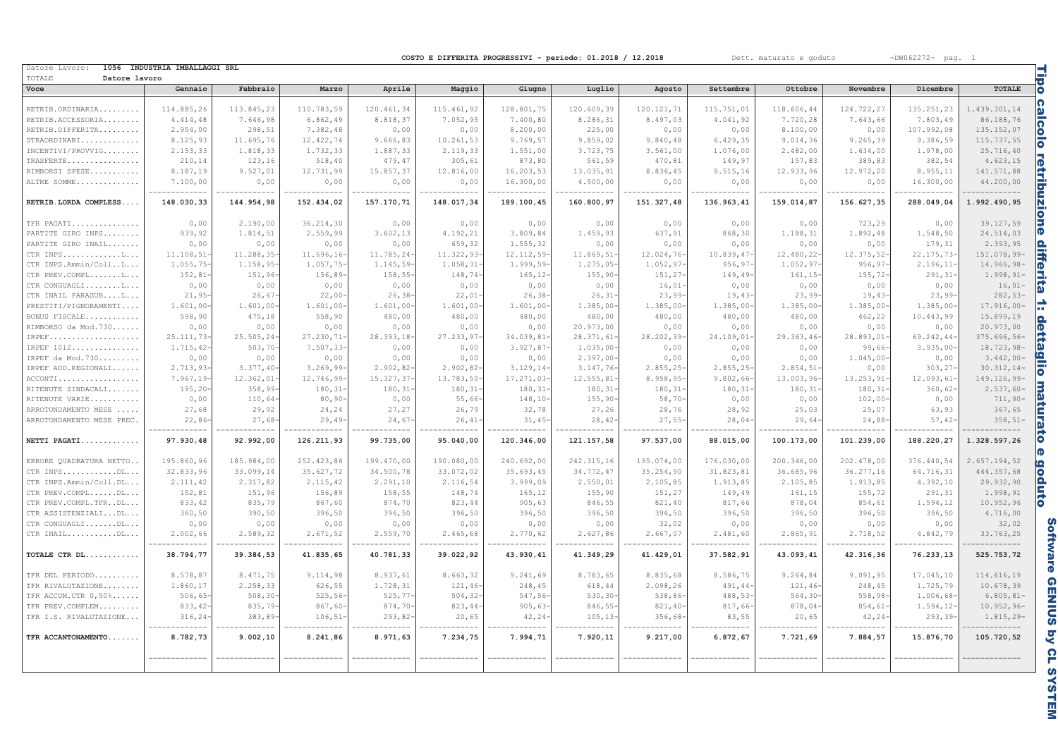$-DW062272-$  pag. 1

Dett. maturato e goduto

COSTO E DIFFERITA PROGRESSIVI - periodo: 01.2018 / 12.2018

| Datore Lavoro:                  | 1056 INDUSTRIA IMBALLAGGI SRL |                           |                           |                           |                        |                       |                 |                        |                          |                           |                    |                          |                            |
|---------------------------------|-------------------------------|---------------------------|---------------------------|---------------------------|------------------------|-----------------------|-----------------|------------------------|--------------------------|---------------------------|--------------------|--------------------------|----------------------------|
| TOTALE<br>Datore lavoro<br>Voce | Gennaio                       | Febbraio                  | Marzo                     | Aprile                    | Maggio                 | Giugno                | Luglio          | Agosto                 | Settembre                | Ottobre                   | Novembre           | Dicembre                 | <b>TOTALE</b>              |
|                                 |                               |                           |                           |                           |                        |                       |                 |                        |                          |                           |                    |                          |                            |
| RETRIB.ORDINARIA                | 114.885,26                    | 113.845,23                | 110.783,59                | 120.461,34                | 115.461,92             | 128.801,75            | 120.609,39      | 120.121,71             | 115.751,01               | 118.606,44                | 124.722,27         | 135.251,23               | 1.439.301,14               |
| RETRIB.ACCESSORIA               | 4.414,48                      | 7.646,98                  | 6.862,49                  | 8.818,37                  | 7.052,95               | 7.400,80              | 8.286,31        | 8.497,03               | 4.041,92                 | 7.720,28                  | 7.643,66           | 7.803,49                 | 86.188,76                  |
| RETRIB.DIFFERITA                | 2.954,00                      | 298,51                    | 7.382,48                  | 0,00                      | 0,00                   | 8.200,00              | 225,00          | 0,00                   | 0,00                     | 8.100,00                  | 0,00               | 107.992,08               | 135.152,07                 |
| STRAORDINARI                    | 8.125,93                      | 11.695,76                 | 12.422,74                 | 9.666,83                  | 10.261,53              | 9.769,57              | 9.859,02        | 9.840,48               | 6.429, 35                | 9.014,36                  | 9.265, 39          | 9.386,59                 | 115.737,55                 |
| INCENTIVI/PROVVIG               | 2.153,33                      | 1.818,33                  | 1.732,33                  | 1.887,33                  | 2.119,33               | 1.551,00              | 3.723,75        | 3.561,00               | 1.076,00                 | 2.482,00                  | 1.634,00           | 1.978,00                 | 25.716,40                  |
| TRASFERTE                       | 210, 14                       | 123,16                    | 518,40                    | 479,47                    | 305,61                 | 873,80                | 561,59          | 470,81                 | 149,97                   | 157,83                    | 389,83             | 382,54                   | 4.623,15                   |
| RIMBORSI SPESE                  | 8.187,19                      | 9.527,01                  | 12.731,99                 | 15.857,37                 | 12.816,00              | 16.203,53             | 13.035,91       | 8.836,45               | 9.515, 16                | 12.933,96                 | 12.972,20          | 8.955,11                 | 141.571,88                 |
| ALTRE SOMME                     | 7.100,00                      | 0,00                      | 0,00                      | 0,00                      | 0,00                   | 16.300,00             | 4.500,00        | 0,00                   | 0,00                     | 0,00                      | 0,00               | 16.300,00                | 44.200,00                  |
| RETRIB.LORDA COMPLESS           | -------------<br>148.030,33   | -----------<br>144.954,98 | -----------<br>152.434,02 | -----------<br>157.170,71 | .<br>148.017,34        | .<br>189.100,45       | .<br>160.800,97 | ------<br>151.327,48   | ----------<br>136.963,41 | -----------<br>159.014,87 | .<br>156.627,35    | ----------<br>288.049,04 | .<br>1.992.490,95          |
|                                 |                               |                           |                           |                           |                        |                       |                 |                        |                          |                           |                    |                          |                            |
| TFR PAGATI<br>PARTITE GIRO INPS | 0,00<br>939,92                | 2.190,00<br>1.814,51      | 36.214,30<br>2.559,99     | 0,00<br>3.602, 13         | 0,00                   | 0,00<br>3.809,84      | 0,00            | 0,00<br>637,91         | 0,00<br>868,30           | 0,00<br>1.188,31          | 723,29<br>1.892,48 | 0,00<br>1.548,50         | 39.127,59                  |
|                                 |                               |                           |                           |                           | 4.192,21               |                       | 1.459,93        |                        |                          |                           |                    |                          | 24.514,03                  |
| PARTITE GIRO INAIL<br>CTR INPSL | 0,00                          | 0,00<br>11.288,35         | 0,00<br>11.696, 16        | 0,00<br>11.785,24-        | 659,32                 | 1.555,32<br>12.112,59 | 0,00            | 0,00<br>12.024,76      | 0,00                     | 0,00<br>12.480,22         | 0,00               | 179,31<br>22.175,73      | 2.393,95<br>151.078,99-    |
| CTR INPS.Ammin/CollL            | 11.108, 51                    |                           |                           |                           | 11.322,93              |                       | 11.869,51-      | 1.052, 97              | 10.839,47                |                           | 12.375,52          |                          |                            |
| CTR PREV.COMPLL                 | $1.055, 75-$                  | $1.158,95-$<br>151,96-    | $1.057,75-$<br>156,89-    | $1.145, 59-$<br>$158,55-$ | $1.058, 31-$<br>148,74 | 1.999, 59<br>165,12   | $1.275,05-$     | 151,27                 | $956, 97 -$              | 1.052,97                  | $956, 97-$         | 2.196, 11<br>291, 31     | 14.966,98-                 |
|                                 | 152,81                        |                           |                           |                           |                        |                       | $155, 90-$      |                        | $149, 49-$               | 161,15                    | $155, 72-$         |                          | $1.998, 91 -$              |
| CTR CONGUAGLIL                  | 0,00                          | 0,00                      | 0,00                      | 0,00                      | 0,00                   | 0,00                  | 0,00            | 16,01                  | 0,00                     | 0,00                      | 0,00               | 0,00                     | $16,01-$                   |
| CTR INAIL PARASUBL              | $21, 95 -$                    | 26,67                     | $22,00-$                  | $26, 38 -$                | 22,01                  | 26,38                 | 26, 31          | 23,99                  | 19,43                    | 23,99                     | $19,43-$           | $23,99-$                 | $282,53-$                  |
| PRESTITI/PIGNORAMENTI           | $1.601,00 -$                  | $1.601,00 -$              | $1.601,00 -$              | $1.601,00 -$              | 1.601,00               | 1.601,00              | $1.385,00-$     | 1.385,00-              | $1.385,00-$              | 1.385,00                  | $1.385,00-$        | 1.385,00                 | $17.916,00 -$              |
| BONUS FISCALE                   | 598,90                        | 475,18                    | 558,90                    | 480,00                    | 480,00                 | 480,00                | 480,00          | 480,00                 | 480,00                   | 480,00                    | 462,22             | 10.443,99                | 15.899,19                  |
| RIMBORSO da Mod. 730            | 0,00                          | 0,00                      | 0,00                      | 0,00                      | 0,00                   | 0,00                  | 20.973,00       | 0,00                   | 0,00                     | 0,00                      | 0,00               | 0,00                     | 20.973,00                  |
| IRPEF                           | 25.111,73-                    | 25.505,24                 | 27.230,71-                | 28.393,18-                | 27.233,97              | 34.039,81             | 28.371,61-      | 28.202,39              | 24.109,01-               | 29.363,46-                | 28.893,01-         | 69.242,44-               | $375.696,56-$              |
| IRPEF 1012                      | 1.715,42-                     | 503, 70                   | 7.507,33                  | 0,00                      | 0,00                   | 3.927,87              | 1.035,00        | 0,00                   | 0,00                     | 0,00                      | 99,66-             | 3.935,00                 | 18.723,98-                 |
| IRPEF da Mod. 730               | 0,00                          | 0,00                      | 0,00                      | 0,00                      | 0,00                   | 0,00                  | 2.397,00        | 0,00                   | 0,00                     | 0,00                      | $1.045,00-$        | 0,00                     | $3.442,00-$                |
| IRPEF ADD.REGIONALI             | $2.713,93-$                   | $3.377,40-$               | $3.269, 99 -$             | $2.902, 82 -$             | 2.902,82               | 3.129, 14             | 3.147,76        | 2.855, 25              | 2.855, 25                | 2.854, 51                 | 0,00               | 303,27                   | $30.312, 14-$              |
| ACCONTI                         | $7.967, 19-$                  | 12.362,01                 | 12.746,99-                | 15.327,37-                | 13.783,50-             | 17.271,03             | 12.555,81-      | 8.958,95-              | 9.802,66                 | 13.003,96-                | 13.253,91-         | 12.093,61                | 149.126,99-                |
| RITENUTE SINDACALI              | $195, 20 -$                   | $358, 99 -$               | $180, 31 -$               | $180, 31 -$               | 180, 31                | 180, 31               | 180, 31         | 180, 31                | $180, 31 -$              | 180, 31                   | $180, 31 -$        | 360, 62                  | $2.537,60-$                |
| RITENUTE VARIE                  | 0,00                          | 110,64                    | $80, 90 -$                | 0,00                      | 55,66                  | 148, 10               | $155, 90 -$     | 58,70-                 | 0,00                     | 0,00                      | $102,00 -$         | 0,00                     | $711,90-$                  |
| ARROTONDAMENTO MESE             | 27,68                         | 29,92                     | 24,24                     | 27,27                     | 26,79                  | 32,78                 | 27,26           | 28,76                  | 28,92                    | 25,03                     | 25,07              | 63,93                    | 367,65                     |
| ARROTONDAMENTO MESE PREC.       | $22,86 -$                     | 27,68                     | $29,49-$                  | 24,67                     | 26,41                  | 31,45                 | 28,42           | $27,55-$               | $28,04-$                 | 29,64                     | 24,88              | 57,42                    | $358, 51-$                 |
| NETTI PAGATI                    | 97.930,48                     | 92.992,00                 | 126.211,93                | 99.735,00                 | 95.040,00              | 120.346,00            | 121.157,58      | 97.537,00              | 88.015,00                | 100.173,00                | 101.239,00         | 188.220,27               | 1.328.597,26               |
| ERRORE QUADRATURA NETTO         | 195.860,96                    | 185.984,00                | 252.423,86                | 199.470,00                | 190.080,00             | 240.692,00            | 242.315,16      | 195.074,00             | 176.030,00               | 200.346,00                | 202.478,00         | 376.440,54               | 2.657.194,52               |
| CTR INPSDL                      | 32.833,96                     | 33.099,14                 | 35.627,72                 | 34.500,78                 | 33.072,02              | 35.693,45             | 34.772,47       | 35.254,90              | 31.823,81                | 36.685,96                 | 36.277,16          | 64.716,31                | 444.357,68                 |
| CTR INPS.Ammin/Coll.DL          | 2.111,42                      | 2.317,82                  | 2.115,42                  | 2.291, 10                 | 2.116,54               | 3.999,09              | 2.550,01        | 2.105,85               | 1.913,85                 | 2.105,85                  | 1.913,85           | 4.392,10                 | 29.932,90                  |
| CTR PREV.COMPLDL                | 152,81                        | 151,96                    | 156,89                    | 158,55                    | 148,74                 | 165,12                | 155,90          | 151,27                 | 149,49                   | 161,15                    | 155,72             | 291,31                   | 1.998,91                   |
| CTR PREV.COMPL.TFRDL            | 833, 42                       | 835,79                    | 867,60                    | 874,70                    | 823,44                 | 905,63                | 846,55          | 821,40                 | 817,66                   | 878,04                    | 854,61             | 1.594,12                 | 10.952,96                  |
| CTR ASSISTENZIALIDL             | 360, 50                       | 390,50                    | 396,50                    | 396,50                    | 396,50                 | 396,50                | 396,50          | 396,50                 | 396,50                   | 396,50                    | 396,50             | 396,50                   | 4.716,00                   |
| CTR CONGUAGLIDL                 | 0,00                          | 0,00                      | 0,00                      | 0,00                      | 0,00                   | 0,00                  | 0,00            | 32,02                  | 0,00                     | 0,00                      | 0,00               | 0,00                     | 32,02                      |
| CTR INAILDL                     | 2.502,66                      | 2.589,32                  | 2.671,52                  | 2.559,70                  | 2.465,68               | 2.770,62              | 2.627,86        | 2.667,07               | 2.481,60                 | 2.865,91                  | 2.718,52           | 4.842,79                 | 33.763,25                  |
| TOTALE CTR DL                   | ____________<br>38.794,77     | ---------<br>39.384,53    | 41.835,65                 | --------<br>40.781,33     | ---------<br>39.022,92 | .<br>43.930,41        | .<br>41.349,29  | ---------<br>41.429,01 | ----------<br>37.582,91  | ---------<br>43.093,41    | .<br>42.316,36     | ---------<br>76.233,13   | .<br>525.753,72            |
|                                 |                               |                           |                           |                           |                        |                       |                 |                        |                          |                           |                    |                          |                            |
| TFR DEL PERIODO                 | 8.578,87                      | 8.471,75                  | 9.114,98                  | 8.937,61                  | 8.663,32               | 9.241,69              | 8.783,65        | 8.835,68               | 8.586,75                 | 9.264,84                  | 9.091,95           | 17.045,10                | 114.616,19                 |
| TFR RIVALUTAZIONE               | 1.860,17                      | 2.258,33                  | 626,55                    | 1.728,31                  | 121,46                 | 248,45                | 618,44          | 2.098,26               | 491, 44                  | 121,46                    | 248,45             | 1.725,79                 | 10.678,39                  |
| TFR ACCUM.CTR 0,50%             | 506, 65                       | $508, 30 -$               | $525, 56 -$               | 525, 77                   | 504, 32                | 547,56                | 530, 30         | 538,86                 | 488,53                   | 564, 30                   | $558, 98 -$        | 1.006,68-                | $6.805, 81-$               |
| TFR PREV.COMPLEM                | 833, 42-                      | 835,79-                   | $867,60-$                 | $874,70-$                 | 823,44                 | $905,63-$             | 846, 55         | $821, 40 -$            | 817,66-                  | $878,04-$                 | 854,61             | 1.594, 12                | $10.952,96-$               |
| TFR I.S. RIVALUTAZIONE          | 316, 24                       | 383,89-                   | $106, 51 -$               | $293,82-$                 | 20,65                  | $42, 24-$             | $105, 13-$      | 356,68                 | 83,55                    | 20,65                     | $42, 24 -$         | $293, 39 -$              | $1.815, 29-$               |
| TFR ACCANTONAMENTO              | ------<br>8.782,73            | 9.002, 10                 | 8.241,86                  | 8.971,63                  | 7.234,75               | 7.994,71              | 7.920,11        | 9.217,00               | 6.872,67                 | 7.721,69                  | 7.884,57           | 15.876,70                | ------------<br>105.720,52 |
|                                 | ______________                | _____________             | _____________             | _____________             | _____________          | .============         | ______________  | .============          | .============            | .============             | ______________     | .=============           |                            |

Software GENIUS by CL SYSTEM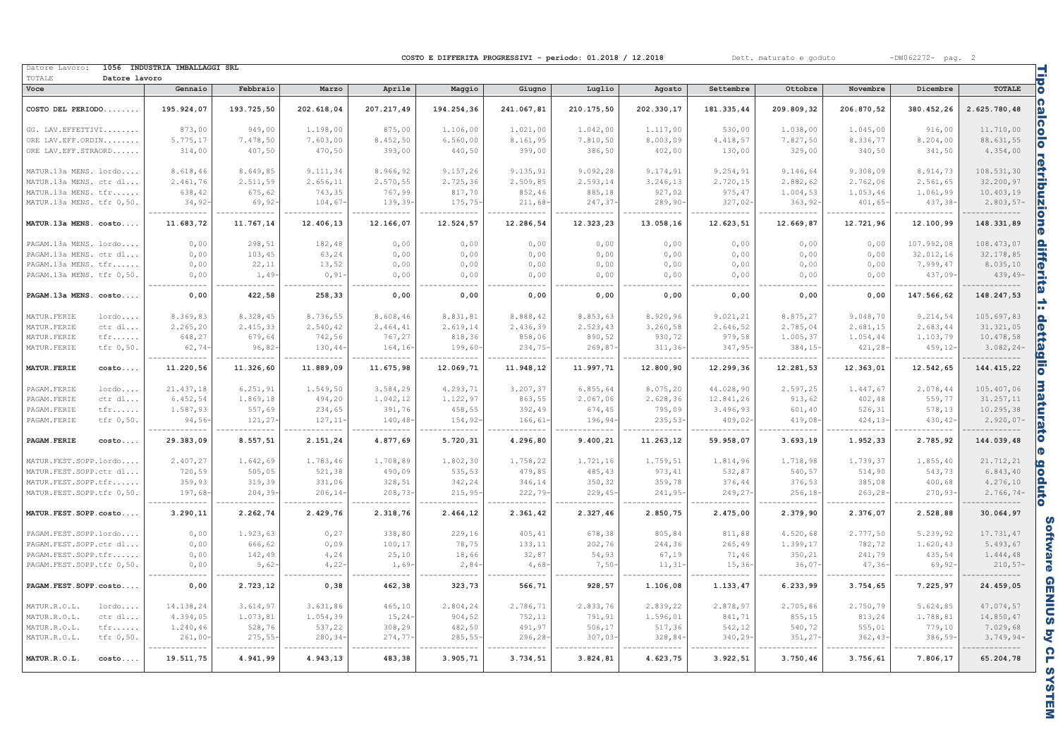Dett. maturato e goduto

 $-DW062272-$  pag. 2

COSTO E DIFFERITA PROGRESSIVI - periodo: 01.2018 / 12.2018

| Datore Lavoro:                  | 1056 INDUSTRIA IMBALLAGGI SRL |            |            |             |             |            |            |             |            |             |             |             | Tipo                           |
|---------------------------------|-------------------------------|------------|------------|-------------|-------------|------------|------------|-------------|------------|-------------|-------------|-------------|--------------------------------|
| TOTALE<br>Datore lavoro<br>Voce | Gennaio                       | Febbraio   | Marzo      | Aprile      |             | Giugno     |            |             | Settembre  | Ottobre     | Novembre    | Dicembre    | <b>TOTALE</b>                  |
|                                 |                               |            |            |             | Maggio      |            | Luglio     | Agosto      |            |             |             |             |                                |
| COSTO DEL PERIODO               | 195.924,07                    | 193.725,50 | 202.618,04 | 207.217,49  | 194.254,36  | 241.067,81 | 210.175,50 | 202.330,17  | 181.335,44 | 209.809,32  | 206.870,52  | 380.452,26  | calcolo<br>2.625.780,48        |
| GG. LAV. EFFETTIVI              | 873,00                        | 949,00     | 1.198,00   | 875,00      | 1.106,00    | 1.021,00   | 1.042,00   | 1.117,00    | 530,00     | 1.038,00    | 1.045,00    | 916,00      | 11.710,00                      |
| ORE LAV. EFF. ORDIN             | 5.775,17                      | 7.478,50   | 7.603,00   | 8.452,50    | 6.560,00    | 8.161,95   | 7.810,50   | 8.003,09    | 4.418,57   | 7.827,50    | 8.336,77    | 8.204,00    | 88.631,55                      |
| ORE LAV. EFF. STRAORD           | 314,00                        | 407,50     | 470,50     | 393,00      | 440,50      | 399,00     | 386,50     | 402,00      | 130,00     | 329,00      | 340,50      | 341,50      | 4.354,00                       |
|                                 |                               |            |            |             |             |            |            |             |            |             |             |             |                                |
| MATUR.13a MENS. lordo           | 8.618,46                      | 8.649,85   | 9.111,34   | 8.966,92    | 9.157, 26   | 9.135,91   | 9.092, 28  | 9.174,91    | 9.254,91   | 9.146,64    | 9.308,09    | 8.914,73    | 108.531,30                     |
| MATUR.13a MENS. ctr dl          | 2.461,76                      | 2.511,59   | 2.656,11   | 2.570,55    | 2.725,36    | 2.509,85   | 2.593,14   | 3.246,13    | 2.720,15   | 2.882,62    | 2.762,06    | 2.561,65    | 32.200,97                      |
| MATUR.13a MENS. tfr             | 638,42                        | 675,62     | 743,35     | 767,99      | 817,70      | 852,46     | 885,18     | 927,02      | 975, 47    | 1.004,53    | 1.053,46    | 1.061,99    | 10.403,19                      |
| MATUR.13a MENS. tfr 0,50.       | 34, 92                        | 69,92      | 104,67     | 139,39      | 175,75      | 211,68     | 247,37     | $289, 90 -$ | 327,02     | $363, 92 -$ | 401,65      | $437, 38 -$ | $2.803, 57-$                   |
| MATUR.13a MENS. costo           | 11.683,72                     | 11.767,14  | 12.406,13  | 12.166,07   | 12.524,57   | 12.286,54  | 12.323,23  | 13.058,16   | 12.623,51  | 12.669,87   | 12.721,96   | 12.100,99   | retribuzione<br>148.331,89     |
| PAGAM.13a MENS. lordo           | 0,00                          | 298,51     | 182,48     | 0,00        | 0,00        | 0,00       | 0,00       | 0,00        | 0,00       | 0,00        | 0,00        | 107.992,08  | 108.473,07                     |
| PAGAM.13a MENS. ctr dl          | 0,00                          | 103,45     | 63,24      | 0,00        | 0,00        | 0,00       | 0,00       | 0,00        | 0,00       | 0,00        | 0,00        | 32.012,16   | 32.178,85                      |
| PAGAM.13a MENS. tfr             | 0,00                          | 22,11      | 13,52      | 0,00        | 0,00        | 0,00       | 0,00       | 0,00        | 0,00       | 0,00        | 0,00        | 7.999,47    | 8.035,10                       |
| PAGAM.13a MENS. tfr 0,50.       | 0,00                          | 1,49       | 0, 91      | 0,00        | 0,00        | 0,00       | 0,00       | 0,00        | 0,00       | 0,00        | 0,00        | $437,09-$   | differita<br>$439, 49-$        |
| PAGAM.13a MENS. costo           | 0,00                          | 422,58     | 258,33     | 0,00        | 0,00        | 0,00       | 0,00       | 0,00        | 0,00       | 0,00        | 0.00        | 147.566,62  | 148.247,53<br>÷                |
| MATUR. FERIE<br>lordo           | 8.369,83                      | 8.328,45   | 8.736,55   | 8.608,46    | 8.831,81    | 8.888,42   | 8.853,63   | 8.920,96    | 9.021,21   | 8.875,27    | 9.048,70    | 9.214,54    | 105.697.83                     |
| MATUR. FERIE<br>ctr dl          | 2.265,20                      | 2.415,33   | 2.540,42   | 2.464,41    | 2.619,14    | 2.436,39   | 2.523,43   | 3.260,58    | 2.646,52   | 2.785,04    | 2.681,15    | 2.683,44    | 31.321,05                      |
| MATUR. FERIE<br>tfr             | 648,27                        | 679,64     | 742,56     | 767,27      | 818,36      | 858,06     | 890,52     | 930,72      | 979,58     | 1.005,37    | 1.054,44    | 1.103,79    | 10.478,58                      |
| MATUR. FERIE<br>tfr 0,50.       | $62,74-$                      | 96,82      | 130,44     | $164, 16-$  | 199,60-     | 234,75     | 269,87     | $311, 36-$  | 347, 95-   | 384, 15-    | $421, 28 -$ | $459, 12-$  | $3.082, 24-$                   |
|                                 |                               |            |            |             |             |            |            |             |            |             |             |             |                                |
| <b>MATUR. FERIE</b><br>costo    | 11.220,56                     | 11.326,60  | 11.889,09  | 11.675,98   | 12.069,71   | 11.948,12  | 11.997,71  | 12.800,90   | 12.299,36  | 12.281,53   | 12.363,01   | 12.542,65   | <u>dettaglio</u><br>144.415,22 |
| PAGAM. FERIE<br>lordo           | 21.437,18                     | 6.251,91   | 1.549,50   | 3.584,29    | 4.293,71    | 3.207,37   | 6.855, 64  | 8.075,20    | 44.028,90  | 2.597,25    | 1.447,67    | 2.078,44    | 105.407,06                     |
| $ctr$ $dl$<br>PAGAM. FERIE      | 6.452,54                      | 1.869,18   | 494,20     | 1.042,12    | 1.122,97    | 863,55     | 2.067,06   | 2.628,36    | 12.841,26  | 913,62      | 402,48      | 559,77      | 31.257,11                      |
| PAGAM. FERIE<br>tfr             | 1.587,93                      | 557,69     | 234,65     | 391,76      | 458,55      | 392,49     | 674,45     | 795,09      | 3.496,93   | 601,40      | 526,31      | 578,13      | 10.295,38                      |
| PAGAM. FERIE<br>tfr 0,50.       | $94,56-$                      | 121, 27    | 127, 11    | $140, 48 -$ | 154,92-     | 166, 61    | 196,94-    | $235, 53-$  | 409,02     | 419,08      | 424, 13     | $430, 42-$  | $2.920,07-$                    |
| PAGAM. FERIE<br>costo           | 29.383,09                     | 8.557,51   | 2.151,24   | 4.877,69    | 5.720,31    | 4.296,80   | 9.400,21   | 11.263,12   | 59.958,07  | 3.693, 19   | 1.952,33    | 2.785,92    | maturato<br>144.039,48<br>ര    |
| MATUR.FEST.SOPP.lordo           | 2.407,27                      | 1.642,69   | 1.783,46   | 1.708,89    | 1.802,30    | 1.758,22   | 1.721,16   | 1.759,51    | 1.814,96   | 1.718,98    | 1.739,37    | 1.855,40    | 21.712,21                      |
| MATUR.FEST.SOPP.ctr dl          | 720,59                        | 505,05     | 521,38     | 490,09      | 535,53      | 479,85     | 485,43     | 973, 41     | 532,87     | 540,57      | 514,90      | 543,73      | 6.843, 40                      |
| MATUR.FEST.SOPP.tfr             | 359,93                        | 319,39     | 331,06     | 328,51      | 342,24      | 346,14     | 350,32     | 359,78      | 376,44     | 376,53      | 385,08      | 400,68      | 4.276, 10                      |
| MATUR.FEST.SOPP.tfr 0,50.       | 197,68-                       | 204, 39    | 206, 14    | $208,73-$   | $215, 95 -$ | 222,79     | 229, 45    | $241, 95-$  | 249,27     | 256, 18     | 263, 28     | $270, 93-$  | goduto<br>$2.766, 74-$         |
| MATUR. FEST. SOPP. costo        | 3.290, 11                     | 2.262,74   | 2.429,76   | 2.318,76    | 2.464,12    | 2.361,42   | 2.327,46   | 2.850,75    | 2.475,00   | 2.379,90    | 2.376,07    | 2.528,88    | 30.064,97                      |
| PAGAM.FEST.SOPP.lordo           | 0.00                          | 1.923,63   | 0, 27      | 338,80      | 229,16      | 405,41     | 678,38     | 805,84      | 811,88     | 4.520.68    | 2.777.50    | 5.239.92    | 17.731,47                      |
| PAGAM.FEST.SOPP.ctr dl          | 0,00                          | 666,62     | 0,09       | 100,17      | 78,75       | 133,11     | 202,76     | 244,36      | 265,49     | 1.399,17    | 782,72      | 1.620,43    | 5.493,67                       |
| PAGAM. FEST. SOPP.tfr           | 0,00                          | 142,49     | 4,24       | 25,10       | 18,66       | 32,87      | 54,93      | 67,19       | 71,46      | 350,21      | 241,79      | 435,54      | 1.444,48                       |
| PAGAM.FEST.SOPP.tfr 0,50.       | 0,00                          | 9,62       | 4,22       | 1,69        | $2,84-$     | 4,68       | $7,50-$    | $11, 31-$   | 15,36      | 36,07       | $47, 36 -$  | $69, 92 -$  | $210,57-$                      |
| PAGAM. FEST. SOPP. costo        | 0,00                          | 2.723,12   | 0, 38      | 462,38      | 323,73      | 566,71     | 928,57     | 1.106,08    | 1.133,47   | 6.233,99    | 3.754,65    | 7.225,97    | 24.459,05                      |
|                                 |                               |            |            |             |             |            |            |             |            |             |             |             |                                |
| MATUR.R.O.L.<br>$l$ ordo        | 14.138,24                     | 3.614,97   | 3.631,86   | 465,10      | 2.804,24    | 2.786,71   | 2.833,76   | 2.839,22    | 2.878,97   | 2.705,86    | 2.750,79    | 5.624,85    | 47.074,57                      |
| MATUR.R.O.L.<br>ctr dl          | 4.394,05                      | 1.073,81   | 1.054,39   | 15,24       | 904,52      | 752,11     | 791,91     | 1.596,01    | 841,71     | 855,15      | 813,24      | 1.788,81    | 14.850,47                      |
| MATUR.R.O.L.<br>tfr             | 1.240,46                      | 528,76     | 537,22     | 308,29      | 482,50      | 491,97     | 506, 17    | 517,36      | 542,12     | 540,72      | 555,01      | 779,10      | 7.029,68                       |
| MATUR.R.O.L.<br>tfr 0,50.       | 261,00                        | 275,55     | 280, 34    | 274,77      | 285, 55     | 296, 28    | 307,03     | 328,84-     | 340,29     | 351,27      | 362, 43     | $386,59-$   | $3.749, 94 -$                  |
| MATUR.R.O.L.<br>costo           | 19.511,75                     | 4.941,99   | 4.943,13   | 483,38      | 3.905,71    | 3.734,51   | 3.824, 81  | 4.623,75    | 3.922,51   | 3.750,46    | 3.756,61    | 7.806,17    | 65.204,78                      |

Software GENIUS by CL SYSTEM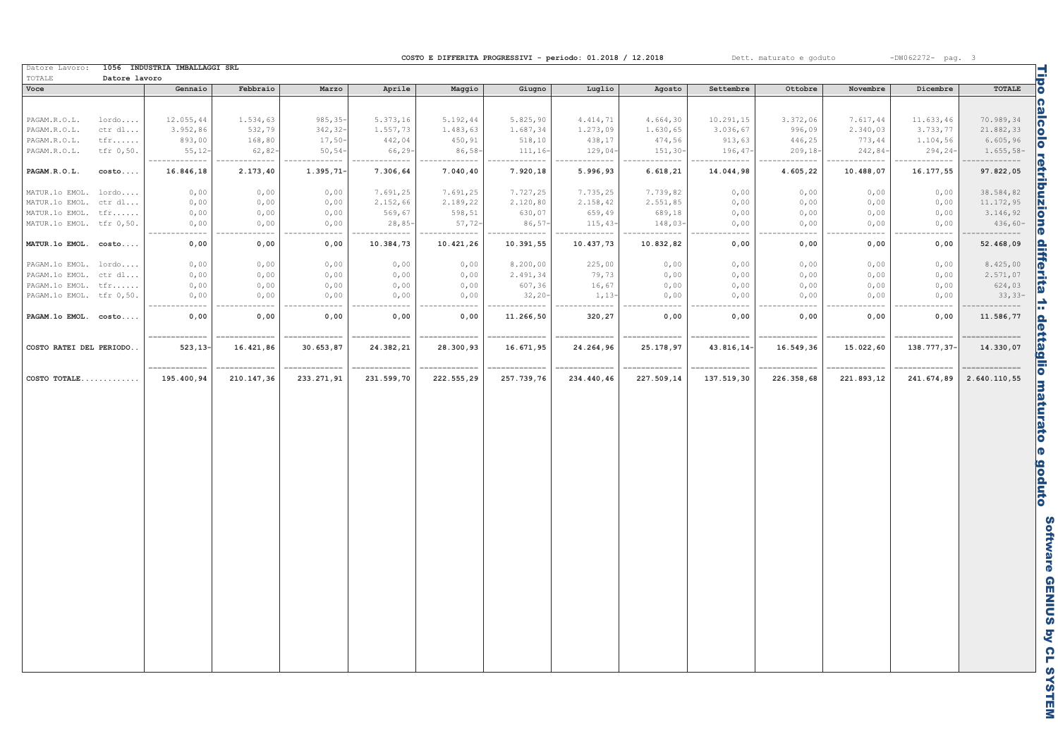| Dett. maturato e goduto |  | $-DW062272-$ pag. |  |
|-------------------------|--|-------------------|--|
|                         |  |                   |  |

COSTO E DIFFERITA PROGRESSIVI - periodo: 01.2018 / 12.2018

---------

| Voce                     | Datore lavoro | Gennaio                     | Febbraio                    | Marzo                      | Aprile                 | Maggio                     | Giugno                    | Luglio                                  | Agosto                    | Settembre                  | Ottobre                  | Novembre                 | Dicembre                   | <b>TOTALE</b>            |
|--------------------------|---------------|-----------------------------|-----------------------------|----------------------------|------------------------|----------------------------|---------------------------|-----------------------------------------|---------------------------|----------------------------|--------------------------|--------------------------|----------------------------|--------------------------|
|                          |               |                             |                             |                            |                        |                            |                           |                                         |                           |                            |                          |                          |                            |                          |
|                          |               |                             |                             |                            |                        |                            |                           |                                         |                           |                            |                          |                          |                            |                          |
| PAGAM.R.O.L.             | lordo         | 12.055,44                   | 1.534,63                    | $985, 35 -$                | 5.373,16               | 5.192,44                   | 5.825,90                  | 4.414,71                                | 4.664,30                  | 10.291,15                  | 3.372,06                 | 7.617,44                 | 11.633,46                  | 70.989,34                |
| PAGAM.R.O.L.             | ctr dl        | 3.952,86                    | 532,79                      | 342, 32-                   | 1.557,73               | 1.483,63                   | 1.687,34                  | 1.273,09                                | 1.630,65                  | 3.036, 67                  | 996,09                   | 2.340,03                 | 3.733,77                   | 21.882,33                |
| PAGAM.R.O.L.             | tfr           | 893,00                      | 168,80                      | $17,50-$                   | 442,04                 | 450,91                     | 518, 10                   | 438,17                                  | 474,56                    | 913,63                     | 446,25                   | 773,44                   | 1.104,56                   | 6.605,96                 |
| PAGAM.R.O.L.             | tfr 0,50.     | $55,12-$<br>.               | $62,82-$                    | $50, 54-$                  | 66,29-<br>--------     | $86,58-$                   | $111, 16-$                | $129,04-$                               | $151, 30-$                | 196, 47                    | $209, 18-$               | $242,84-$                | 294, 24                    | $1.655, 58-$             |
| PAGAM.R.O.L.             | costo         | 16.846,18                   | 2.173, 40                   | $1.395, 71-$               | 7.306,64               | 7.040, 40                  | 7.920,18                  | 5.996,93                                | 6.618, 21                 | 14.044,98                  | 4.605,22                 | 10.488,07                | 16.177,55                  | 97.822,05                |
| MATUR.10 EMOL. lordo     |               | 0,00                        | 0,00                        | 0,00                       | 7.691,25               | 7.691,25                   | 7.727,25                  | 7.735,25                                | 7.739,82                  | 0,00                       | 0,00                     | 0,00                     | 0,00                       | 38.584,82                |
| MATUR.10 EMOL. ctr dl    |               | 0,00                        | 0,00                        | 0,00                       | 2.152,66               | 2.189,22                   | 2.120,80                  | 2.158,42                                | 2.551,85                  | 0,00                       | 0,00                     | 0,00                     | 0,00                       | 11.172,95                |
| MATUR.10 EMOL. tfr       |               | 0,00                        | 0,00                        | 0,00                       | 569,67                 | 598,51                     | 630,07                    | 659,49                                  | 689,18                    | 0,00                       | 0,00                     | 0,00                     | 0,00                       | 3.146,92                 |
| MATUR.1o EMOL. tfr 0,50. |               | 0,00                        | 0,00                        | 0,00                       | 28,85-                 | $57,72-$                   | $86,57-$                  | $115,43-$                               | $148,03-$                 | 0,00                       | 0,00                     | 0,00                     | 0,00                       | $436,60-$                |
| MATUR. 10 EMOL. costo    |               | .<br>0,00                   | ------<br>0,00              | ------<br>0,00             | ---------<br>10.384,73 | -----------<br>10.421,26   | <br>10.391,55             | -------------<br>10.437,73              | <br>10.832,82             | -------<br>0,00            | -------<br>0,00          | -------<br>0,00          | -------<br>0,00            | -----------<br>52.468,09 |
| PAGAM.10 EMOL. lordo     |               | 0,00                        | 0,00                        | 0,00                       | 0,00                   | 0,00                       | 8.200,00                  | 225,00                                  | 0,00                      | 0,00                       | 0,00                     | 0,00                     | 0,00                       | 8.425,00                 |
| PAGAM.10 EMOL. ctr dl    |               | 0,00                        | 0,00                        | 0,00                       | 0,00                   | 0,00                       | 2.491,34                  | 79,73                                   | 0,00                      | 0,00                       | 0,00                     | 0,00                     | 0,00                       | 2.571,07                 |
| PAGAM. lo EMOL. tfr      |               | 0,00                        | 0,00                        | 0,00                       | 0,00                   | 0,00                       | 607,36                    | 16,67                                   | 0,00                      | 0,00                       | 0,00                     | 0,00                     | 0,00                       | 624,03                   |
| PAGAM.10 EMOL. tfr 0,50. |               | 0,00                        | 0,00                        | 0,00                       | 0,00                   | 0,00                       | $32,20-$                  | $1,13-$                                 | 0,00                      | 0,00                       | 0,00                     | 0,00                     | 0,00                       | $33,33-$                 |
| PAGAM.10 EMOL. costo     |               | 0,00                        | 0,00                        | 0,00                       | 0,00                   | 0,00                       | 11.266,50                 | 320,27                                  | 0,00                      | 0,00                       | 0,00                     | 0,00                     | 0,00                       | 11.586,77                |
|                          |               | -------------               | -------------               | ==========                 | =========              | ==========                 | __________                | _____________                           | ----------                | . _ _ _ _ _ _ _ _ _        | =========                |                          |                            |                          |
| COSTO RATEI DEL PERIODO  |               | $523, 13-$                  | 16.421,86                   | 30.653,87                  | 24.382,21              | 28.300,93                  | 16.671,95                 | 24.264,96                               | 25.178,97                 | 43.816,14-                 | 16.549,36                | 15.022,60                | 138.777,37-                | 14.330,07                |
| COSTO TOTALE             |               | _____________<br>195.400,94 | -------------<br>210.147,36 | ============<br>233.271,91 | 231.599,70             | ------------<br>222.555,29 | ===========<br>257.739,76 | . _ _ _ _ _ _ _ _ _ _ _ _<br>234.440,46 | .==========<br>227.509,14 | .===========<br>137.519,30 | ==========<br>226.358,68 | .=========<br>221.893,12 | .===========<br>241.674,89 | 2.640.110,55             |
|                          |               |                             |                             |                            |                        |                            |                           |                                         |                           |                            |                          |                          |                            |                          |
|                          |               |                             |                             |                            |                        |                            |                           |                                         |                           |                            |                          |                          |                            |                          |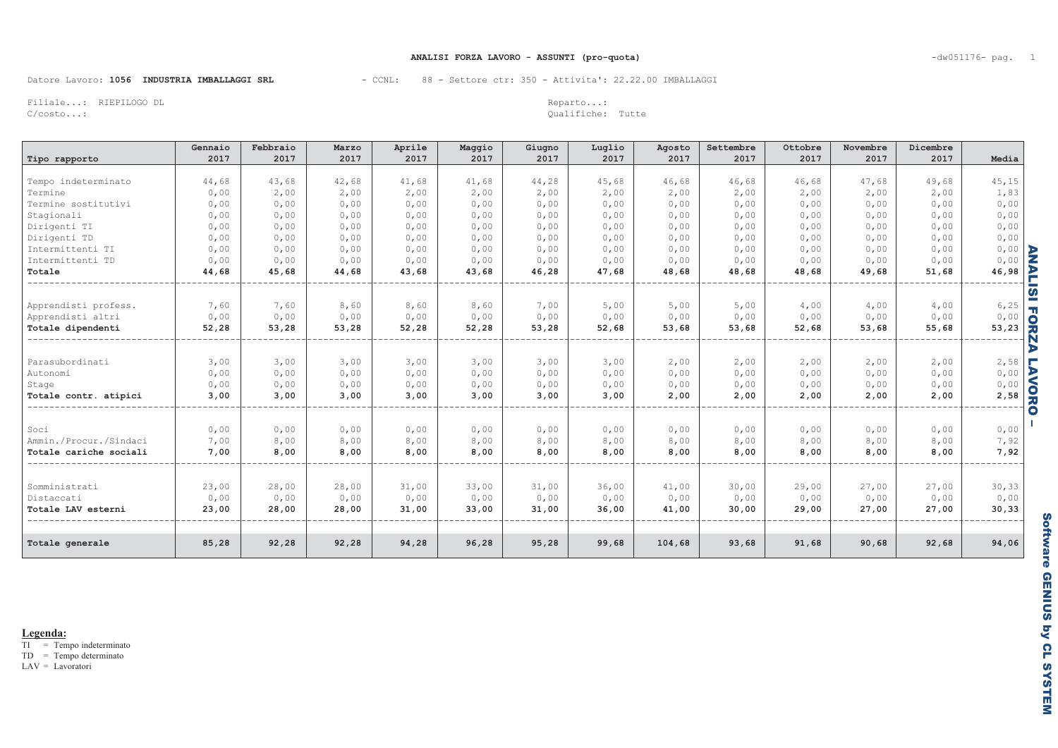### ANALISI FORZA LAVORO - ASSUNTI (pro-quota)

### Datore Lavoro: 1056 INDUSTRIA IMBALLAGGI SRL

### - CCNL: 88 - Settore ctr: 350 - Attivita': 22.22.00 IMBALLAGGI

Filiale...: RIEPILOGO DL  $C/costo...$ 

Reparto...: Qualifiche: Tutte

| Tipo rapporto          | Gennaio<br>2017 | Febbraio<br>2017 | Marzo<br>2017 | Aprile<br>2017 | Maggio<br>2017 | Giugno<br>2017 | Luglio<br>2017 | Agosto<br>2017 | Settembre<br>2017 | Ottobre<br>2017 | Novembre<br>2017 | Dicembre<br>2017 | Media  |                  |
|------------------------|-----------------|------------------|---------------|----------------|----------------|----------------|----------------|----------------|-------------------|-----------------|------------------|------------------|--------|------------------|
|                        |                 |                  |               |                |                |                |                |                |                   |                 |                  |                  |        |                  |
| Tempo indeterminato    | 44,68           | 43,68            | 42,68         | 41,68          | 41,68          | 44,28          | 45,68          | 46,68          | 46,68             | 46,68           | 47,68            | 49,68            | 45,15  |                  |
| Termine                | 0,00            | 2,00             | 2,00          | 2,00           | 2,00           | 2,00           | 2,00           | 2,00           | 2,00              | 2,00            | 2,00             | 2,00             | 1,83   |                  |
| Termine sostitutivi    | 0,00            | 0,00             | 0,00          | 0,00           | 0,00           | 0,00           | 0,00           | 0,00           | 0,00              | 0,00            | 0,00             | 0,00             | 0,00   |                  |
| Stagionali             | 0,00            | 0,00             | 0,00          | 0,00           | 0,00           | 0,00           | 0,00           | 0,00           | 0,00              | 0,00            | 0,00             | 0,00             | 0,00   |                  |
| Dirigenti TI           | 0,00            | 0,00             | 0,00          | 0,00           | 0,00           | 0,00           | 0,00           | 0,00           | 0,00              | 0,00            | 0,00             | 0,00             | 0,00   |                  |
| Dirigenti TD           | 0,00            | 0,00             | 0,00          | 0,00           | 0,00           | 0,00           | 0,00           | 0,00           | 0,00              | 0,00            | 0,00             | 0,00             | 0,00   |                  |
| Intermittenti TI       | 0,00            | 0,00             | 0,00          | 0,00           | 0,00           | 0,00           | 0,00           | 0,00           | 0,00              | 0,00            | 0,00             | 0,00             | 0,00   |                  |
| Intermittenti TD       | 0,00            | 0,00             | 0,00          | 0,00           | 0,00           | 0,00           | 0,00           | 0,00           | 0,00              | 0,00            | 0,00             | 0,00             | 0,00   |                  |
| Totale                 | 44,68           | 45,68            | 44,68         | 43,68          | 43,68          | 46,28          | 47,68          | 48,68          | 48,68             | 48,68           | 49,68            | 51,68            | 46,98  | <b>ANALI</b>     |
| Apprendisti profess.   | 7,60            | 7,60             | 8,60          | 8,60           | 8,60           | 7,00           | 5,00           | 5,00           | 5,00              | 4,00            | 4,00             | 4,00             | 6, 25  | <b>SIFORZ</b>    |
| Apprendisti altri      | 0,00            | 0,00             | 0,00          | 0,00           | 0,00           | 0,00           | 0,00           | 0,00           | 0,00              | 0,00            | 0,00             | 0,00             | 0,00   |                  |
| Totale dipendenti      | 52,28           | 53,28            | 53,28         | 52,28          | 52,28          | 53,28          | 52,68          | 53,68          | 53,68             | 52,68           | 53,68            | 55,68            | 53,23  |                  |
|                        |                 |                  |               |                |                |                |                |                |                   |                 |                  |                  |        | r                |
| Parasubordinati        | 3,00            | 3,00             | 3,00          | 3,00           | 3,00           | 3,00           | 3,00           | 2,00           | 2,00              | 2,00            | 2,00             | 2,00             | 2,58   | Е                |
| Autonomi               | 0,00            | 0,00             | 0,00          | 0,00           | 0,00           | 0,00           | 0,00           | 0,00           | 0,00              | 0,00            | 0,00             | 0,00             | 0,00   | $\triangleright$ |
| Stage                  | 0,00            | 0,00             | 0,00          | 0,00           | 0,00           | 0,00           | 0,00           | 0,00           | 0,00              | 0,00            | 0,00             | 0,00             | 0,00   |                  |
| Totale contr. atipici  | 3,00            | 3,00             | 3,00          | 3,00           | 3,00           | 3,00           | 3,00           | 2,00           | 2,00              | 2,00            | 2,00             | 2,00             | 2,58   | <b>NORO</b>      |
| Soci                   | 0,00            | 0,00             | 0,00          | 0,00           | 0,00           | 0,00           | 0,00           | 0,00           | 0,00              | 0,00            | 0,00             | 0,00             | 0,00   |                  |
| Ammin./Procur./Sindaci | 7,00            | 8,00             | 8,00          | 8,00           | 8,00           | 8,00           | 8,00           | 8,00           | 8,00              | 8,00            | 8,00             | 8,00             | 7,92   |                  |
| Totale cariche sociali | 7,00            | 8,00             | 8,00          | 8,00           | 8,00           | 8,00           | 8,00           | 8,00           | 8,00              | 8,00            | 8,00             | 8,00             | 7,92   |                  |
|                        |                 |                  |               |                |                |                |                |                |                   |                 |                  |                  |        |                  |
| Somministrati          | 23,00           | 28,00            | 28,00         | 31,00          | 33,00          | 31,00          | 36,00          | 41,00          | 30,00             | 29,00           | 27,00            | 27,00            | 30,33  |                  |
| Distaccati             | 0,00            | 0,00             | 0,00          | 0,00           | 0,00           | 0,00           | 0,00           | 0,00           | 0,00              | 0,00            | 0,00             | 0,00             | 0,00   |                  |
| Totale LAV esterni     | 23,00           | 28,00            | 28,00         | 31,00          | 33,00          | 31,00          | 36,00          | 41,00          | 30,00             | 29,00           | 27,00            | 27,00            | 30, 33 |                  |
| Totale generale        | 85,28           | 92,28            | 92, 28        | 94,28          | 96,28          | 95,28          | 99,68          | 104,68         | 93,68             | 91,68           | 90,68            | 92,68            | 94,06  |                  |

Legenda:

 $\overline{TI}$  = Tempo indeterminato

 $TD = Tempo determinant$ 

 $LAV = Lavoratori$ 

 $-dw051176$ - pag. 1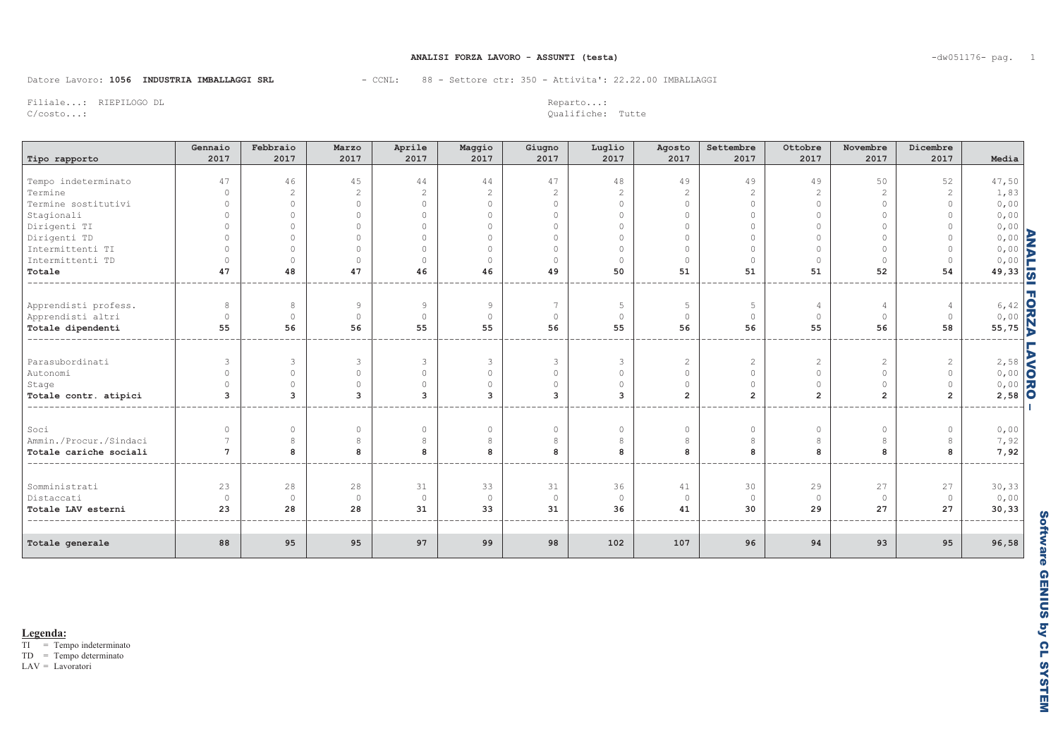### ANALISI FORZA LAVORO - ASSUNTI (testa)

Datore Lavoro: 1056 INDUSTRIA IMBALLAGGI SRL

- CCNL: 88 - Settore ctr: 350 - Attivita': 22.22.00 IMBALLAGGI

Filiale...: RIEPILOGO DL  $C/costo...$ 

Reparto...: Qualifiche: Tutte

| Tipo rapporto          | Gennaio<br>2017 | Febbraio<br>2017 | Marzo<br>2017       | Aprile<br>2017 | Maggio<br>2017 | Giugno<br>2017 | Luglio<br>2017 | Agosto<br>2017 | Settembre<br>2017 | Ottobre<br>2017 | Novembre<br>2017 | Dicembre<br>2017 | Media                    |  |
|------------------------|-----------------|------------------|---------------------|----------------|----------------|----------------|----------------|----------------|-------------------|-----------------|------------------|------------------|--------------------------|--|
|                        |                 |                  |                     |                |                |                |                |                |                   |                 |                  |                  |                          |  |
| Tempo indeterminato    | 47              | 46               | 45                  | 44             | 44             | 47             | 48             | 49             | 49                | 49              | 50               | 52               | 47,50                    |  |
| Termine                | $\Omega$        | $\mathfrak{D}$   | $\overline{c}$      | 2              | 2              | 2              | $\overline{2}$ | $\overline{c}$ |                   | $\overline{2}$  | $\overline{c}$   | $\overline{2}$   | 1,83                     |  |
| Termine sostitutivi    | $\bigcirc$      | $\Omega$         | $\circ$             | $\circ$        | $\circ$        | $\bigcirc$     | $\circ$        | $\circ$        | $\bigcirc$        | $\circ$         | $\Omega$         | $\circ$          | 0,00                     |  |
| Stagionali             | $\cap$          | $\Omega$         | $\circ$             | $\cap$         | $\circ$        | $\cap$         | $\Omega$       | $\bigcap$      | $\Omega$          | $\circ$         |                  | $\circ$          | 0,00                     |  |
| Dirigenti TI           | $\bigcirc$      | $\Omega$         | $\circ$             | $\Omega$       | $\circ$        | $\cap$         | $\Omega$       | $\bigcap$      | $\bigcirc$        | $\circ$         | $\Omega$         | $\circ$          | 0,00                     |  |
| Dirigenti TD           | $\cap$          | $\Omega$         | $\circ$             | $\cap$         | $\circ$        | $\cap$         | $\bigcap$      | $\bigcap$      | $\bigcap$         | $\bigcirc$      | $\bigcap$        | $\bigcirc$       | $0,00$<br>0,00<br>0,00   |  |
| Intermittenti TI       | $\Omega$        | $\bigcap$        | $\circ$             | $\cap$         | $\circ$        | $\cap$         | $\Omega$       | $\bigcirc$     | $\bigcirc$        | $\Omega$        | $\bigcap$        | $\circ$          |                          |  |
| Intermittenti TD       | $\Omega$        | $\bigcirc$       | $\circlearrowright$ | $\circ$        | $\circ$        | $\bigcirc$     | $\Omega$       | $\bigcirc$     | $\Omega$          | $\Omega$        | $\circ$          | $\circ$          |                          |  |
| Totale                 | 47              | 48               | 47                  | 46             | 46             | 49             | 50             | 51             | 51                | 51              | 52               | 54               | $49,33$ $\frac{1}{2}$    |  |
|                        |                 |                  |                     |                |                |                |                |                |                   |                 |                  |                  |                          |  |
| Apprendisti profess.   | 8               | 8                | $\overline{9}$      | 9              | 9              | 7              | 5              | 5              | 5                 | $\overline{4}$  | $\overline{4}$   |                  |                          |  |
| Apprendisti altri      | $\Omega$        | $\circ$          | $\circ$             | $\circ$        | $\circ$        | $\circ$        | $\circ$        | $\bigcirc$     | $\circ$           | $\circ$         | $\circ$          | $\circ$          |                          |  |
| Totale dipendenti      | 55              | 56               | 56                  | 55             | 55             | 56             | 55             | 56             | 56                | 55              | 56               | 58               | $6, 42$<br>0,00<br>55,75 |  |
| Parasubordinati        | $\mathcal{L}$   | 3                | 3                   | 3              | 3              | $\mathbf{3}$   | $\mathbf{3}$   | 2              | $\mathbf{2}$      | 2               | $\overline{2}$   | $\mathbf{2}$     | 2,58                     |  |
| Autonomi               | $\bigcirc$      | $\Omega$         | $\circlearrowright$ | $\Omega$       | $\circ$        | $\bigcirc$     | $\circ$        | $\bigcirc$     | $\Omega$          | $\circ$         | $\Omega$         | $\circ$          |                          |  |
| Stage                  | $\cap$          | $\Omega$         | $\circ$             | $\Omega$       | $\circ$        | $\bigcirc$     | $\circ$        | $\bigcirc$     | $\circ$           | $\bigcirc$      | $\Omega$         | $\circ$          |                          |  |
| Totale contr. atipici  | 3               | $\mathbf{3}$     | 3                   | 3              | 3              | $\mathbf{3}$   | 3              | $\overline{2}$ | $\overline{2}$    | $\overline{2}$  | $\overline{2}$   | $\overline{2}$   | $2,58$ 0                 |  |
|                        |                 |                  |                     |                |                |                |                |                |                   |                 |                  |                  |                          |  |
| Soci                   | $\bigcirc$      | $\circ$          | $\circ$             | $\circ$        | $\circ$        | $\circ$        | $\circ$        | $\circ$        | $\circ$           | $\circ$         | $\circ$          | $\circ$          | 0,00                     |  |
| Ammin./Procur./Sindaci |                 | 8                | 8                   | 8              | 8              | 8              | 8              | 8              | 8                 | 8               | 8                | $\,8\,$          | 7,92                     |  |
| Totale cariche sociali | $7\overline{ }$ | 8                | 8                   | 8              | 8              | 8              | 8              | 8              | 8                 | 8               | 8                | 8                | 7,92                     |  |
| Somministrati          | 23              | 28               | 28                  | 31             | 33             | 31             | 36             | 41             | 30                | 29              | 27               | 27               | 30, 33                   |  |
| Distaccati             | $\circ$         | $\circ$          | $\circ$             | $\circ$        | $\circ$        | $\circ$        | $\circ$        | $\circ$        | $\circ$           | $\circ$         | $\circ$          | $\circ$          | 0,00                     |  |
| Totale LAV esterni     | 23              | 28               | 28                  | 31             | 33             | 31             | 36             | 41             | 30                | 29              | 27               | 27               | 30, 33                   |  |
|                        |                 |                  |                     |                |                |                |                |                |                   |                 |                  |                  |                          |  |
| Totale generale        | 88              | 95               | 95                  | 97             | 99             | 98             | 102            | 107            | 96                | 94              | 93               | 95               | 96,58                    |  |

Legenda:

 $\overline{TI}$  = Tempo indeterminato

 $TD = Tempo determinant$ 

 $LAV = Lavoratori$ 

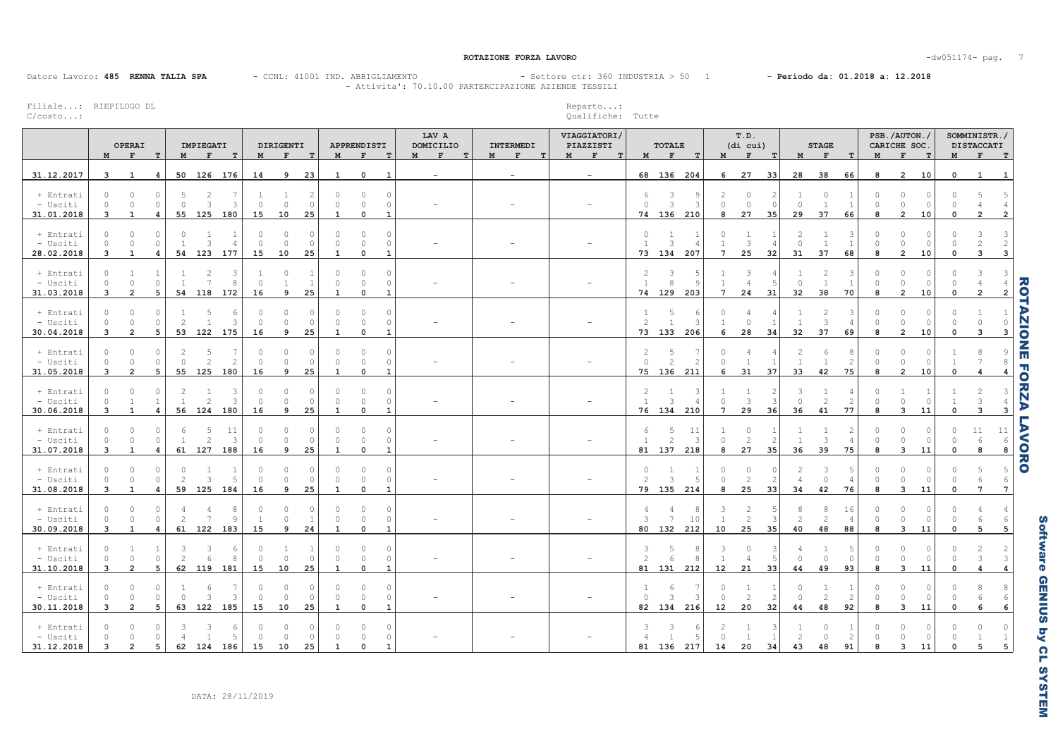ROTAZIONE FORZA LAVORO

-dw051174- pag. 7

Datore Lavoro: 485 RENNA TALIA SPA - CCNL: 41001 IND. ABBIGLIAMENTO

- CCNL: 41001 IND. ABBIGLIAMENTO - - Settore ctr: 360 INDUSTRIA > 50 1 - Periodo da: 01.2018 a: 12.2018 - Attivita': 70.10.00 PARTERCIPAZIONE AZIENDE TESSILI

Filiale...: RIEPILOGO DL<br>C/costo...: RIEPILOGO DL

C/costo...: Qualifiche: Tutte

|                                     | M                                     | OPERAI<br>$\mathbf{F}$<br>T                                         |    | IMPIEGATI<br>M             | $\mathbf{F}$                     | T                          | M                        | DIRIGENTI<br>$\mathbf{F}$  | T                               | $\mathbf M$                          | APPRENDISTI<br>$\mathbf F$          | T                                                | LAV A<br>DOMICILIO<br>$\mathbf{F}$<br>T<br>M | INTERMEDI<br>F<br>M<br>ா | VIAGGIATORI/<br>PIAZZISTI<br>$M$ F<br>T. | $\mathbf M$                        | <b>TOTALE</b><br>$\mathbf{F}$           | T                             | $\mathbf M$                    | T.D.<br>(di cui)<br>F            | $^{\rm T}$           | $\mathbf M$                    | <b>STAGE</b><br>$\mathbf{F}$           | $\mathbf T$          | M                        | PSB./AUTON./<br>CARICHE SOC.<br>F      | T              | M           | SOMMINISTR./<br><b>DISTACCATI</b><br>$F$ and $F$ | T                                               |
|-------------------------------------|---------------------------------------|---------------------------------------------------------------------|----|----------------------------|----------------------------------|----------------------------|--------------------------|----------------------------|---------------------------------|--------------------------------------|-------------------------------------|--------------------------------------------------|----------------------------------------------|--------------------------|------------------------------------------|------------------------------------|-----------------------------------------|-------------------------------|--------------------------------|----------------------------------|----------------------|--------------------------------|----------------------------------------|----------------------|--------------------------|----------------------------------------|----------------|-------------|--------------------------------------------------|-------------------------------------------------|
| 31.12.2017                          | $\mathbf{3}$                          | $\overline{1}$<br>$\overline{4}$                                    |    | 50 126 176                 |                                  |                            | 14                       | 9                          | 23                              | 1                                    | $\mathbf 0$                         | 1                                                | $\sim$                                       | $\sim$                   | $\overline{\phantom{a}}$                 |                                    |                                         | 68 136 204                    | 6                              | 27                               | 33                   | 28                             | 38                                     | 66                   | 8                        | $\overline{2}$                         | 10             | $\mathbf 0$ | $\mathbf{1}$                                     | 1                                               |
| + Entrati<br>- Usciti<br>31.01.2018 | $\circ$<br>$\circ$<br>$\mathbf{3}$    | $\circ$<br>$\circ$<br>$\circ$<br>$\circ$<br>1<br>4                  |    | 5<br>$\circ$<br>55 125 180 | $\overline{c}$<br>3              | -7<br>3                    | 15                       | $\Omega$<br>10             | $\circ$<br>25                   | $\cap$<br>$\Omega$<br>1              | $\Omega$<br>$\circ$<br>$\mathbf 0$  | $\circledcirc$<br>$\circ$<br>$\mathbf{1}$        |                                              |                          |                                          | 6<br>$\circ$                       | 3<br>$\overline{\mathbf{3}}$            | Κ<br>74 136 210               | $\mathcal{L}$<br>$\Omega$<br>8 | $\circ$<br>$\circ$<br>27         | - C<br>35            | $\mathbf{0}$<br>29             | $\Omega$<br>1<br>37                    | 66                   | $\Omega$<br>$\cap$<br>8  | $\Omega$<br>$\Omega$<br>$\overline{2}$ | 10             | $\mathbf 0$ | $\overline{2}$                                   | - 5<br>$\overline{2}$                           |
| + Entrati<br>- Usciti<br>28.02.2018 | $\Omega$<br>$\circ$<br>3              | $\circ$<br>$\circ$<br>$\circ$<br>$\circ$<br>$\mathbf{1}$<br>4       |    | $\Omega$<br>54 123         | 3                                | 1<br>$\overline{4}$<br>177 | $\cap$<br>$\Omega$<br>15 | $\Omega$<br>$\Omega$<br>10 | - 0<br>$\circ$<br>25            | $\cap$<br>$\Omega$<br>$\mathbf{1}$   | $\Omega$<br>$\Omega$<br>$\mathbf 0$ | $\circledcirc$<br>$\circ$<br>$\mathbf{1}$        |                                              |                          |                                          | $\circ$<br>1                       | 1<br>3                                  | 73 134 207                    | $7\phantom{.0}$                | $\overline{1}$<br>3<br>25        | 32                   | $\mathcal{L}$<br>$\circ$<br>31 | 37                                     | 68                   | $\cap$<br>$\bigcap$<br>8 | $\cap$<br>$\Omega$<br>$\overline{2}$   | 10             |             | 3                                                | -3<br>$\overline{2}$<br>$\overline{3}$          |
| + Entrati<br>- Usciti<br>31.03.2018 | $\circ$<br>$\bigcap$<br>3             | 1<br>$\circ$<br>$\circ$<br>$\overline{2}$<br>5                      |    | $\overline{1}$<br>54 118   | $\overline{c}$<br>$\overline{7}$ | 3<br>8<br>172              | 16                       | $\Omega$<br>9              | $\overline{1}$<br>25            | $\Omega$<br>$\Omega$                 | $\Omega$<br>$\Omega$<br>$\Omega$    | $\circledcirc$<br>$\circ$<br>$\mathbf{1}$        |                                              |                          |                                          | $\mathbf{2}$<br><sup>1</sup><br>74 | 3<br>8<br>129                           | 203                           | $7\overline{ }$                | 3<br>$\Delta$<br>24              | 31                   | $\mathbf{0}$<br>32             | $\overline{2}$<br>$\overline{1}$<br>38 | -3<br>70             | $\Omega$<br>$\cap$<br>8  | $\Omega$<br>$\Omega$<br>$\overline{2}$ | 10             |             |                                                  | -3<br>$\overline{2}$                            |
| + Entrati<br>- Usciti<br>30.04.2018 | $\circ$<br>$\circledcirc$<br>3        | $\circ$<br>$\circ$<br>$\circ$<br>$\mathbb O$<br>$\overline{2}$<br>5 | 53 | $\mathbf{2}$<br>122        | 5<br>$\overline{1}$              | 6<br>3<br>175              | $\cap$<br>$\Omega$<br>16 | $\circ$<br>$\circ$<br>9    | $\circ$<br>$\circ$<br>25        | $\bigcap$<br>$\circ$<br>$\mathbf{1}$ | $\circ$<br>$\Omega$<br>$\mathbf 0$  | $\circ$<br>$\circledcirc$<br>$\mathbf{1}$        |                                              |                          |                                          | 1<br>2<br>73                       | 5<br>$\overline{1}$<br>133              | 6<br>3<br>206                 | $\cap$<br>6                    | $\circ$<br>28                    | 34                   | 1<br>32                        | $\overline{c}$<br>$\mathbf{3}$<br>37   | 3<br>69              | $\cap$<br>$\Omega$<br>8  | $\Omega$<br>$\circ$<br>$\overline{2}$  | O.<br>10       |             | $\Omega$<br>3                                    | $\circ$<br>3                                    |
| + Entrati<br>- Usciti<br>31.05.2018 | $\circ$<br>$\circ$<br>$\overline{3}$  | $\circ$<br>$\circ$<br>$\circ$<br>$\mathbb O$<br>$\overline{2}$<br>5 |    | $\circ$<br>55 125          | 5<br>$\overline{2}$              | -7<br>2<br>180             | $\cap$<br>16             | $\circ$<br>$\circ$<br>9    | $\circ$<br>$\circ$<br>25        | $\Omega$<br>$\theta$<br>$\mathbf{1}$ | $\circ$<br>$\circ$<br>$\mathbf{0}$  | $\circ$<br>$\circ$<br>$\mathbf{1}$               |                                              |                          |                                          | $\overline{c}$<br>$\circ$          | 5<br>$\overline{\mathcal{L}}$<br>75 136 | $\mathcal{L}$<br>211          | $\Omega$<br>6                  | <sup>1</sup><br>31               | 37                   | 2<br><sup>1</sup><br>33        | 6<br>1<br>42                           | $\overline{c}$<br>75 | $\Omega$<br>$\circ$<br>8 | $\Omega$<br>$\circ$<br>$\overline{2}$  | $\Omega$<br>10 |             | 4                                                | 8<br>$\overline{4}$                             |
| + Entrati<br>- Usciti<br>30.06.2018 | $\circ$<br>$\circ$<br>3               | $\circ$<br>$\bigcap$<br>$\mathbf{1}$<br>$\mathbf{1}$<br>4           |    | 56 124 180                 | $\mathfrak{D}$                   | 3<br>3                     | 16                       | $\cap$<br>$\Omega$<br>9    | - 0<br>$\circ$<br>25            | $\cap$<br>$\circ$<br>$\mathbf{1}$    | $\Omega$<br>$\circ$<br>$\mathbf 0$  | $\circledcirc$<br>$\circ$<br>$\mathbf{1}$        |                                              |                          |                                          | $\overline{2}$<br><sup>1</sup>     | 1<br>3                                  | 3<br>76 134 210               | $7\overline{ }$                | 3<br>29                          | 36                   | 3<br>$\mathbf{0}$<br>36        | 2<br>41                                | 77                   | $\cap$<br>$\Omega$<br>8  | $\circ$<br>$\overline{\mathbf{3}}$     | 11             |             | 3                                                | -3<br>$\overline{4}$<br>$\overline{\mathbf{3}}$ |
| + Entrati<br>- Usciti<br>31.07.2018 | $\circ$<br>$\circ$<br>$\overline{3}$  | $\circ$<br>$\circ$<br>$\circ$<br>$\circ$<br>$\mathbf{1}$<br>4       |    | 6<br>61 127                | 5<br>$\overline{2}$              | 11<br>3<br>188             | 16                       | $\cap$<br>9                | $\Omega$<br>$\circ$<br>25       | $\Omega$<br>$\mathbf{1}$             | $\Omega$<br>$\circ$<br>$\mathbf 0$  | $\circledcirc$<br>$\circledcirc$<br>$\mathbf{1}$ |                                              |                          |                                          | 6<br>$\mathbf{1}$                  | 5<br>$\overline{2}$<br>81 137           | 11<br>3<br>218                | 8                              | $\Omega$<br>$\overline{2}$<br>27 | -2<br>35             | $\overline{1}$<br>36           | 3<br>39                                | 75                   | 8                        | $\Omega$<br>$\mathbf{3}$               | 11             |             | 11<br>6<br>8                                     | 11<br>- 6<br>8                                  |
| + Entrati<br>- Usciti<br>31.08.2018 | $\circ$<br>$\Omega$<br>$\overline{3}$ | $\circ$<br>$\circ$<br>$\Omega$<br>$\circ$<br>1<br>4                 | 59 | $\bigcirc$<br>2<br>125     | 3                                | 1<br>5<br>184              | $\cap$<br>16             | $\circ$<br>$\Omega$<br>9   | $\circ$<br>$\circ$<br>25        | $\cap$<br>$\Omega$<br>$\mathbf{1}$   | $\cap$<br>$\Omega$<br>$\Omega$      | $\circledcirc$<br>$\circ$<br>$\mathbf{1}$        |                                              |                          |                                          | $\circ$<br>2<br>79                 | $\mathbf{3}$<br>135                     | 214                           | 8                              | $\circ$<br>2<br>25               | 33                   | $\mathcal{L}$<br>34            | 3<br>$\Omega$<br>42                    | 76                   | n<br>8                   | $\cap$<br>$\Omega$<br>3                | 11             |             | 7                                                | $\overline{5}$<br>$7\overline{ }$               |
| + Entrati<br>- Usciti<br>30.09.2018 | $\circ$<br>$\circ$<br>$\overline{3}$  | $\circ$<br>$\circ$<br>$\circ$<br>$\circ$<br>$\mathbf{1}$<br>4       |    | 4<br>2<br>61 122           | 4<br>$\overline{7}$              | 8<br>9<br>183              | 15                       | $\Omega$<br>$\Omega$<br>9  | $\circ$<br>$\overline{1}$<br>24 | $\Omega$<br>$\Omega$<br>$\mathbf{1}$ | $\circ$<br>$\circ$<br>$\mathbf{0}$  | $\circledcirc$<br>$\circ$<br>$\mathbf{1}$        |                                              |                          |                                          | 4<br>$\overline{\mathbf{3}}$       | 4<br>7<br>80 132                        | 10<br>212                     | 10                             | 2<br>2<br>25                     | 35                   | 8<br>$\overline{2}$<br>40      | 8<br>2<br>48                           | 16<br>4<br>88        | $\Omega$<br>$\circ$<br>8 | $\Omega$<br>$\circ$<br>$\mathbf{3}$    | 11             |             | 5                                                | $\overline{4}$<br>-6<br>5                       |
| + Entrati<br>- Usciti<br>31.10.2018 | $\circ$<br>$\circ$<br>3               | 1<br>-1<br>$\circ$<br>$\mathbb O$<br>$\overline{2}$<br>5            | 62 | 3<br>$\mathbf{2}$<br>119   | 3<br>$6 \overline{6}$            | 6<br>8<br>181              | $\Omega$<br>15           | -1<br>$\circ$<br>10        | -1<br>$\overline{0}$<br>25      | $\Omega$<br>$\Omega$<br>$\mathbf{1}$ | $\circ$<br>$\circ$<br>$\mathbf 0$   | $\circledcirc$<br>$\circ$<br>$\mathbf{1}$        |                                              |                          |                                          | 3<br>2<br>81                       | 5<br>6                                  | 8<br>$\mathcal{R}$<br>131 212 | 3<br>12                        | $\circ$<br>21                    | 33                   | 4<br>$\bigcap$<br>44           | -1<br>$\circ$<br>49                    | $\circ$<br>93        | $\Omega$<br>$\circ$<br>8 | $\circ$<br>$\circ$<br>$\overline{3}$   | $\Omega$<br>11 |             | 3                                                | -2<br>$\mathbf{3}$<br>$\overline{4}$            |
| + Entrati<br>- Usciti<br>30.11.2018 | $\circ$<br>$\circ$<br>$\mathbf{3}$    | $\circ$<br>0<br>$\circ$<br>$\circ$<br>$\overline{2}$<br>5           |    | $\circ$<br>63 122          | 6<br>3                           | 3<br>185                   | $\cap$<br>15             | $\circ$<br>10              | 0<br>$\circ$<br>25              | $\theta$<br>$\mathbf{1}$             | $\Omega$<br>$\circ$<br>$\mathbf 0$  | $\circ$<br>$\circ$<br>$\mathbf{1}$               |                                              |                          |                                          | $\circ$<br>82                      | 6<br>3<br>134                           | $\mathcal{L}$<br>216          | $\cap$<br>12                   | 2<br>20                          | $\overline{2}$<br>32 | $\Omega$<br>$\mathbf{0}$<br>44 | $\overline{2}$<br>48                   | $\overline{2}$<br>92 | $\circ$<br>8             | $\circ$<br>$\overline{3}$              | 11             |             | 6                                                | 8<br>6<br>6                                     |
| + Entrati<br>- Usciti<br>31.12.2018 | $\bigcap$<br>3                        | $\Box$<br>$\bigcap$<br>$\bigcap$<br>$\mathcal{P}$<br>5              |    | 62 124                     |                                  | 6<br>5<br>186              | 15                       | 10                         | - 0<br>25                       | $\bigcap$<br>$\overline{1}$          | $\Omega$                            | $\circ$<br>$\circ$<br>$\mathbf{1}$               |                                              |                          |                                          | 3<br>81                            | 136                                     | 217                           | 14                             | 20                               | 34                   | $\overline{\mathcal{L}}$<br>43 | $\Omega$<br>48                         | 91                   | $\mathsf{R}$             | O<br>3                                 | 11             |             |                                                  | $\cap$<br>5                                     |

ROTAZIONE FORZA LAVORO

ROTAZIONE FORZA LAVORO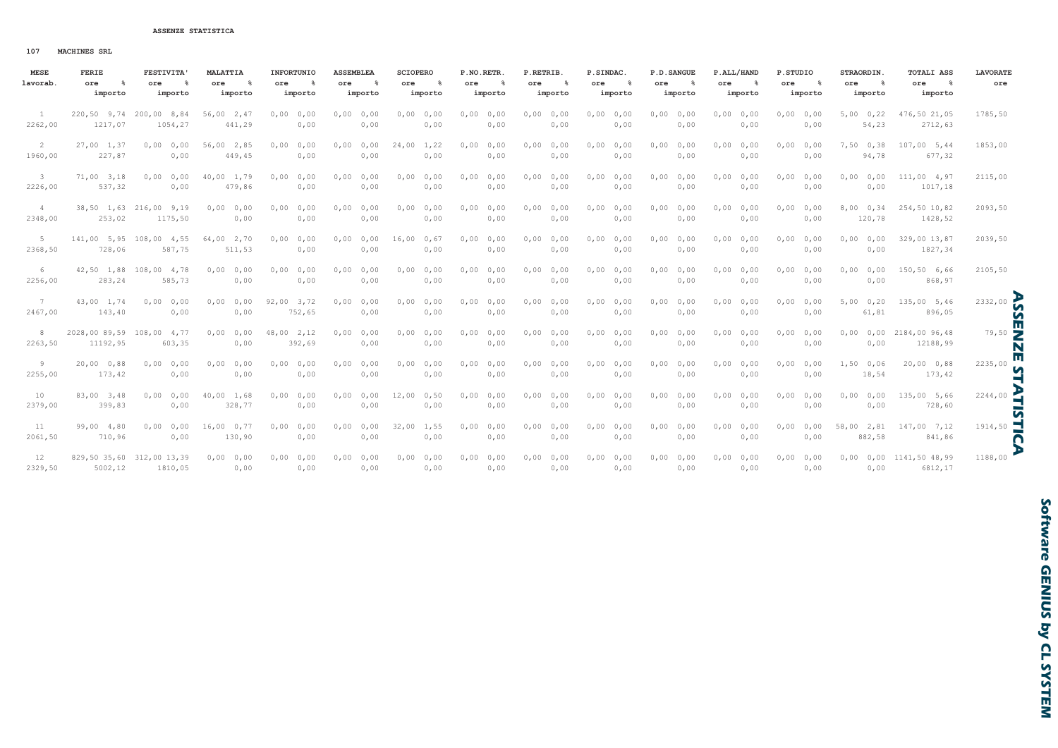107 **MACHINES SRL** 

| <b>MESE</b> | FERIE                     | <b>FESTIVITA'</b>         | <b>MALATTIA</b> | INFORTUNIO   | <b>ASSEMBLEA</b> | <b>SCIOPERO</b> | P.NO.RETR.    | P.RETRIB.         | P.SINDAC.     | P.D. SANGUE  | P.ALL/HAND   | P.STUDIO         | STRAORDIN.       | <b>TOTALI ASS</b>               | <b>LAVORATE</b> |
|-------------|---------------------------|---------------------------|-----------------|--------------|------------------|-----------------|---------------|-------------------|---------------|--------------|--------------|------------------|------------------|---------------------------------|-----------------|
| lavorab.    | ore<br>$^{\circ}$         | ore<br>- %                | ore<br>- 8      | - %<br>ore   | - 8<br>ore       | ore<br>- 옹      | $\sim$<br>ore | $^{\circ}$<br>ore | ႜႜႜ<br>ore    | - 8<br>ore   | - 8<br>ore   | ore<br>$\approx$ | - 8<br>ore       | $\sim$ 8<br>ore                 | ore             |
|             | importo                   | importo                   | importo         | importo      | importo          | importo         | importo       | importo           | importo       | importo      | importo      | importo          | importo          | importo                         |                 |
|             |                           | 220,50 9,74 200,00 8,84   | 56,00 2,47      | 0,00<br>0,00 | 0,0000,00        | 0,000,00        | 0,00<br>0,00  | 0,0000,00         | 0,0000,00     | 0,00<br>0,00 | 0,0000,00    | 0,0000,00        | 5,000,22         | 476,50 21,05                    | 1785,50         |
| 2262,00     | 1217,07                   | 1054,27                   | 441,29          | 0,00         | 0,00             | 0,00            | 0,00          | 0,00              | 0,00          | 0,00         | 0,00         | 0,00             | 54,23            | 2712,63                         |                 |
| -2          | $27,00$ 1,37              | 0,0000,000                | 56,00 2,85      | 0,00<br>0,00 | 0,0000,00        | 24,00 1,22      | 0,00<br>0,00  | 0,0000,00         | 0,0000,00     | 0,00<br>0,00 | 0,0000,00    | 0,0000,00        | 7,50 0,38        | $107,00$ 5,44                   | 1853,00         |
| 1960,00     | 227,87                    | 0,00                      | 449,45          | 0,00         | 0,00             | 0,00            | 0,00          | 0,00              | 0,00          | 0,00         | 0,00         | 0,00             | 94,78            | 677,32                          |                 |
| -3          | $71,00$ 3,18              | 0,0000,00                 | 40,00 1,79      | 0,00<br>0,00 | 0,0000,00        | 0,0000,00       | 0,00<br>0,00  | 0,0000,00         | 0,0000,00     | 0,00<br>0,00 | 0,0000,00    | 0,0000,00        | $0,000$ , $0,00$ | 111,00 4,97                     | 2115,00         |
| 2226,00     | 537,32                    | 0,00                      | 479,86          | 0,00         | 0,00             | 0,00            | 0,00          | 0,00              | 0,00          | 0,00         | 0,00         | 0,00             | 0,00             | 1017,18                         |                 |
| 4           |                           | 38,50 1,63 216,00 9,19    | 0,0000,00       | 0,00<br>0,00 | 0,0000,000       | 0,0000,00       | 0,00<br>0,00  | 0,0000,00         | 0,0000,00     | 0,00<br>0,00 | 0,0000,00    | 0,0000,00        | 8,00 0,34        | 254,50 10,82                    | 2093,50         |
| 2348,00     | 253,02                    | 1175,50                   | 0,00            | 0,00         | 0,00             | 0,00            | 0,00          | 0,00              | 0,00          | 0,00         | 0,00         | 0,00             | 120,78           | 1428,52                         |                 |
| -5          |                           | 141,00 5,95 108,00 4,55   | 64,00 2,70      | 0,00<br>0,00 | 0,0000,00        | $16,00$ 0,67    | 0,00<br>0,00  | 0,0000,00         | 0,0000,00     | 0,00<br>0,00 | 0,0000,000   | 0,0000,00        | 0,0000,000       | 329,00 13,87                    | 2039,50         |
| 2368,50     | 728,06                    | 587,75                    | 511,53          | 0,00         | 0,00             | 0,00            | 0,00          | 0,00              | 0,00          | 0,00         | 0,00         | 0,00             | 0,00             | 1827,34                         |                 |
| 6           |                           | 42,50 1,88 108,00 4,78    | 0,0000,00       | 0,00<br>0,00 | 0,0000,00        | 0,0000,00       | 0,00<br>0,00  | 0,0000,00         | 0,0000,00     | 0,00<br>0,00 | 0,0000,00    | 0,0000,00        | 0,00<br>0,00     | 150,50 6,66                     | 2105,50         |
| 2256,00     | 283,24                    | 585,73                    | 0,00            | 0,00         | 0,00             | 0,00            | 0,00          | 0,00              | 0,00          | 0,00         | 0,00         | 0,00             | 0,00             | 868,97                          |                 |
| 7           | 43,00 1,74                | 0,0000,00                 | 0,0000,00       | $92,00$ 3,72 | 0,0000,00        | 0,0000,00       | 0,00<br>0,00  | 0,0000,00         | 0,0000,00     | 0,0000,00    | 0,0000,00    | 0,0000,00        | 5,000,20         | 135,00 5,46                     | 2332,00         |
| 2467,00     | 143,40                    | 0,00                      | 0,00            | 752,65       | 0,00             | 0,00            | 0,00          | 0,00              | 0,00          | 0,00         | 0,00         | 0,00             | 61,81            | 896,05                          | n               |
| 8           | 2028,00 89,59 108,00 4,77 |                           | 0,0000,000      | 48,00 2,12   | 0,0000,00        | 0,0000,00       | 0,00<br>0,00  | 0,0000,00         | 0,0000,00     | 0,0000,00    | 0,0000,00    | 0,0000,00        |                  | $0,00$ $0,00$ $2184,00$ $96,48$ | $79,50$ M       |
| 2263,50     | 11192,95                  | 603,35                    | 0,00            | 392,69       | 0,00             | 0,00            | 0,00          | 0,00              | 0,00          | 0,00         | 0,00         | 0,00             | 0,00             | 12188,99                        | ш               |
| 9           | $20,00$ 0,88              | 0,0000,00                 | 0,00<br>0,00    | 0,00<br>0,00 | 0,0000,00        | 0,0000,00       | 0,00<br>0,00  | 0,0000,00         | 0,0000,00     | 0,00<br>0,00 | 0,00<br>0,00 | 0,00<br>0,00     | $1,50$ 0,06      | 20,00 0,88                      | 2235,00<br>n    |
| 2255,00     | 173,42                    | 0,00                      | 0,00            | 0,00         | 0,00             | 0,00            | 0,00          | 0,00              | 0,00          | 0,00         | 0,00         | 0,00             | 18,54            | 173,42                          | EA              |
| 10          | 83,00 3,48                | 0,0000,00                 | 40,00 1,68      | 0,00<br>0,00 | 0,0000,00        | 12,00<br>0,50   | 0,00<br>0,00  | 0,0000,00         | 0,0000,00     | 0,00<br>0,00 | 0,0000,000   | 0.00<br>0,00     | 0,00<br>0,00     | 135,00 5,66                     | 2244,00         |
| 2379,00     | 399,83                    | 0,00                      | 328,77          | 0,00         | 0,00             | 0,00            | 0,00          | 0,00              | 0,00          | 0,00         | 0,00         | 0,00             | 0,00             | 728,60                          | 5               |
| 11          | 99,00 4,80                | 0,0000,000                | 16,000,77       | 0,00<br>0,00 | 0,0000,00        | 32,00<br>1,55   | 0,00<br>0,00  | 0,000,00          | 0,0000,00     | 0,00<br>0,00 | 0,0000,00    | 0,00<br>0,00     | 58,00 2,81       | 147,00 7,12                     | ⊣<br>1914,50    |
| 2061,50     | 710,96                    | 0,00                      | 130,90          | 0,00         | 0,00             | 0,00            | 0,00          | 0,00              | 0,00          | 0,00         | 0,00         | 0,00             | 882,58           | 841,86                          | $\mathbf S$     |
| 12          |                           | 829,50 35,60 312,00 13,39 | 0,0000,00       | $0,00$ 0,00  | $0,00$ 0,00      | $0,00$ 0,00     | 0,0000,00     | 0,0000,00         | 0,0000,00     | 0,0000,000   | $0,00$ 0,00  | $0,00$ 0,00      |                  | 0,00 0,00 1141,50 48,99         | 1188,00         |
| 2329.50     |                           | 5002.12 1810.05           | 0.00            | 0.00         |                  | $0.00$ $0.00$   | 0.00          |                   | $0.00$ $0.00$ | 0.00         | 0.00         | 0.00             | 0.00             | 6812.17                         |                 |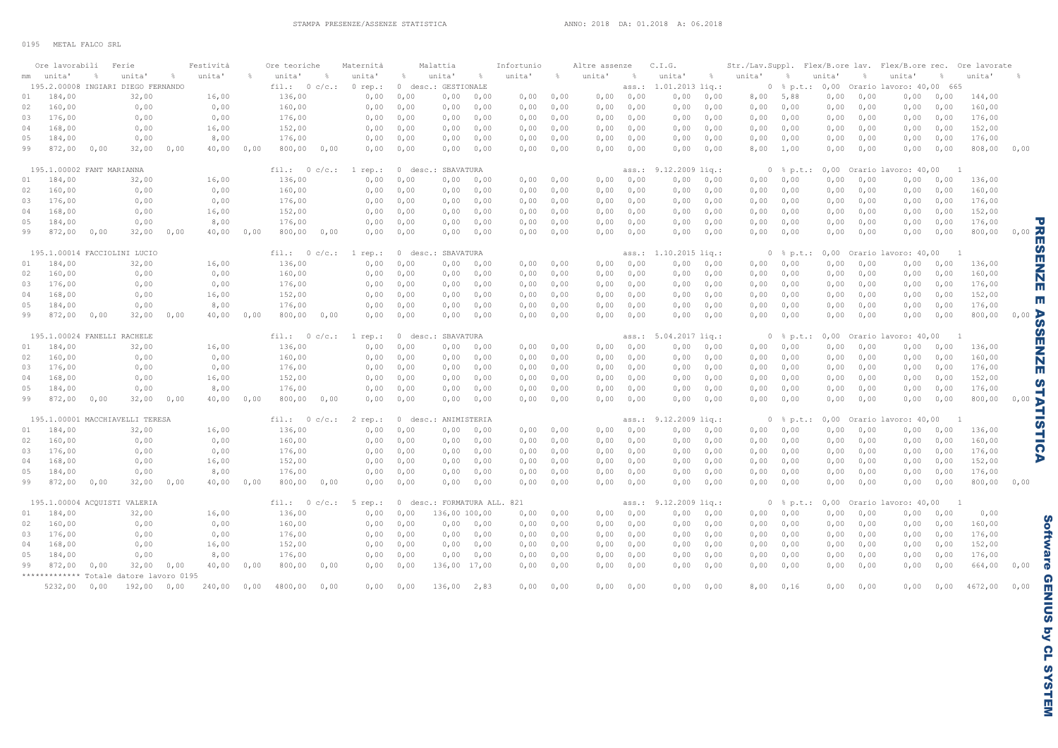|    | Ore lavorabili            |      | Ferie                                   |           | Festività |      | Ore teoriche   |      | Maternità |                    | Malattia                    |                    | Infortunio |           | Altre assenze |                | C.I.G.                |               | Str./Lav.Suppl. Flex/B.ore lav. Flex/B.ore rec. Ore lavorate |                               |                              |      |                                                   |      |         |                         |
|----|---------------------------|------|-----------------------------------------|-----------|-----------|------|----------------|------|-----------|--------------------|-----------------------------|--------------------|------------|-----------|---------------|----------------|-----------------------|---------------|--------------------------------------------------------------|-------------------------------|------------------------------|------|---------------------------------------------------|------|---------|-------------------------|
|    | mm unita'                 |      | unita'                                  | $\approx$ | unita'    |      | unita'         |      | unita'    | $\frac{a}{\delta}$ | unita'                      | $\frac{1}{\delta}$ | unita'     | $\approx$ | unita'        | $\frac{9}{20}$ | unita'                | $\frac{a}{2}$ | unita'                                                       | $\approx$                     | unita'                       |      | unita'                                            |      | unita'  |                         |
|    |                           |      | 195.2.00008 INGIARI DIEGO FERNANDO      |           |           |      | fill.: 0 c/c.: |      | $0$ rep.: |                    | 0 desc.: GESTIONALE         |                    |            |           |               | ass.:          | $1.01.2013$ $liq.$ :  |               |                                                              |                               | $0$ $\frac{1}{2}$ p.t.: 0,00 |      | Orario lavoro: 40,00 665                          |      |         |                         |
| 01 | 184,00                    |      | 32,00                                   |           | 16,00     |      | 136,00         |      | 0,00      | 0,00               | 0,00                        | 0,00               | 0,00       | 0,00      |               | 0,0000,00      | 0,00                  | 0,00          | 8,00                                                         | 5,88                          | 0,00                         | 0,00 | 0,00                                              | 0,00 | 144,00  |                         |
| 02 | 160,00                    |      | 0,00                                    |           | 0,00      |      | 160,00         |      | 0,00      | 0,00               | 0,00                        | 0,00               | 0,00       | 0,00      | 0,00          | 0,00           | 0,00                  | 0,00          | 0,00                                                         | 0,00                          | 0,00                         | 0,00 | 0,00                                              | 0,00 | 160,00  |                         |
| 03 | 176,00                    |      | 0,00                                    |           | 0,00      |      | 176,00         |      | 0,00      | 0,00               | 0,00                        | 0,00               | 0,00       | 0,00      | 0,00          | 0,00           | 0,00                  | 0,00          | 0,00                                                         | 0,00                          | 0,00                         | 0,00 | 0,00                                              | 0,00 | 176,00  |                         |
| 04 | 168,00                    |      | 0,00                                    |           | 16,00     |      | 152,00         |      | 0,00      | 0,00               | 0,00                        | 0,00               | 0,00       | 0,00      | 0,00          | 0,00           | 0,00                  | 0,00          | 0,00                                                         | 0,00                          | 0,00                         | 0,00 | 0,00                                              | 0,00 | 152,00  |                         |
| 05 | 184,00                    |      | 0,00                                    |           | 8,00      |      | 176,00         |      | 0,00      | 0,00               | 0,00                        | 0,00               | 0,00       | 0,00      | 0,00          | 0,00           | 0,00                  | 0,00          | 0,00                                                         | 0,00                          | 0,00                         | 0,00 | 0,00                                              | 0,00 | 176,00  |                         |
| 99 | 872,00                    | 0,00 | 32,00                                   | 0,00      | 40,00     | 0,00 | $800,00$ 0,00  |      | 0,00      | 0,00               | 0,00                        | 0,00               | 0,00       | 0,00      | 0,00          | 0,00           | 0,00                  | 0,00          | 8,00                                                         | 1,00                          | 0,00                         | 0,00 | 0,00                                              | 0,00 | 808,00  | 0,00                    |
|    | 195.1.00002 FANT MARIANNA |      |                                         |           |           |      | fill.: 0 c/c.: |      | 1 rep.:   |                    | 0 desc.: SBAVATURA          |                    |            |           |               | ass.:          | $9.12.2009$ liq.:     |               |                                                              |                               |                              |      | $0$ $\frac{1}{2}$ p.t.: 0,00 Orario lavoro: 40,00 |      |         |                         |
| 01 | 184,00                    |      | 32,00                                   |           | 16,00     |      | 136,00         |      | 0,00      | 0,00               | 0,00                        | 0,00               | 0,00       | 0,00      | 0,00          | 0,00           | 0,00                  | 0,00          | 0,00                                                         | 0,00                          | 0,00                         | 0,00 | 0,00                                              | 0,00 | 136,00  |                         |
| 02 | 160,00                    |      | 0,00                                    |           | 0,00      |      | 160,00         |      | 0,00      | 0,00               | 0,00                        | 0,00               | 0,00       | 0,00      | 0,00          | 0,00           | 0,00                  | 0,00          | 0,00                                                         | 0,00                          | 0,00                         | 0,00 | 0,00                                              | 0,00 | 160,00  |                         |
| 03 | 176,00                    |      | 0,00                                    |           | 0,00      |      | 176,00         |      | 0,00      | 0,00               | 0,00                        | 0,00               | 0,00       | 0,00      | 0,00          | 0,00           | 0,00                  | 0,00          | 0,00                                                         | 0,00                          | 0,00                         | 0,00 | 0,00                                              | 0,00 | 176,00  |                         |
| 04 | 168,00                    |      | 0,00                                    |           | 16,00     |      | 152,00         |      | 0,00      | 0,00               | 0,00                        | 0,00               | 0,00       | 0,00      | 0,00          | 0,00           | 0,00                  | 0,00          | 0,00                                                         | 0,00                          | 0,00                         | 0,00 | 0,00                                              | 0,00 | 152,00  |                         |
| 05 | 184,00                    |      | 0,00                                    |           | 8,00      |      | 176,00         |      | 0,00      | 0,00               | 0,00                        | 0,00               | 0,00       | 0,00      | 0,00          | 0,00           | 0,00                  | 0,00          | 0,00                                                         | 0,00                          | 0,00                         | 0,00 | 0,00                                              | 0,00 | 176,00  | ℸ                       |
| 99 | $872,00$ 0,00             |      | 32,00                                   | 0,00      | 40,00     | 0.00 | $800,00$ 0,00  |      | 0,00      | 0,00               |                             | 0,0000,000         |            | 0,0000,00 |               | 0,0000,00      | $0,00$ 0,00           |               | 0,00                                                         | 0,00                          | 0,00                         | 0,00 | 0,00                                              | 0,00 | 800,00  | $0,00$ $7$              |
|    |                           |      |                                         |           |           |      |                |      |           |                    |                             |                    |            |           |               |                |                       |               |                                                              |                               |                              |      |                                                   |      |         | ш                       |
|    |                           |      | 195.1.00014 FACCIOLINI LUCIO            |           |           |      | fill.: 0 c/c.: |      | $1$ rep.: |                    | 0 desc.: SBAVATURA          |                    |            |           |               |                | ass.: 1.10.2015 liq.: |               |                                                              |                               |                              |      | 0 % p.t.: 0,00 Orario lavoro: 40,00               |      |         | m                       |
| 01 | 184,00                    |      | 32,00                                   |           | 16,00     |      | 136,00         |      | 0,00      | 0,00               | 0,00                        | 0,00               | 0,00       | 0,00      | 0,00          | 0,00           | 0,00                  | 0,00          | 0,00                                                         | 0,00                          | 0,00                         | 0,00 | 0,00                                              | 0,00 | 136,00  | ш                       |
| 02 | 160,00                    |      | 0,00                                    |           | 0,00      |      | 160,00         |      | 0,00      | 0,00               | 0,00                        | 0,00               | 0,00       | 0,00      | 0,00          | 0,00           | 0,00                  | 0,00          | 0,00                                                         | 0,00                          | 0,00                         | 0,00 | 0,00                                              | 0,00 | 160,00  | N                       |
| 03 | 176,00                    |      | 0,00                                    |           | 0,00      |      | 176,00         |      | 0,00      | 0,00               | 0,00                        | 0,00               | 0,00       | 0,00      | 0,00          | 0,00           | 0,00                  | 0,00          | 0,00                                                         | 0,00                          | 0,00                         | 0,00 | 0,00                                              | 0,00 | 176,00  | ш                       |
| 04 | 168,00                    |      | 0,00                                    |           | 16,00     |      | 152,00         |      | 0,00      | 0,00               | 0,00                        | 0,00               | 0,00       | 0,00      | 0,00          | 0,00           | 0,00                  | 0,00          | 0,00                                                         | 0,00                          | 0,00                         | 0,00 | 0,00                                              | 0,00 | 152,00  |                         |
| 05 | 184,00                    |      | 0,00                                    |           | 8,00      |      | 176,00         |      | 0,00      | 0,00               | 0,00                        | 0,00               | 0,00       | 0,00      | 0,00          | 0,00           | 0,00                  | 0,00          | 0,00                                                         | 0,00                          | 0,00                         | 0,00 | 0,00                                              | 0,00 | 176,00  | п                       |
| 99 | 872,00                    | 0,00 | 32,00                                   | 0,00      | 40,00     | 0.00 | 800,00         | 0,00 | 0,00      | 0,00               |                             | 0,0000,00          | 0,00       | 0,00      | 0,00          | 0,00           | 0,00                  | 0,00          | 0,00                                                         | 0,00                          | 0,00                         | 0,00 | 0,00                                              | 0,00 | 800,00  | $0,00$ $\triangleright$ |
|    |                           |      | 195.1.00024 FANELLI RACHELE             |           |           |      | fill.: 0 c/c.: |      | 1 rep.:   |                    | 0 desc.: SBAVATURA          |                    |            |           |               |                | ass.: 5.04.2017 lig.: |               |                                                              |                               | $0$ $\frac{1}{2}$ p.t.: 0,00 |      | Orario lavoro: 40,00                              |      |         | m                       |
| 01 | 184,00                    |      | 32,00                                   |           | 16,00     |      | 136,00         |      | 0,00      | 0,00               | 0,00                        | 0,00               | 0,00       | 0,00      | 0,00          | 0,00           | 0,00                  | 0,00          | 0,00                                                         | 0,00                          | 0,00                         | 0,00 | 0,00                                              | 0,00 | 136,00  | ш                       |
| 02 | 160,00                    |      | 0,00                                    |           | 0,00      |      | 160,00         |      | 0,00      | 0,00               | 0,00                        | 0,00               | 0,00       | 0,00      | 0,00          | 0,00           | 0,00                  | 0,00          | 0,00                                                         | 0,00                          | 0,00                         | 0,00 | 0,00                                              | 0,00 | 160,00  |                         |
| 03 | 176,00                    |      | 0,00                                    |           | 0,00      |      | 176,00         |      | 0,00      | 0,00               | 0,00                        | 0,00               | 0,00       | 0,00      | 0,00          | 0,00           | 0,00                  | 0,00          | 0,00                                                         | 0,00                          | 0,00                         | 0,00 | 0,00                                              | 0,00 | 176,00  | N                       |
| 04 | 168,00                    |      | 0,00                                    |           | 16,00     |      | 152,00         |      | 0,00      | 0,00               | 0,00                        | 0,00               | 0,00       | 0,00      | 0,00          | 0,00           | 0,00                  | 0,00          | 0,00                                                         | 0,00                          | 0,00                         | 0,00 | 0,00                                              | 0,00 | 152,00  | ш                       |
| 05 | 184,00                    |      | 0,00                                    |           | 8,00      |      | 176,00         |      | 0,00      | 0,00               | 0,00                        | 0,00               | 0,00       | 0,00      | 0,00          | 0,00           | 0,00                  | 0,00          | 0,00                                                         | 0,00                          | 0,00                         | 0,00 | 0,00                                              | 0,00 | 176,00  | n                       |
| 99 | 872,00                    | 0,00 | 32,00                                   | 0,00      | 40,00     | 0.00 | 800,00         | 0,00 | 0,00      | 0,00               | 0,00                        | 0,00               | 0,00       | 0,00      | 0,00          | 0,00           | 0,00                  | 0,00          | 0,00                                                         | 0,00                          | 0,00                         | 0,00 | 0,00                                              | 0,00 | 800,00  | 0,00                    |
|    |                           |      |                                         |           |           |      |                |      |           |                    |                             |                    |            |           |               |                |                       |               |                                                              |                               |                              |      |                                                   |      |         |                         |
|    |                           |      | 195.1.00001 MACCHIAVELLI TERESA         |           |           |      | fill.: 0 c/c.: |      | 2 rep.:   |                    | 0 desc.: ANIMISTERIA        |                    |            |           |               | ass.:          | $9.12.2009$ liq.:     |               |                                                              | $0 \text{ }$ $\text{*}$ p.t.: | 0,00                         |      | Orario lavoro: 40,00                              |      |         |                         |
| 01 | 184,00                    |      | 32,00                                   |           | 16,00     |      | 136,00         |      | 0,00      | 0,00               | 0,00                        | 0,00               | 0,00       | 0,00      | 0,00          | 0,00           | 0,00                  | 0,00          | 0,00                                                         | 0,00                          | 0,00                         | 0,00 | 0,00                                              | 0,00 | 136,00  |                         |
| 02 | 160,00                    |      | 0,00                                    |           | 0,00      |      | 160,00         |      | 0,00      | 0,00               | 0,00                        | 0,00               | 0,00       | 0,00      | 0,00          | 0,00           | 0,00                  | 0,00          | 0,00                                                         | 0,00                          | 0,00                         | 0,00 | 0,00                                              | 0,00 | 160,00  |                         |
| 03 | 176,00                    |      | 0,00                                    |           | 0,00      |      | 176,00         |      | 0,00      | 0,00               | 0,00                        | 0,00               | 0,00       | 0,00      | 0,00          | 0,00           | 0,00                  | 0,00          | 0,00                                                         | 0,00                          | 0,00                         | 0,00 | 0,00                                              | 0,00 | 176,00  | ດ                       |
| 04 | 168,00                    |      | 0,00                                    |           | 16,00     |      | 152,00         |      | 0,00      | 0,00               | 0,00                        | 0,00               | 0,00       | 0,00      | 0,00          | 0,00           | 0,00                  | 0,00          | 0,00                                                         | 0,00                          | 0,00                         | 0,00 | 0,00                                              | 0,00 | 152,00  | D                       |
| 05 | 184,00                    |      | 0,00                                    |           | 8,00      |      | 176,00         |      | 0,00      | 0,00               | 0,00                        | 0,00               | 0,00       | 0,00      | 0,00          | 0,00           | 0,00                  | 0,00          | 0,00                                                         | 0,00                          | 0,00                         | 0,00 | 0,00                                              | 0,00 | 176,00  |                         |
| 99 | $872,00$ 0,00             |      | 32,00                                   | 0,00      | 40,00     | 0,00 | 800,00         | 0,00 | 0,00      | 0,00               | 0,00                        | 0,00               | 0,00       | 0,00      |               | 0,0000,00      | 0,0000,00             |               | 0,0000,000                                                   |                               | 0,00                         | 0,00 | 0,00                                              | 0,00 | 800,00  | 0,00                    |
|    |                           |      | 195.1.00004 ACQUISTI VALERIA            |           |           |      | fill.: 0 c/c.: |      | $5$ rep.: |                    | 0 desc.: FORMATURA ALL. 821 |                    |            |           |               | ass.:          | $9.12.2009$ liq.:     |               |                                                              | $0 \,$ $\frac{6}{9}$ p.t.:    | 0,00                         |      | Orario lavoro: 40,00                              |      |         |                         |
| 01 | 184,00                    |      | 32,00                                   |           | 16,00     |      | 136,00         |      | 0,00      | 0,00               | 136,00 100,00               |                    | 0,00       | 0,00      | 0,00          | 0,00           | 0,00                  | 0,00          | 0,00                                                         | 0,00                          | 0,00                         | 0,00 | 0,00                                              | 0,00 | 0,00    |                         |
| 02 | 160,00                    |      | 0,00                                    |           | 0,00      |      | 160,00         |      | 0,00      | 0,00               |                             | 0,0000,00          | 0,00       | 0,00      | 0,00          | 0,00           | 0,00                  | 0,00          | 0,00                                                         | 0,00                          | 0,00                         | 0,00 | 0,00                                              | 0,00 | 160,00  |                         |
| 03 | 176,00                    |      | 0,00                                    |           | 0,00      |      | 176,00         |      | 0,00      | 0,00               | 0,00                        | 0,00               | 0,00       | 0,00      | 0,00          | 0,00           | 0,00                  | 0,00          | 0,00                                                         | 0,00                          | 0,00                         | 0,00 | 0,00                                              | 0,00 | 176,00  |                         |
| 04 | 168,00                    |      | 0,00                                    |           | 16,00     |      | 152,00         |      | 0,00      | 0,00               | 0,00                        | 0,00               | 0,00       | 0,00      | 0,00          | 0,00           | 0,00                  | 0,00          | 0,00                                                         | 0,00                          | 0,00                         | 0,00 | 0,00                                              | 0,00 | 152,00  |                         |
| 05 | 184,00                    |      | 0,00                                    |           | 8,00      |      | 176,00         |      | 0,00      | 0,00               | 0,00                        | 0,00               | 0,00       | 0,00      | 0,00          | 0,00           | 0,00                  | 0,00          | 0,00                                                         | 0,00                          | 0,00                         | 0,00 | 0,00                                              | 0,00 | 176,00  |                         |
| 99 | $872,00$ 0,00             |      | 32,00                                   | 0,00      | 40,00     | 0.00 | 800,00         | 0,00 | 0,00      | 0,00               | 136,00 17,00                |                    | 0,00       | 0,00      | 0,00          | 0,00           | 0,00                  | 0,00          | 0,00                                                         | 0,00                          | 0,00                         | 0,00 | 0,00                                              | 0,00 | 664,00  | 0,00                    |
|    |                           |      | ************* Totale datore lavoro 0195 |           |           |      |                |      |           |                    |                             |                    |            |           |               |                |                       |               |                                                              |                               |                              |      |                                                   |      |         |                         |
|    | $5232,00$ 0,00            |      | $192,00$ 0,00                           |           | 240,00    | 0.00 | 4800,00        | 0,00 | 0,00      | 0,00               | 136,00                      | 2,83               | 0,00       | 0,00      | 0,00          | 0.00           | 0,00                  | 0.00          | 8,00                                                         | 0,16                          | 0,00                         | 0,00 | 0,00                                              | 0,00 | 4672,00 | 0,00                    |
|    |                           |      |                                         |           |           |      |                |      |           |                    |                             |                    |            |           |               |                |                       |               |                                                              |                               |                              |      |                                                   |      |         |                         |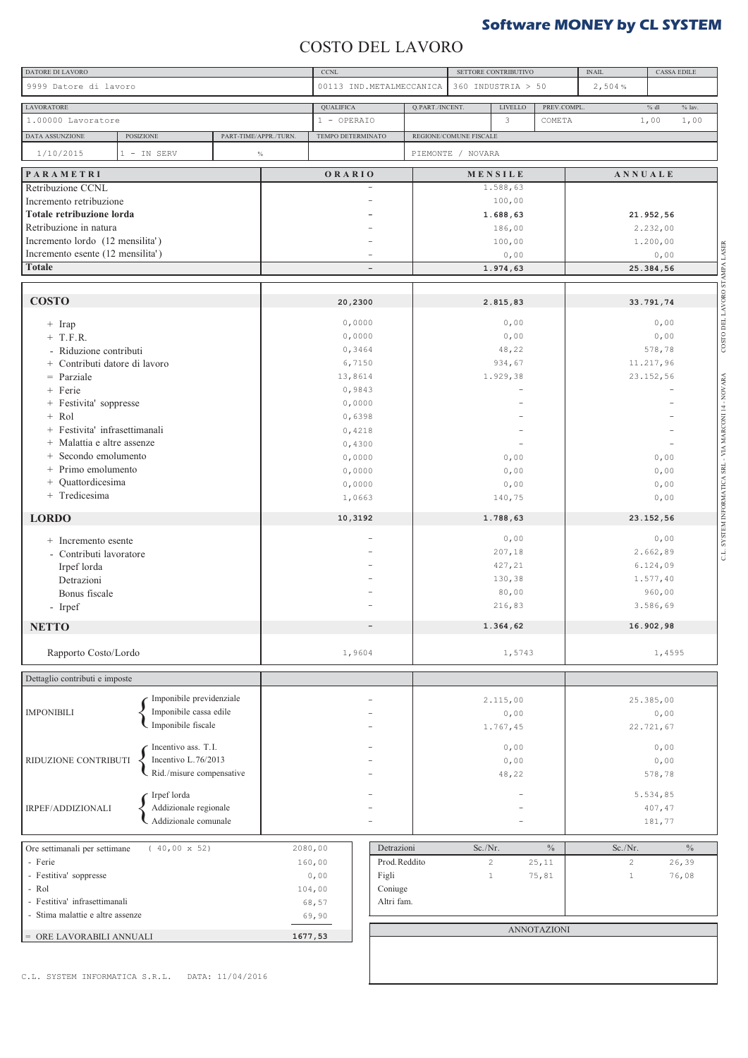# **Software MONEY by CL SYSTEM**

### COSTO DEL LAVORO

| DATORE DI LAVORO                                        |                                                    |                       | <b>CCNL</b>       |                          |                        | SETTORE CONTRIBUTIVO |                    | <b>INAIL</b>   | <b>CASSA EDILE</b>   |
|---------------------------------------------------------|----------------------------------------------------|-----------------------|-------------------|--------------------------|------------------------|----------------------|--------------------|----------------|----------------------|
| 9999 Datore di lavoro                                   |                                                    |                       |                   | 00113 IND.METALMECCANICA |                        | 360 INDUSTRIA > 50   |                    | 2,504%         |                      |
| <b>LAVORATORE</b>                                       |                                                    |                       | <b>QUALIFICA</b>  |                          | Q.PART./INCENT.        | LIVELLO              | PREV.COMPL         |                | $\%$ lav.<br>$\%$ dl |
| 1.00000 Lavoratore                                      |                                                    |                       | 1 - OPERAIO       |                          |                        | 3                    | COMETA             |                | 1,00<br>1,00         |
| DATA ASSUNZIONE                                         | POSIZIONE                                          | PART-TIME/APPR./TURN. | TEMPO DETERMINATO |                          | REGIONE/COMUNE FISCALE |                      |                    |                |                      |
| 1/10/2015                                               | 1 - IN SERV                                        | $\%$                  |                   |                          | PIEMONTE / NOVARA      |                      |                    |                |                      |
|                                                         |                                                    |                       |                   |                          |                        |                      |                    |                |                      |
| PARAMETRI<br>Retribuzione CCNL                          |                                                    |                       | ORARIO            |                          |                        | MENSILE<br>1.588,63  |                    | ANNUALE        |                      |
| Incremento retribuzione                                 |                                                    |                       |                   |                          |                        | 100,00               |                    |                |                      |
| Totale retribuzione lorda                               |                                                    |                       |                   |                          |                        | 1.688,63             |                    |                | 21.952,56            |
| Retribuzione in natura                                  |                                                    |                       |                   |                          |                        | 186,00               |                    |                | 2.232,00             |
| Incremento lordo (12 mensilita')                        |                                                    |                       |                   |                          |                        | 100,00               |                    |                | 1.200,00             |
| Incremento esente (12 mensilita')                       |                                                    |                       |                   |                          |                        | 0,00                 |                    |                | 0,00                 |
| <b>Totale</b>                                           |                                                    |                       |                   | $\overline{\phantom{a}}$ |                        | 1.974,63             |                    |                | 25.384,56            |
|                                                         |                                                    |                       |                   |                          |                        |                      |                    |                |                      |
| <b>COSTO</b>                                            |                                                    |                       | 20,2300           |                          |                        | 2.815,83             |                    |                | 33.791,74            |
|                                                         |                                                    |                       |                   |                          |                        |                      |                    |                |                      |
| $+$ Irap                                                |                                                    |                       | 0,0000            |                          |                        | 0,00                 |                    |                | 0,00                 |
| $+$ T.F.R.                                              |                                                    |                       | 0,0000<br>0,3464  |                          |                        | 0,00                 |                    |                | 0,00<br>578,78       |
| - Riduzione contributi<br>+ Contributi datore di lavoro |                                                    |                       | 6,7150            |                          |                        | 48,22<br>934,67      |                    |                | 11.217,96            |
| $=$ Parziale                                            |                                                    |                       | 13,8614           |                          |                        | 1.929,38             |                    |                | 23.152,56            |
| + Ferie                                                 |                                                    |                       | 0,9843            |                          |                        |                      |                    |                |                      |
| + Festivita' soppresse                                  |                                                    |                       | 0,0000            |                          |                        |                      |                    |                |                      |
| $+$ Rol                                                 |                                                    |                       | 0,6398            |                          |                        |                      |                    |                |                      |
| + Festivita' infrasettimanali                           |                                                    |                       | 0,4218            |                          |                        |                      |                    |                |                      |
| + Malattia e altre assenze                              |                                                    |                       | 0,4300            |                          |                        |                      |                    |                |                      |
| Secondo emolumento<br>$^{+}$                            |                                                    |                       | 0,0000            |                          |                        | 0,00                 |                    |                | 0,00                 |
| + Primo emolumento                                      |                                                    |                       | 0,0000            |                          |                        | 0,00                 |                    |                | 0,00                 |
| + Quattordicesima                                       |                                                    |                       | 0,0000            |                          |                        | 0,00                 |                    |                | 0,00                 |
| + Tredicesima                                           |                                                    |                       | 1,0663            |                          |                        | 140,75               |                    |                | 0,00                 |
| <b>LORDO</b>                                            |                                                    |                       | 10,3192           |                          |                        | 1.788,63             |                    |                | 23.152,56            |
|                                                         |                                                    |                       |                   |                          |                        | 0,00                 |                    |                | 0,00                 |
| + Incremento esente<br>- Contributi lavoratore          |                                                    |                       |                   |                          |                        | 207,18               |                    |                | 2.662,89             |
| Irpef lorda                                             |                                                    |                       |                   |                          |                        | 427,21               |                    |                | 6.124,09             |
| Detrazioni                                              |                                                    |                       |                   |                          |                        | 130,38               |                    |                | 1.577, 40            |
| Bonus fiscale                                           |                                                    |                       |                   |                          |                        | 80,00                |                    |                | 960,00               |
| - Irpef                                                 |                                                    |                       |                   |                          |                        | 216,83               |                    |                | 3.586,69             |
| <b>NETTO</b>                                            |                                                    |                       |                   |                          |                        | 1.364,62             |                    |                | 16.902,98            |
|                                                         |                                                    |                       |                   |                          |                        |                      |                    |                |                      |
| Rapporto Costo/Lordo                                    |                                                    |                       | 1,9604            |                          |                        | 1,5743               |                    |                | 1,4595               |
| Dettaglio contributi e imposte                          |                                                    |                       |                   |                          |                        |                      |                    |                |                      |
|                                                         |                                                    |                       |                   |                          |                        |                      |                    |                |                      |
| <b>IMPONIBILI</b>                                       | Imponibile previdenziale<br>Imponibile cassa edile |                       |                   |                          |                        | 2.115,00             |                    |                | 25.385,00            |
|                                                         | Imponibile fiscale                                 |                       |                   |                          |                        | 0,00<br>1.767,45     |                    |                | 0,00<br>22.721,67    |
|                                                         |                                                    |                       |                   |                          |                        |                      |                    |                |                      |
|                                                         | Incentivo ass. T.I.                                |                       |                   |                          |                        | 0,00                 |                    |                | 0,00                 |
| RIDUZIONE CONTRIBUTI                                    | Incentivo L.76/2013                                |                       |                   |                          |                        | 0,00                 |                    |                | 0,00                 |
|                                                         | Rid./misure compensative                           |                       |                   |                          |                        | 48,22                |                    |                | 578,78               |
|                                                         | Irpef lorda                                        |                       |                   |                          |                        |                      |                    |                | 5.534,85             |
| IRPEF/ADDIZIONALI                                       | Addizionale regionale                              |                       |                   |                          |                        |                      |                    |                | 407,47               |
|                                                         | Addizionale comunale                               |                       |                   |                          |                        |                      |                    |                | 181,77               |
|                                                         |                                                    |                       |                   |                          |                        |                      |                    |                |                      |
| Ore settimanali per settimane                           | $(40,00 \times 52)$                                |                       | 2080,00           | Detrazioni               | Sc./Nr.                |                      | $\%$               | Sc./Nr.        | $\%$                 |
| - Ferie                                                 |                                                    |                       | 160,00            | Prod. Reddito            |                        | $\mathbf{2}$         | 25,11              | $\overline{c}$ | 26,39                |
| - Festitiva' soppresse<br>- Rol                         |                                                    |                       | 0,00<br>104,00    | Figli<br>Coniuge         |                        | $\mathbf{1}$         | 75,81              | $1\,$          | 76,08                |
| - Festitiva' infrasettimanali                           |                                                    |                       | 68,57             | Altri fam.               |                        |                      |                    |                |                      |
| - Stima malattie e altre assenze                        |                                                    |                       | 69,90             |                          |                        |                      |                    |                |                      |
|                                                         |                                                    |                       |                   |                          |                        |                      | <b>ANNOTAZIONI</b> |                |                      |
|                                                         | = ORE LAVORABILI ANNUALI                           |                       | 1677,53           |                          |                        |                      |                    |                |                      |

C.L. SYSTEM INFORMATICA S.R.L. DATA:  $11/04/2016$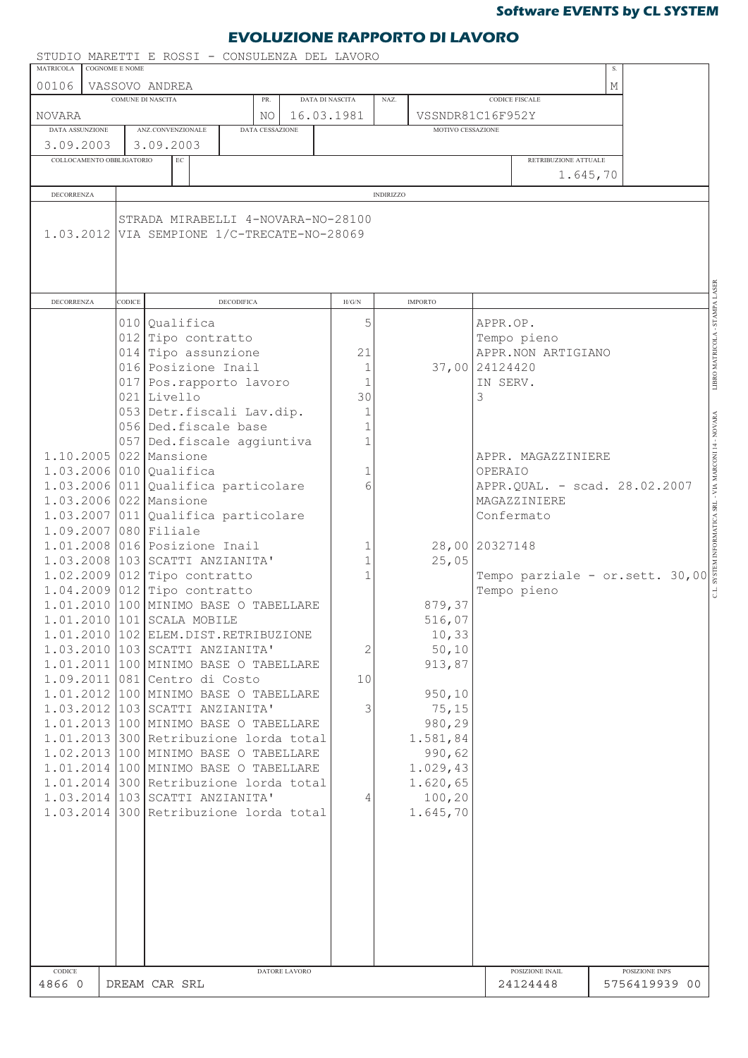### **EVOLUZIONE RAPPORTO DI LAVORO**

|                           |                | STUDIO MARETTI E ROSSI - CONSULENZA DEL LAVORO                                    |                   |               |                 |                  |                   |                       |                                 |   |                                 |                                           |
|---------------------------|----------------|-----------------------------------------------------------------------------------|-------------------|---------------|-----------------|------------------|-------------------|-----------------------|---------------------------------|---|---------------------------------|-------------------------------------------|
| <b>MATRICOLA</b>          | COGNOME E NOME |                                                                                   |                   |               |                 |                  |                   |                       |                                 |   |                                 |                                           |
| 00106                     |                | VASSOVO ANDREA<br>COMUNE DI NASCITA                                               | PR.               |               | DATA DI NASCITA | NAZ.             |                   | <b>CODICE FISCALE</b> |                                 | М |                                 |                                           |
| <b>NOVARA</b>             |                |                                                                                   | NO                |               | 16.03.1981      |                  | VSSNDR81C16F952Y  |                       |                                 |   |                                 |                                           |
| DATA ASSUNZIONE           |                | ANZ.CONVENZIONALE                                                                 | DATA CESSAZIONE   |               |                 |                  | MOTIVO CESSAZIONE |                       |                                 |   |                                 |                                           |
| 3.09.2003                 |                | 3.09.2003                                                                         |                   |               |                 |                  |                   |                       |                                 |   |                                 |                                           |
| COLLOCAMENTO OBBLIGATORIO |                | $\operatorname{EC}$                                                               |                   |               |                 |                  |                   |                       | RETRIBUZIONE ATTUALE            |   |                                 |                                           |
|                           |                |                                                                                   |                   |               |                 |                  |                   |                       | 1.645,70                        |   |                                 |                                           |
| <b>DECORRENZA</b>         |                |                                                                                   |                   |               |                 | <b>INDIRIZZO</b> |                   |                       |                                 |   |                                 |                                           |
|                           |                |                                                                                   |                   |               |                 |                  |                   |                       |                                 |   |                                 |                                           |
|                           |                | STRADA MIRABELLI 4-NOVARA-NO-28100<br>1.03.2012 VIA SEMPIONE 1/C-TRECATE-NO-28069 |                   |               |                 |                  |                   |                       |                                 |   |                                 |                                           |
| <b>DECORRENZA</b>         | CODICE         |                                                                                   | <b>DECODIFICA</b> |               | H/G/N           |                  | <b>IMPORTO</b>    |                       |                                 |   |                                 | LIBRO MATRICOLA - STAMPA LASER            |
|                           |                | 010 Oualifica                                                                     |                   |               | 5               |                  |                   | APPR.OP.              |                                 |   |                                 |                                           |
|                           |                | 012 Tipo contratto                                                                |                   |               |                 |                  |                   | Tempo pieno           |                                 |   |                                 |                                           |
|                           |                | 014 Tipo assunzione                                                               |                   |               | 21              |                  |                   |                       | APPR.NON ARTIGIANO              |   |                                 |                                           |
|                           |                | 016 Posizione Inail                                                               |                   |               | 1               |                  |                   | 37,00 24124420        |                                 |   |                                 |                                           |
|                           |                | 017 Pos.rapporto lavoro                                                           |                   |               | $\mathbf{1}$    |                  |                   | IN SERV.              |                                 |   |                                 |                                           |
|                           |                | 021 Livello                                                                       |                   |               | 30              |                  |                   | 3                     |                                 |   |                                 |                                           |
|                           |                | 053 Detr.fiscali Lav.dip.                                                         |                   |               | $\mathbf{1}$    |                  |                   |                       |                                 |   |                                 |                                           |
|                           |                | 056 Ded.fiscale base                                                              |                   |               | $\mathbf{1}$    |                  |                   |                       |                                 |   |                                 |                                           |
|                           |                |                                                                                   |                   |               | 1               |                  |                   |                       |                                 |   |                                 |                                           |
|                           |                | 057 Ded.fiscale aggiuntiva                                                        |                   |               |                 |                  |                   |                       |                                 |   |                                 |                                           |
|                           |                | 1.10.2005 022 Mansione                                                            |                   |               |                 |                  |                   |                       | APPR. MAGAZZINIERE              |   |                                 |                                           |
|                           |                | $1.03.2006$ 010 Qualifica                                                         |                   |               | 1               |                  |                   | OPERAIO               |                                 |   |                                 |                                           |
|                           |                | $1.03.2006$ 011 Qualifica particolare                                             |                   |               | 6               |                  |                   |                       | APPR.QUAL. - scad. 28.02.2007   |   |                                 |                                           |
|                           |                | 1.03.2006 022 Mansione                                                            |                   |               |                 |                  |                   | MAGAZZINIERE          |                                 |   |                                 | INFORMATICA SRL - VIA MARCONI 14 - NOVARA |
|                           |                | $1.03.2007$ 011 Qualifica particolare                                             |                   |               |                 |                  |                   | Confermato            |                                 |   |                                 |                                           |
| 1.09.2007 080 Filiale     |                |                                                                                   |                   |               |                 |                  |                   |                       |                                 |   |                                 |                                           |
|                           |                | 1.01.2008 016 Posizione Inail                                                     |                   |               | 1               |                  |                   | 28,00 20327148        |                                 |   |                                 |                                           |
|                           |                | 1.03.2008 103 SCATTI ANZIANITA'                                                   |                   |               | 1               |                  | 25,05             |                       |                                 |   |                                 |                                           |
|                           |                | $1.02.2009$ 012 Tipo contratto                                                    |                   |               |                 |                  |                   |                       | Tempo parziale - or.sett. 30,00 |   |                                 |                                           |
|                           |                | 1.04.2009 012 Tipo contratto                                                      |                   |               |                 |                  |                   | Tempo pieno           |                                 |   |                                 |                                           |
|                           |                | 1.01.2010 100 MINIMO BASE O TABELLARE                                             |                   |               |                 |                  | 879,37            |                       |                                 |   |                                 |                                           |
|                           |                | 1.01.2010 101 SCALA MOBILE                                                        |                   |               |                 |                  | 516,07            |                       |                                 |   |                                 |                                           |
|                           |                | 1.01.2010 102 ELEM. DIST. RETRIBUZIONE                                            |                   |               |                 |                  | 10, 33            |                       |                                 |   |                                 |                                           |
|                           |                | 1.03.2010 103 SCATTI ANZIANITA'                                                   |                   |               | 2               |                  | 50, 10            |                       |                                 |   |                                 |                                           |
|                           |                | 1.01.2011 100 MINIMO BASE O TABELLARE                                             |                   |               |                 |                  | 913,87            |                       |                                 |   |                                 |                                           |
|                           |                |                                                                                   |                   |               |                 |                  |                   |                       |                                 |   |                                 |                                           |
|                           |                | 1.09.2011 081 Centro di Costo                                                     |                   |               | 10              |                  |                   |                       |                                 |   |                                 |                                           |
|                           |                | 1.01.2012 100 MINIMO BASE O TABELLARE                                             |                   |               |                 |                  | 950, 10           |                       |                                 |   |                                 |                                           |
|                           |                | 1.03.2012 103 SCATTI ANZIANITA'                                                   |                   |               | 3               |                  | 75, 15            |                       |                                 |   |                                 |                                           |
|                           |                | 1.01.2013 100 MINIMO BASE O TABELLARE                                             |                   |               |                 |                  | 980,29            |                       |                                 |   |                                 |                                           |
|                           |                | 1.01.2013 300 Retribuzione lorda total                                            |                   |               |                 |                  | 1.581,84          |                       |                                 |   |                                 |                                           |
|                           |                | 1.02.2013 100 MINIMO BASE O TABELLARE                                             |                   |               |                 |                  | 990,62            |                       |                                 |   |                                 |                                           |
|                           |                | 1.01.2014 100 MINIMO BASE O TABELLARE                                             |                   |               |                 |                  | 1.029,43          |                       |                                 |   |                                 |                                           |
|                           |                | 1.01.2014 300 Retribuzione lorda total                                            |                   |               |                 |                  | 1.620, 65         |                       |                                 |   |                                 |                                           |
|                           |                | 1.03.2014 103 SCATTI ANZIANITA'                                                   |                   |               | 4               |                  | 100,20            |                       |                                 |   |                                 |                                           |
|                           |                | 1.03.2014 300 Retribuzione lorda total                                            |                   |               |                 |                  | 1.645,70          |                       |                                 |   |                                 |                                           |
|                           |                |                                                                                   |                   |               |                 |                  |                   |                       |                                 |   |                                 |                                           |
|                           |                |                                                                                   |                   |               |                 |                  |                   |                       |                                 |   |                                 |                                           |
|                           |                |                                                                                   |                   |               |                 |                  |                   |                       |                                 |   |                                 |                                           |
|                           |                |                                                                                   |                   |               |                 |                  |                   |                       |                                 |   |                                 |                                           |
|                           |                |                                                                                   |                   |               |                 |                  |                   |                       |                                 |   |                                 |                                           |
|                           |                |                                                                                   |                   |               |                 |                  |                   |                       |                                 |   |                                 |                                           |
|                           |                |                                                                                   |                   |               |                 |                  |                   |                       |                                 |   |                                 |                                           |
|                           |                |                                                                                   |                   |               |                 |                  |                   |                       |                                 |   |                                 |                                           |
|                           |                |                                                                                   |                   |               |                 |                  |                   |                       |                                 |   |                                 |                                           |
|                           |                |                                                                                   |                   |               |                 |                  |                   |                       |                                 |   |                                 |                                           |
| CODICE<br>4866 0          |                | DREAM CAR SRL                                                                     |                   | DATORE LAVORO |                 |                  |                   |                       | POSIZIONE INAIL<br>24124448     |   | POSIZIONE INPS<br>5756419939 00 |                                           |
|                           |                |                                                                                   |                   |               |                 |                  |                   |                       |                                 |   |                                 |                                           |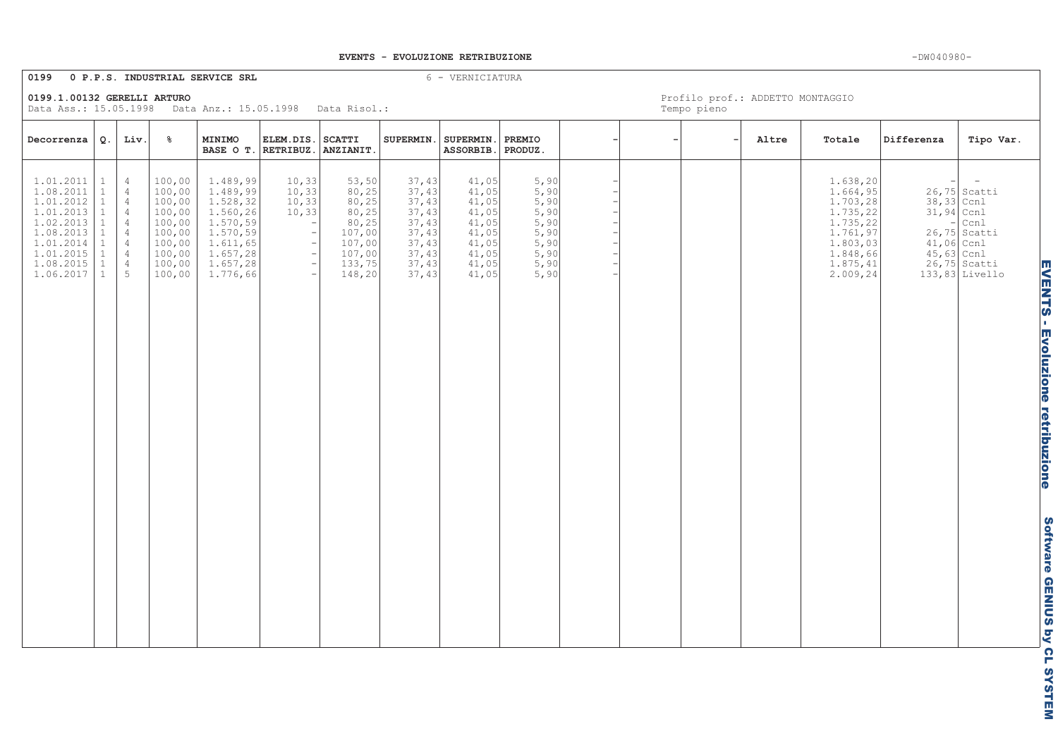### EVENTS - EVOLUZIONE RETRIBUZIONE

### 0199 0 P.P.S. INDUSTRIAL SERVICE SRL

6 - VERNICIATURA

0199.1.00132 GERELLI ARTURO

Data Ass.: 15.05.1998 Data Anz.: 15.05.1998 Data Risol.:

| Decorrenza                                                                                                                         | Q.                                                                                                           | Liv.                                                                                                                                                                | $\frac{6}{6}$                                                                                    | MINIMO<br>BASE O T. RETRIBUZ.                                                                                            | ELEM.DIS.                                                                                  | <b>SCATTI</b><br>ANZIANIT.                                                                     | SUPERMIN.                                                                              | SUPERMIN.<br>ASSORBIB.                                                                 | PREMIO<br>PRODUZ.                                                                                  |  | Altre | Totale                                                                                                                  | Differenza                                               | Tipo Var.                                                                                              |                                         |
|------------------------------------------------------------------------------------------------------------------------------------|--------------------------------------------------------------------------------------------------------------|---------------------------------------------------------------------------------------------------------------------------------------------------------------------|--------------------------------------------------------------------------------------------------|--------------------------------------------------------------------------------------------------------------------------|--------------------------------------------------------------------------------------------|------------------------------------------------------------------------------------------------|----------------------------------------------------------------------------------------|----------------------------------------------------------------------------------------|----------------------------------------------------------------------------------------------------|--|-------|-------------------------------------------------------------------------------------------------------------------------|----------------------------------------------------------|--------------------------------------------------------------------------------------------------------|-----------------------------------------|
| 1.01.2011<br>1.08.2011<br>1.01.2012<br>1.01.2013<br>1.02.2013<br>$1.08.2013$<br>$1.01.2014$<br>1.01.2015<br>1.08.2015<br>1.06.2017 | $\mathbf{1}$<br>$\mathbf{1}$<br>$\mathbf{1}$<br>$\mathbf{1}$<br>$\mathbf{1}$<br>$\mathbf{1}$<br>$\mathbf{1}$ | $\overline{4}$<br>$\overline{4}$<br>$\overline{4}$<br>$\overline{4}$<br>$\overline{4}$<br>$\overline{4}$<br>$\overline{4}$<br>$\overline{4}$<br>$\overline{4}$<br>5 | 100,00<br>100,00<br>100,00<br>100,00<br>100,00<br>100,00<br>100,00<br>100,00<br>100,00<br>100,00 | 1.489,99<br>1.489,99<br>1.528, 32<br>1.560,26<br>1.570, 59<br>1.570,59<br>1.611,65<br>1.657, 28<br>1.657, 28<br>1.776,66 | 10,33<br>10, 33<br>10, 33<br>10,33<br>$\overline{\phantom{a}}$<br>$\overline{\phantom{m}}$ | 53,50<br>80,25<br>80, 25<br>80, 25<br>80, 25<br>107,00<br>107,00<br>107,00<br>133,75<br>148,20 | 37,43<br>37,43<br>37,43<br>37,43<br>37,43<br>37,43<br>37,43<br>37,43<br>37,43<br>37,43 | 41,05<br>41,05<br>41,05<br>41,05<br>41,05<br>41,05<br>41,05<br>41,05<br>41,05<br>41,05 | $\frac{5,90}{5,90}$<br>5,90<br>5,90<br>$\frac{5}{5}$ , 90<br>5, 90<br>5,90<br>5,90<br>5,90<br>5,90 |  |       | 1.638,20<br>1.664,95<br>1.703,28<br>1.735,22<br>1.735, 22<br>1.761,97<br>1.803,03<br>1.848,66<br>1.875, 41<br>2.009, 24 | 38,33 Ccnl<br>31,94 Ccnl<br>$41,06$ Ccnl<br>$45,63$ Ccnl | $26,75$ Scatti<br>$_{\mbox{\scriptsize Ccn1}}$<br>$26,75$ Scatti<br>$26,75$ Scatti<br>$133,83$ Livello | <b>EVENTS - Evoluzione retribuzione</b> |
|                                                                                                                                    |                                                                                                              |                                                                                                                                                                     |                                                                                                  |                                                                                                                          |                                                                                            |                                                                                                |                                                                                        |                                                                                        |                                                                                                    |  |       |                                                                                                                         |                                                          |                                                                                                        |                                         |
|                                                                                                                                    |                                                                                                              |                                                                                                                                                                     |                                                                                                  |                                                                                                                          |                                                                                            |                                                                                                |                                                                                        |                                                                                        |                                                                                                    |  |       |                                                                                                                         |                                                          |                                                                                                        |                                         |
|                                                                                                                                    |                                                                                                              |                                                                                                                                                                     |                                                                                                  |                                                                                                                          |                                                                                            |                                                                                                |                                                                                        |                                                                                        |                                                                                                    |  |       |                                                                                                                         |                                                          |                                                                                                        |                                         |
|                                                                                                                                    |                                                                                                              |                                                                                                                                                                     |                                                                                                  |                                                                                                                          |                                                                                            |                                                                                                |                                                                                        |                                                                                        |                                                                                                    |  |       |                                                                                                                         |                                                          |                                                                                                        | Software GENIUS by CL SYSTEM            |

Profilo prof.: ADDETTO MONTAGGIO

Tempo pieno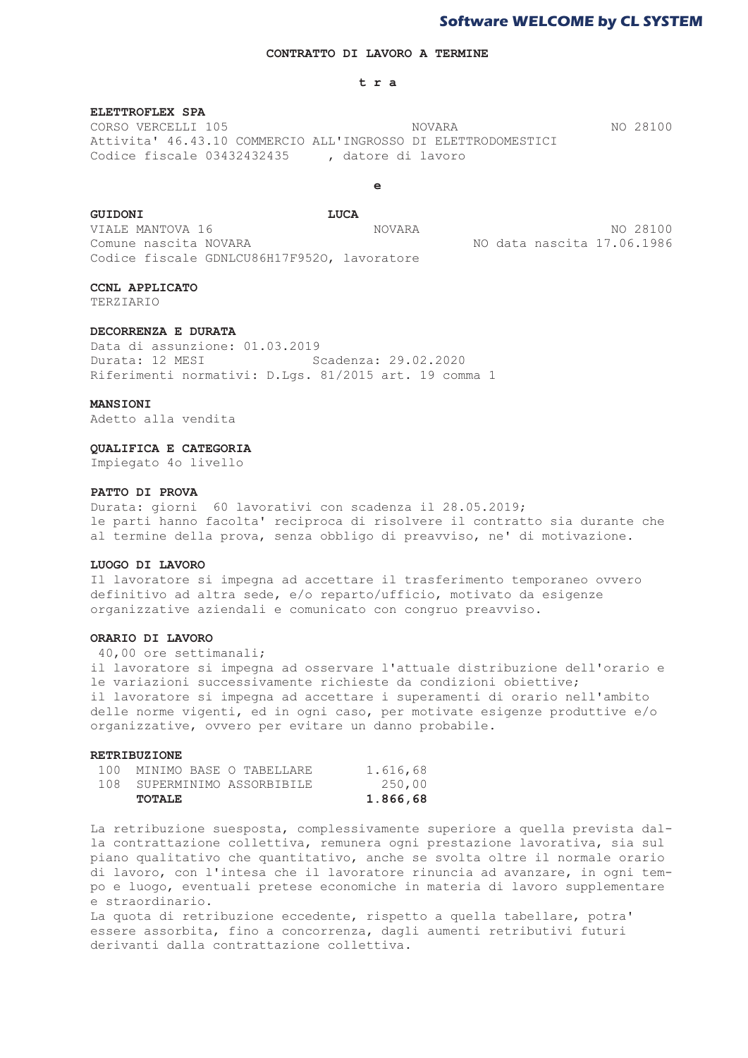### CONTRATTO DI LAVORO A TERMINE

### tra

### ELETTROFLEX SPA

CORSO VERCELLI 105 **NOVARA** NO 28100 Attivita' 46.43.10 COMMERCIO ALL'INGROSSO DI ELETTRODOMESTICI Codice fiscale 03432432435 , datore di lavoro

 $\epsilon$ 

### **GUIDONI**

LUCA VIALE MANTOVA 16 **NOVARA** Comune nascita NOVARA

Codice fiscale GDNLCU86H17F9520. lavoratore

NO 28100 NO data nascita 17.06.1986

### CCNI. APPLICATO

**TERZIARIO** 

### DECORRENZA E DURATA

Data di assunzione: 01.03.2019 Scadenza: 29.02.2020 Durata: 12 MESI Riferimenti normativi: D.Lqs. 81/2015 art. 19 comma 1

### MANSIONI

Adetto alla vendita

### **QUALIFICA E CATEGORIA**

Impiegato 4o livello

### PATTO DI PROVA

Durata: giorni 60 lavorativi con scadenza il 28.05.2019; le parti hanno facolta' reciproca di risolvere il contratto sia durante che al termine della prova, senza obbligo di preavviso, ne' di motivazione.

### LUOGO DI LAVORO

Il lavoratore si impegna ad accettare il trasferimento temporaneo ovvero definitivo ad altra sede, e/o reparto/ufficio, motivato da esigenze organizzative aziendali e comunicato con congruo preavviso.

### ORARIO DI LAVORO

40,00 ore settimanali:

il lavoratore si impegna ad osservare l'attuale distribuzione dell'orario e le variazioni successivamente richieste da condizioni obiettive: il lavoratore si impegna ad accettare i superamenti di orario nell'ambito delle norme vigenti, ed in ogni caso, per motivate esigenze produttive e/o organizzative, ovvero per evitare un danno probabile.

### **RETRIBUZIONE**

|     | TOTALE                  | 1.866,68 |
|-----|-------------------------|----------|
| 108 | SUPERMINIMO ASSORBIBILE | 250,00   |
| 100 | MINIMO BASE O TABELLARE | 1.616,68 |

La retribuzione suesposta, complessivamente superiore a quella prevista dalla contrattazione collettiva, remunera ogni prestazione lavorativa, sia sul piano qualitativo che quantitativo, anche se svolta oltre il normale orario di lavoro, con l'intesa che il lavoratore rinuncia ad avanzare, in ogni tempo e luogo, eventuali pretese economiche in materia di lavoro supplementare e straordinario.

La quota di retribuzione eccedente, rispetto a quella tabellare, potra' essere assorbita, fino a concorrenza, dagli aumenti retributivi futuri derivanti dalla contrattazione collettiva.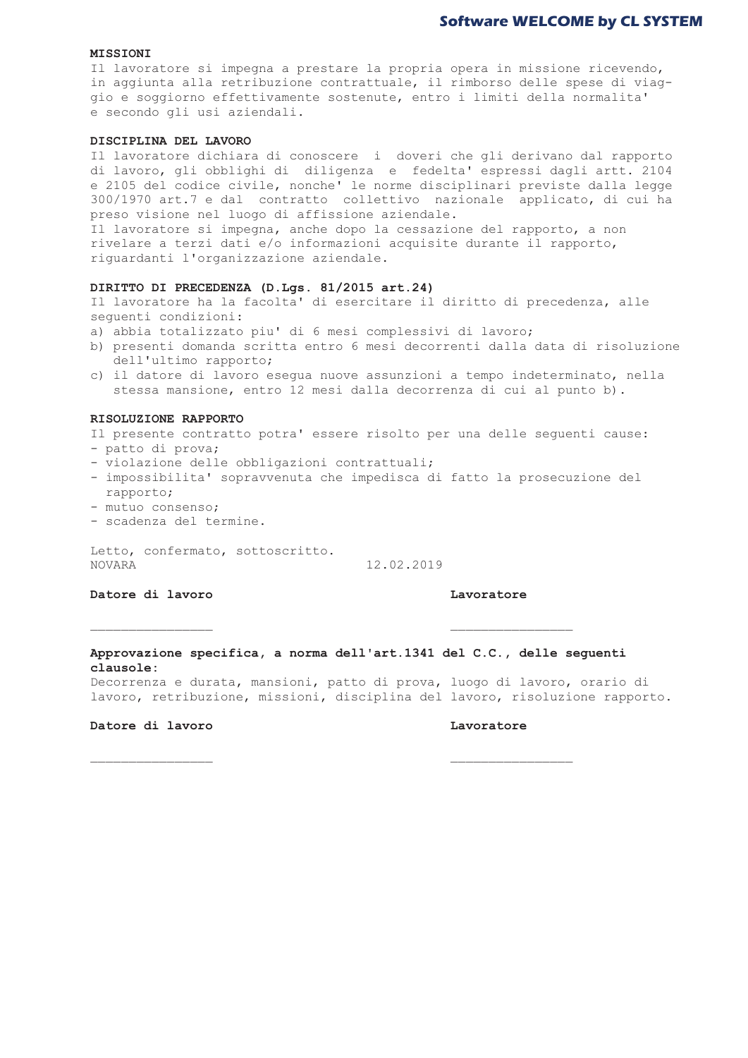### **Software WELCOME by CL SYSTEM**

### $\texttt{MISSIONI}$   $\texttt{MISSIONI}$

Il lavoratore si impegna a prestare la propria opera in missione ricevendo, in aggiunta alla retribuzione contrattuale, il rimborso delle spese di viaggio e soggiorno effettivamente sostenute, entro i limiti della normalita' e secondo qli usi aziendali.

### DISCIPLINA DEL LAVORO

Il lavoratore dichiara di conoscere i doveri che gli derivano dal rapporto di lavoro, gli obblighi di diligenza e fedelta' espressi dagli artt. 2104 e 2105 del codice civile, nonche' le norme disciplinari previste dalla legge 300/1970 art.7 e dal contratto collettivo nazionale applicato, di cui ha preso visione nel luogo di affissione aziendale.

Il lavoratore si impegna, anche dopo la cessazione del rapporto, a non rivelare a terzi dati e/o informazioni acquisite durante il rapporto, riquardanti l'organizzazione aziendale.

### $\text{DIRITTO}$  DI PRECEDENZA (D.Lgs. 81/2015 art.24)

Il lavoratore ha la facolta' di esercitare il diritto di precedenza, alle sequenti condizioni:

- a) abbia totalizzato piu' di 6 mesi complessivi di lavoro;
- b) presenti domanda scritta entro 6 mesi decorrenti dalla data di risoluzione dell'ultimo rapporto;
- c) il datore di lavoro esequa nuove assunzioni a tempo indeterminato, nella stessa mansione, entro 12 mesi dalla decorrenza di cui al punto b).

### RISOLUZIONE RAPPORTO

Il presente contratto potra' essere risolto per una delle sequenti cause:

- patto di prova;
- violazione delle obbligazioni contrattuali;
- impossibilita' sopravvenuta che impedisca di fatto la prosecuzione del rapporto; in the set of the set of the set of the set of the set of the set of the set of the set of the set of the set of the set of the set of the set of the set of the set of the set of the set of the set of the set of
- mutuo consenso;
- scadenza del termine.

Letto, confermato, sottoscritto. **NOVARA** 12.02.2019

 $\frac{1}{2}$  Datore di lavoro

Approvazione specifica, a norma dell'art.1341 del C.C., delle sequenti  $\bf{1}$  ausole:  $\bf{1}$  ausole:

Decorrenza e durata, mansioni, patto di prova, luogo di lavoro, orario di lavoro, retribuzione, missioni, disciplina del lavoro, risoluzione rapporto.

### $\frac{1}{2}$  Datore di lavoro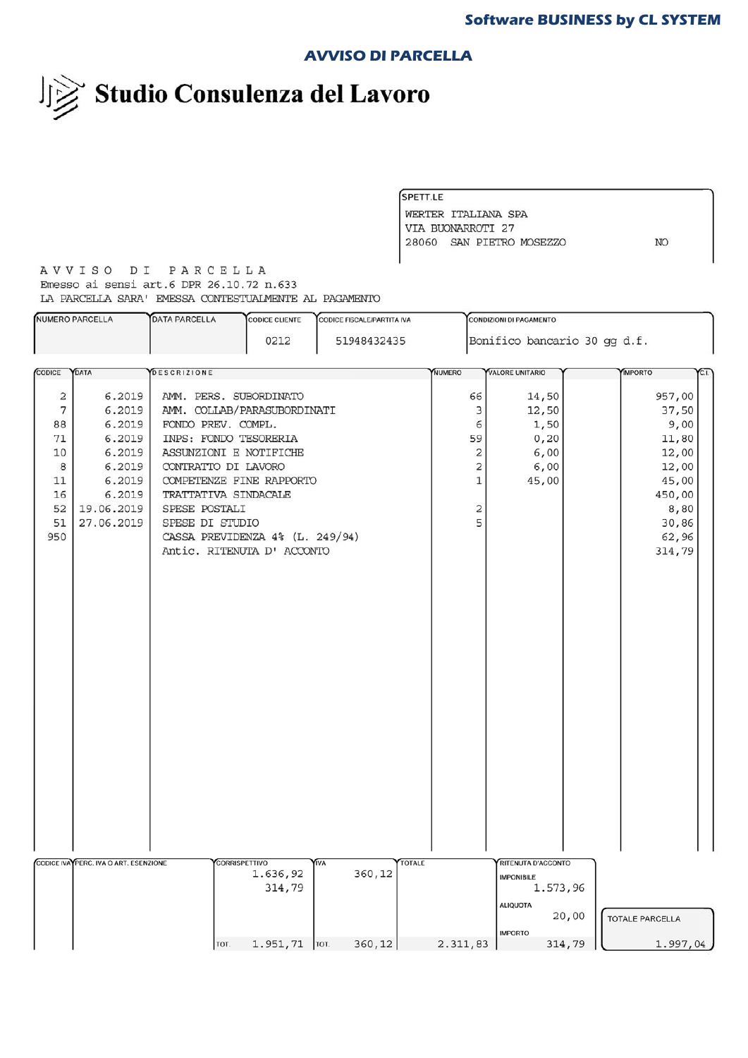### **AVVISO DI PARCELLA**

Studio Consulenza del Lavoro

SPETT.LE WERTER ITALIANA SPA VIA BUONARROTI 27 28060 SAN PIETRO MOSEZZO NO

AVVISO DI PARCELLA Emesso ai sensi art.6 DPR 26.10.72 n.633 LA PARCELLA SARA' EMESSA CONTESTUALMENTE AL PAGAMENTO

| Bonifico bancario 30 gg d.f.<br>0212<br>51948432435                                                                                      | CL       |
|------------------------------------------------------------------------------------------------------------------------------------------|----------|
|                                                                                                                                          |          |
| CODICE<br>DATA<br><b>DESCRIZIONE</b><br><b>NUMERO</b><br>VALORE UNITARIO<br><b>IMPORTO</b>                                               |          |
|                                                                                                                                          |          |
| $\mathbf{2}$<br>6.2019<br>957,00<br>AMM. PERS. SUBORDINATO<br>66<br>14,50                                                                |          |
| 7<br>6.2019<br>AMM. COLLAB/PARASUBORDINATI<br>3<br>12,50<br>37,50                                                                        |          |
| 88<br>6.2019<br>FONDO PREV. COMPL.<br>6<br>1,50                                                                                          | 9,00     |
| 6.2019<br>71<br>INPS: FONDO TESORERIA<br>59<br>0, 20<br>11,80                                                                            |          |
| 6.2019<br>ASSUNZIONI E NOTIFICHE<br>2<br>6,00<br>12,00<br>10                                                                             |          |
| 2<br>6,00<br>8<br>6.2019<br>CONTRATTO DI LAVORO<br>12,00                                                                                 |          |
| 6.2019<br>1<br>45,00<br>11<br>COMPETENZE FINE RAPPORTO<br>45,00                                                                          |          |
| 6.2019<br>450,00<br>16<br>TRATTATIVA SINDACALE                                                                                           |          |
| 52<br>2<br>19.06.2019<br>SPESE POSTALI                                                                                                   | 8,80     |
| 5<br>51<br>27.06.2019<br>SPESE DI STUDIO<br>30,86                                                                                        |          |
| 950<br>CASSA PREVIDENZA 4% (L. 249/94)<br>62,96                                                                                          |          |
| Antic. RITENUTA D' ACCONTO<br>314,79                                                                                                     |          |
|                                                                                                                                          |          |
|                                                                                                                                          |          |
|                                                                                                                                          |          |
|                                                                                                                                          |          |
|                                                                                                                                          |          |
|                                                                                                                                          |          |
|                                                                                                                                          |          |
|                                                                                                                                          |          |
|                                                                                                                                          |          |
|                                                                                                                                          |          |
|                                                                                                                                          |          |
|                                                                                                                                          |          |
|                                                                                                                                          |          |
|                                                                                                                                          |          |
|                                                                                                                                          |          |
|                                                                                                                                          |          |
|                                                                                                                                          |          |
|                                                                                                                                          |          |
|                                                                                                                                          |          |
|                                                                                                                                          |          |
|                                                                                                                                          |          |
|                                                                                                                                          |          |
| CODICE IVA PERC. IVA O ART. ESENZIONE<br><b>TOTALE</b><br><b>CORRISPETTIVO</b><br><b>TVA</b><br>RITENUTA D'ACCONTO<br>360,12<br>1.636,92 |          |
| <b>IMPONIBILE</b><br>314,79<br>1.573,96                                                                                                  |          |
|                                                                                                                                          |          |
| <b>ALIQUOTA</b><br>20,00                                                                                                                 |          |
| <b>TOTALE PARCELLA</b>                                                                                                                   |          |
| <b>IMPORTO</b><br>$1.951, 71$   TOT.<br>360, 12<br>2.311,83<br>314,79<br>TOT.                                                            | 1.997,04 |